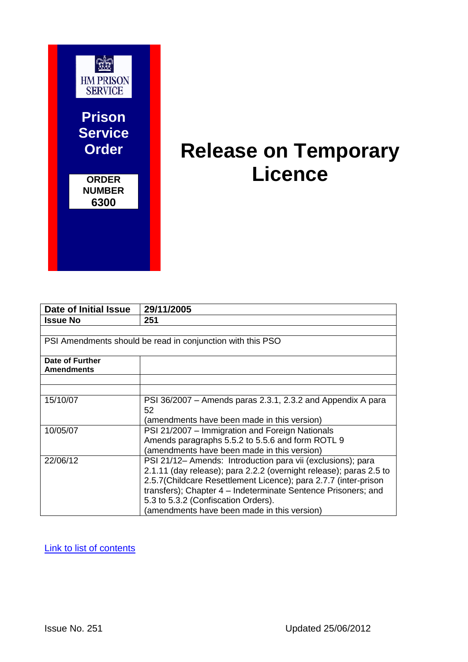

# **Release on Temporary Licence**

| Date of Initial Issue                                      | 29/11/2005                                                                                                                                                                                                                                                                                                                                                  |  |  |
|------------------------------------------------------------|-------------------------------------------------------------------------------------------------------------------------------------------------------------------------------------------------------------------------------------------------------------------------------------------------------------------------------------------------------------|--|--|
| <b>Issue No</b>                                            | 251                                                                                                                                                                                                                                                                                                                                                         |  |  |
|                                                            |                                                                                                                                                                                                                                                                                                                                                             |  |  |
| PSI Amendments should be read in conjunction with this PSO |                                                                                                                                                                                                                                                                                                                                                             |  |  |
| Date of Further<br><b>Amendments</b>                       |                                                                                                                                                                                                                                                                                                                                                             |  |  |
|                                                            |                                                                                                                                                                                                                                                                                                                                                             |  |  |
|                                                            |                                                                                                                                                                                                                                                                                                                                                             |  |  |
| 15/10/07                                                   | PSI 36/2007 – Amends paras 2.3.1, 2.3.2 and Appendix A para<br>52<br>(amendments have been made in this version)                                                                                                                                                                                                                                            |  |  |
| 10/05/07                                                   | PSI 21/2007 - Immigration and Foreign Nationals<br>Amends paragraphs 5.5.2 to 5.5.6 and form ROTL 9<br>(amendments have been made in this version)                                                                                                                                                                                                          |  |  |
| 22/06/12                                                   | PSI 21/12- Amends: Introduction para vii (exclusions); para<br>2.1.11 (day release); para 2.2.2 (overnight release); paras 2.5 to<br>2.5.7(Childcare Resettlement Licence); para 2.7.7 (inter-prison<br>transfers); Chapter 4 - Indeterminate Sentence Prisoners; and<br>5.3 to 5.3.2 (Confiscation Orders).<br>(amendments have been made in this version) |  |  |

[Link to list of contents](#page-5-0)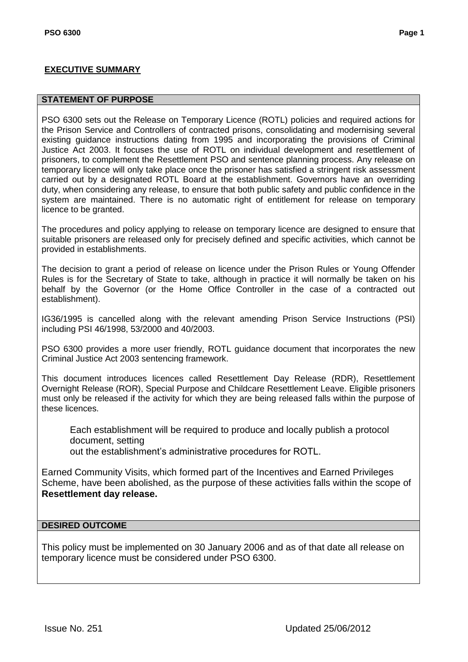#### <span id="page-2-0"></span>**STATEMENT OF PURPOSE**

PSO 6300 sets out the Release on Temporary Licence (ROTL) policies and required actions for the Prison Service and Controllers of contracted prisons, consolidating and modernising several existing guidance instructions dating from 1995 and incorporating the provisions of Criminal Justice Act 2003. It focuses the use of ROTL on individual development and resettlement of prisoners, to complement the Resettlement PSO and sentence planning process. Any release on temporary licence will only take place once the prisoner has satisfied a stringent risk assessment carried out by a designated ROTL Board at the establishment. Governors have an overriding duty, when considering any release, to ensure that both public safety and public confidence in the system are maintained. There is no automatic right of entitlement for release on temporary licence to be granted.

The procedures and policy applying to release on temporary licence are designed to ensure that suitable prisoners are released only for precisely defined and specific activities, which cannot be provided in establishments.

The decision to grant a period of release on licence under the Prison Rules or Young Offender Rules is for the Secretary of State to take, although in practice it will normally be taken on his behalf by the Governor (or the Home Office Controller in the case of a contracted out establishment).

IG36/1995 is cancelled along with the relevant amending Prison Service Instructions (PSI) including PSI 46/1998, 53/2000 and 40/2003.

PSO 6300 provides a more user friendly, ROTL guidance document that incorporates the new Criminal Justice Act 2003 sentencing framework.

This document introduces licences called Resettlement Day Release (RDR), Resettlement Overnight Release (ROR), Special Purpose and Childcare Resettlement Leave. Eligible prisoners must only be released if the activity for which they are being released falls within the purpose of these licences.

Each establishment will be required to produce and locally publish a protocol document, setting out the establishment"s administrative procedures for ROTL.

Earned Community Visits, which formed part of the Incentives and Earned Privileges Scheme, have been abolished, as the purpose of these activities falls within the scope of **Resettlement day release.**

#### **DESIRED OUTCOME**

This policy must be implemented on 30 January 2006 and as of that date all release on temporary licence must be considered under PSO 6300.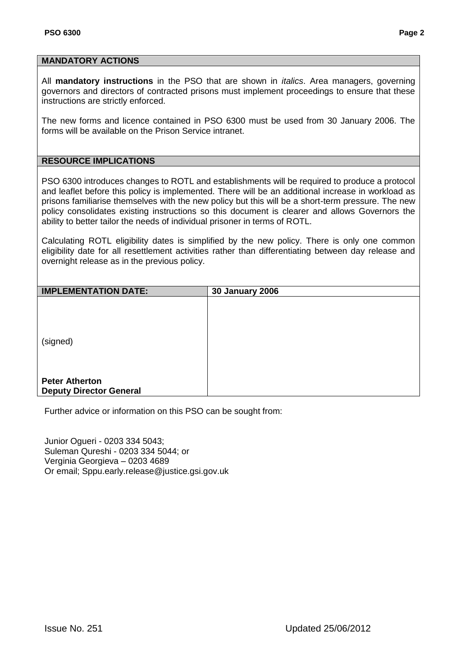#### **MANDATORY ACTIONS**

All **mandatory instructions** in the PSO that are shown in *italics*. Area managers, governing governors and directors of contracted prisons must implement proceedings to ensure that these instructions are strictly enforced.

The new forms and licence contained in PSO 6300 must be used from 30 January 2006. The forms will be available on the Prison Service intranet.

# **RESOURCE IMPLICATIONS**

PSO 6300 introduces changes to ROTL and establishments will be required to produce a protocol and leaflet before this policy is implemented. There will be an additional increase in workload as prisons familiarise themselves with the new policy but this will be a short-term pressure. The new policy consolidates existing instructions so this document is clearer and allows Governors the ability to better tailor the needs of individual prisoner in terms of ROTL.

Calculating ROTL eligibility dates is simplified by the new policy. There is only one common eligibility date for all resettlement activities rather than differentiating between day release and overnight release as in the previous policy.

| <b>IMPLEMENTATION DATE:</b>    | <b>30 January 2006</b> |
|--------------------------------|------------------------|
|                                |                        |
|                                |                        |
|                                |                        |
| (signed)                       |                        |
|                                |                        |
|                                |                        |
| <b>Peter Atherton</b>          |                        |
| <b>Deputy Director General</b> |                        |

Further advice or information on this PSO can be sought from:

Junior Ogueri - 0203 334 5043; Suleman Qureshi - 0203 334 5044; or Verginia Georgieva – 0203 4689 Or email; Sppu.early.release@justice.gsi.gov.uk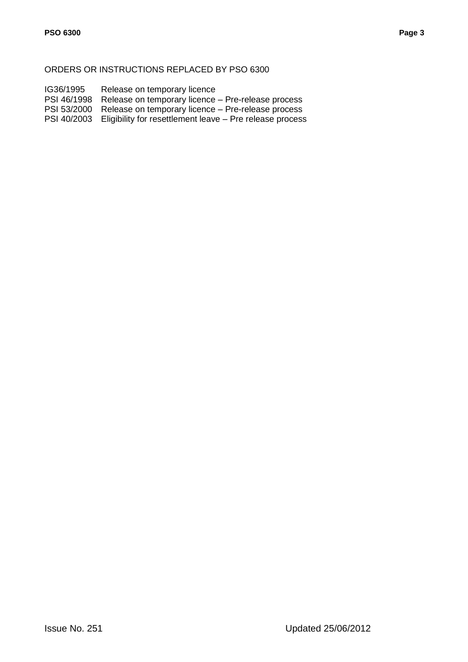#### ORDERS OR INSTRUCTIONS REPLACED BY PSO 6300

- IG36/1995 Release on temporary licence
- PSI 46/1998 Release on temporary licence Pre-release process
- PSI 53/2000 Release on temporary licence Pre-release process
- PSI 40/2003 Eligibility for resettlement leave Pre release process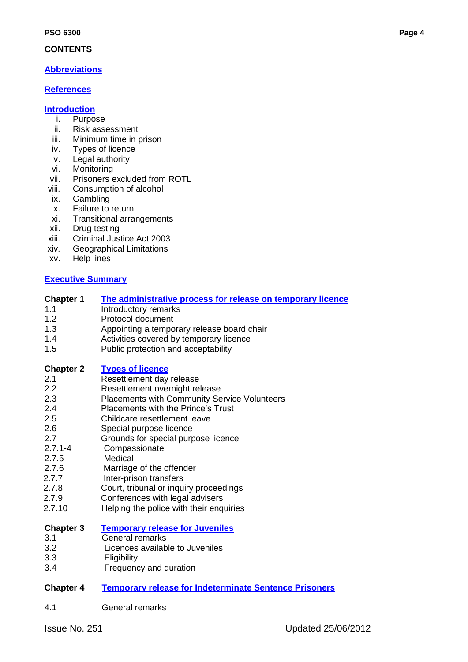# <span id="page-5-0"></span>**CONTENTS**

# **[Abbreviations](#page-7-0)**

# **[References](#page-7-1)**

# **[Introduction](#page-8-0)**

- i. Purpose
- ii. Risk assessment
- iii. Minimum time in prison
- iv. Types of licence
- v. Legal authority
- vi. Monitoring
- vii. Prisoners excluded from ROTL
- viii. Consumption of alcohol
- ix. Gambling
- x. Failure to return
- xi. Transitional arrangements
- xii. Drug testing
- xiii. Criminal Justice Act 2003
- xiv. Geographical Limitations
- xv. Help lines

# **[Executive Summary](#page-2-0)**

# **Chapter 1 [The administrative process for release on temporary licence](#page-13-0)**

- 1.1 **Introductory remarks**
- 1.2 Protocol document
- 1.3 Appointing a temporary release board chair
- 1.4 Activities covered by temporary licence
- 1.5 Public protection and acceptability

# **Chapter 2 [Types of licence](#page-16-0)**

- 2.1 Resettlement day release
- 2.2 Resettlement overnight release
- 2.3 Placements with Community Service Volunteers
- 2.4 Placements with the Prince's Trust<br>2.5 Childcare resettlement leave
- 2.5 Childcare resettlement leave
- 2.6 Special purpose licence
- 2.7 Grounds for special purpose licence
- 2.7.1-4 Compassionate
- 2.7.5 Medical
- 2.7.6 Marriage of the offender
- 2.7.7 Inter-prison transfers
- 2.7.8 Court, tribunal or inquiry proceedings
- 2.7.9 Conferences with legal advisers
- 2.7.10 Helping the police with their enquiries

# **Chapter 3 [Temporary release for Juveniles](#page-28-0)**

- 3.1 General remarks
- 3.2 Licences available to Juveniles
- 3.3 Eligibility
- 3.4 Frequency and duration

# **Chapter 4 [Temporary release for Indeterminate Sentence Prisoners](#page-30-0)**

4.1 General remarks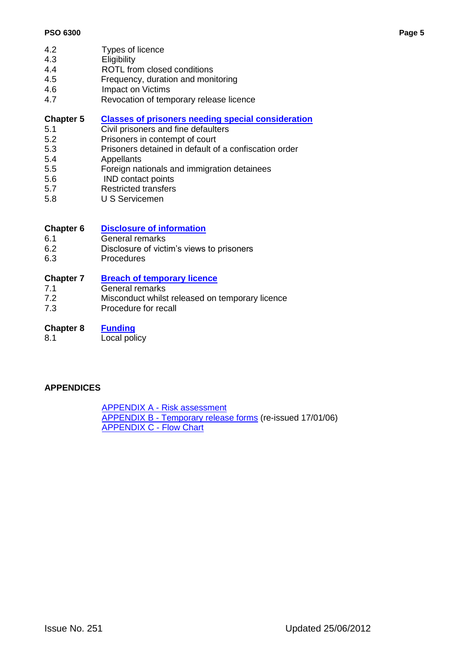- 4.2 Types of licence
- 4.3 Eligibility
- 4.4 ROTL from closed conditions
- 4.5 Frequency, duration and monitoring
- 4.6 Impact on Victims
- 4.7 Revocation of temporary release licence

## **Chapter 5 [Classes of prisoners needing special consideration](#page-33-0)**

- 5.1 Civil prisoners and fine defaulters
- 5.2 Prisoners in contempt of court
- 5.3 Prisoners detained in default of a confiscation order
- 5.4 Appellants
- 5.5 Foreign nationals and immigration detainees
- 5.6 IND contact points
- 5.7 Restricted transfers
- 5.8 U S Servicemen

# **Chapter 6 [Disclosure of information](#page-36-0)**

- 6.1 General remarks
- 6.2 Disclosure of victim"s views to prisoners
- 6.3 Procedures

#### **Chapter 7 [Breach of temporary licence](#page-38-0)**

- 7.1 General remarks
- 7.2 Misconduct whilst released on temporary licence
- 7.3 Procedure for recall
- **Chapter 8 [Funding](#page-40-0)**
- 8.1 Local policy

# **APPENDICES**

APPENDIX A - [Risk assessment](#page-41-0) APPENDIX B - [Temporary release forms](#page-52-0) (re-issued 17/01/06) [APPENDIX C -](#page-80-0) Flow Chart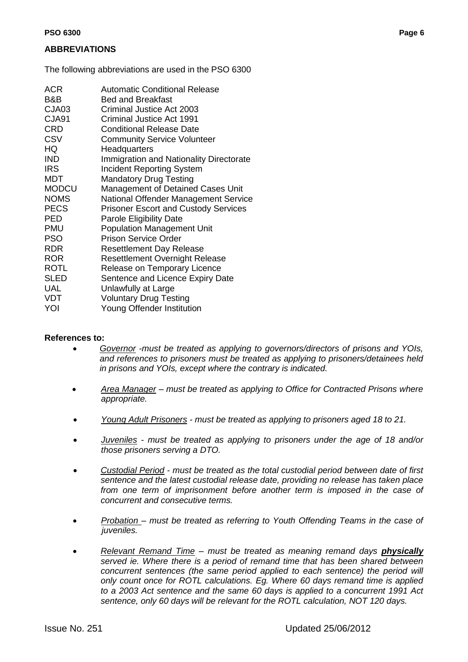# <span id="page-7-0"></span>**ABBREVIATIONS**

The following abbreviations are used in the PSO 6300

| <b>ACR</b>   | <b>Automatic Conditional Release</b>           |
|--------------|------------------------------------------------|
| B&B          | <b>Bed and Breakfast</b>                       |
| CJA03        | Criminal Justice Act 2003                      |
| <b>CJA91</b> | Criminal Justice Act 1991                      |
| <b>CRD</b>   | <b>Conditional Release Date</b>                |
| <b>CSV</b>   | <b>Community Service Volunteer</b>             |
| HQ           | Headquarters                                   |
| <b>IND</b>   | <b>Immigration and Nationality Directorate</b> |
| <b>IRS</b>   | <b>Incident Reporting System</b>               |
| MDT          | <b>Mandatory Drug Testing</b>                  |
| <b>MODCU</b> | Management of Detained Cases Unit              |
| <b>NOMS</b>  | National Offender Management Service           |
| <b>PECS</b>  | <b>Prisoner Escort and Custody Services</b>    |
| <b>PED</b>   | <b>Parole Eligibility Date</b>                 |
| <b>PMU</b>   | <b>Population Management Unit</b>              |
| <b>PSO</b>   | Prison Service Order                           |
| <b>RDR</b>   | <b>Resettlement Day Release</b>                |
| <b>ROR</b>   | <b>Resettlement Overnight Release</b>          |
| <b>ROTL</b>  | Release on Temporary Licence                   |
| <b>SLED</b>  | Sentence and Licence Expiry Date               |
| <b>UAL</b>   | Unlawfully at Large                            |
| <b>VDT</b>   | <b>Voluntary Drug Testing</b>                  |
| YOI          | Young Offender Institution                     |

#### <span id="page-7-1"></span>**References to:**

- *Governor -must be treated as applying to governors/directors of prisons and YOIs, and references to prisoners must be treated as applying to prisoners/detainees held in prisons and YOIs, except where the contrary is indicated.*
- *Area Manager – must be treated as applying to Office for Contracted Prisons where appropriate.*
- *Young Adult Prisoners - must be treated as applying to prisoners aged 18 to 21.*
- *Juveniles - must be treated as applying to prisoners under the age of 18 and/or those prisoners serving a DTO.*
- *Custodial Period - must be treated as the total custodial period between date of first sentence and the latest custodial release date, providing no release has taken place from one term of imprisonment before another term is imposed in the case of concurrent and consecutive terms.*
- *Probation – must be treated as referring to Youth Offending Teams in the case of juveniles.*
- *Relevant Remand Time – must be treated as meaning remand days physically served ie. Where there is a period of remand time that has been shared between concurrent sentences (the same period applied to each sentence) the period will only count once for ROTL calculations. Eg. Where 60 days remand time is applied to a 2003 Act sentence and the same 60 days is applied to a concurrent 1991 Act sentence, only 60 days will be relevant for the ROTL calculation, NOT 120 days.*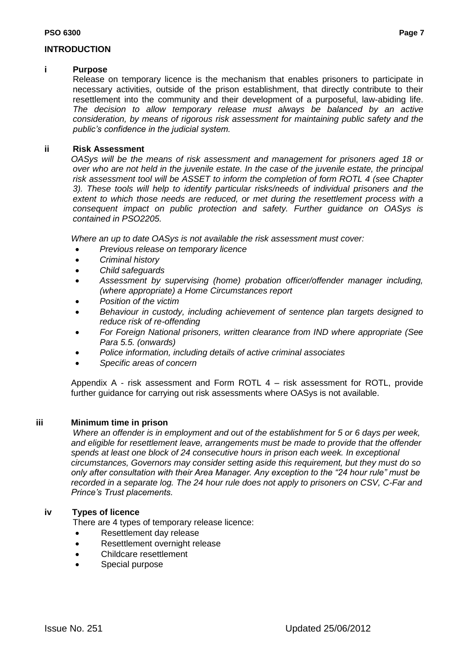## <span id="page-8-0"></span>**INTRODUCTION**

#### **i Purpose**

Release on temporary licence is the mechanism that enables prisoners to participate in necessary activities, outside of the prison establishment, that directly contribute to their resettlement into the community and their development of a purposeful, law-abiding life. *The decision to allow temporary release must always be balanced by an active consideration, by means of rigorous risk assessment for maintaining public safety and the public"s confidence in the judicial system.* 

## **ii Risk Assessment**

*OASys will be the means of risk assessment and management for prisoners aged 18 or over who are not held in the juvenile estate. In the case of the juvenile estate, the principal risk assessment tool will be ASSET to inform the completion of form ROTL 4 (see Chapter 3). These tools will help to identify particular risks/needs of individual prisoners and the extent to which those needs are reduced, or met during the resettlement process with a consequent impact on public protection and safety. Further guidance on OASys is contained in PSO2205.* 

*Where an up to date OASys is not available the risk assessment must cover:*

- *Previous release on temporary licence*
- *Criminal history*
- *Child safeguards*
- *Assessment by supervising (home) probation officer/offender manager including, (where appropriate) a Home Circumstances report*
- *Position of the victim*
- *Behaviour in custody, including achievement of sentence plan targets designed to reduce risk of re-offending*
- *For Foreign National prisoners, written clearance from IND where appropriate (See Para 5.5. (onwards)*
- *Police information, including details of active criminal associates*
- *Specific areas of concern*

Appendix A - risk assessment and Form ROTL 4 – risk assessment for ROTL, provide further guidance for carrying out risk assessments where OASys is not available.

# **iii Minimum time in prison**

*Where an offender is in employment and out of the establishment for 5 or 6 days per week, and eligible for resettlement leave, arrangements must be made to provide that the offender spends at least one block of 24 consecutive hours in prison each week. In exceptional circumstances, Governors may consider setting aside this requirement, but they must do so only after consultation with their Area Manager. Any exception to the "24 hour rule" must be recorded in a separate log. The 24 hour rule does not apply to prisoners on CSV, C-Far and Prince"s Trust placements.*

# **iv Types of licence**

There are 4 types of temporary release licence:

- Resettlement day release
- Resettlement overnight release
- Childcare resettlement
- Special purpose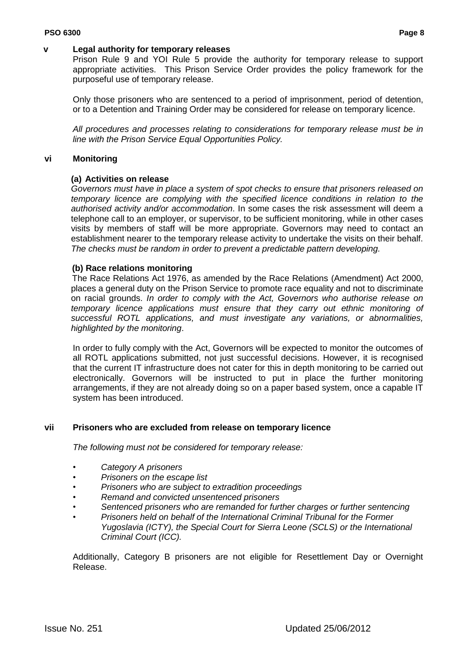#### **v Legal authority for temporary releases**

Prison Rule 9 and YOI Rule 5 provide the authority for temporary release to support appropriate activities. This Prison Service Order provides the policy framework for the purposeful use of temporary release.

Only those prisoners who are sentenced to a period of imprisonment, period of detention, or to a Detention and Training Order may be considered for release on temporary licence.

*All procedures and processes relating to considerations for temporary release must be in line with the Prison Service Equal Opportunities Policy.*

## **vi Monitoring**

#### **(a) Activities on release**

*Governors must have in place a system of spot checks to ensure that prisoners released on temporary licence are complying with the specified licence conditions in relation to the authorised activity and/or accommodation*. In some cases the risk assessment will deem a telephone call to an employer, or supervisor, to be sufficient monitoring, while in other cases visits by members of staff will be more appropriate. Governors may need to contact an establishment nearer to the temporary release activity to undertake the visits on their behalf. *The checks must be random in order to prevent a predictable pattern developing.*

#### **(b) Race relations monitoring**

The Race Relations Act 1976, as amended by the Race Relations (Amendment) Act 2000, places a general duty on the Prison Service to promote race equality and not to discriminate on racial grounds. *In order to comply with the Act, Governors who authorise release on temporary licence applications must ensure that they carry out ethnic monitoring of successful ROTL applications, and must investigate any variations, or abnormalities, highlighted by the monitoring*.

In order to fully comply with the Act, Governors will be expected to monitor the outcomes of all ROTL applications submitted, not just successful decisions. However, it is recognised that the current IT infrastructure does not cater for this in depth monitoring to be carried out electronically. Governors will be instructed to put in place the further monitoring arrangements, if they are not already doing so on a paper based system, once a capable IT system has been introduced.

#### **vii Prisoners who are excluded from release on temporary licence**

*The following must not be considered for temporary release:*

- *Category A prisoners*
- *• Prisoners on the escape list*
- *• Prisoners who are subject to extradition proceedings*
- *• Remand and convicted unsentenced prisoners*
- *• Sentenced prisoners who are remanded for further charges or further sentencing*
- *• Prisoners held on behalf of the International Criminal Tribunal for the Former Yugoslavia (ICTY), the Special Court for Sierra Leone (SCLS) or the International Criminal Court (ICC).*

Additionally, Category B prisoners are not eligible for Resettlement Day or Overnight Release.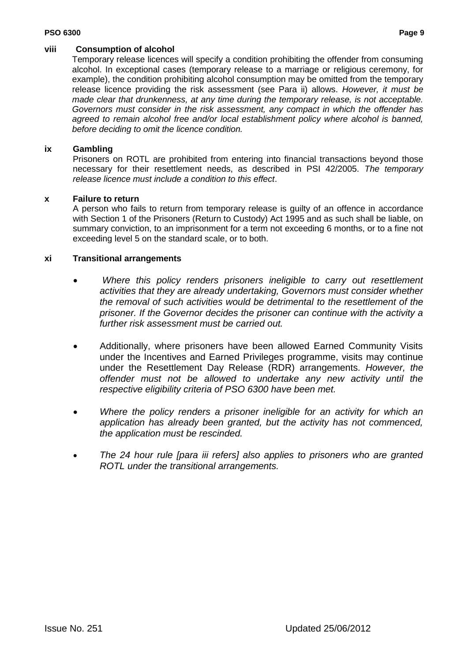#### **PSO 6300 Page 9**

# **viii Consumption of alcohol**

Temporary release licences will specify a condition prohibiting the offender from consuming alcohol. In exceptional cases (temporary release to a marriage or religious ceremony, for example), the condition prohibiting alcohol consumption may be omitted from the temporary release licence providing the risk assessment (see Para ii) allows. *However, it must be made clear that drunkenness, at any time during the temporary release, is not acceptable. Governors must consider in the risk assessment, any compact in which the offender has*  agreed to remain alcohol free and/or local establishment policy where alcohol is banned, *before deciding to omit the licence condition.* 

# **ix Gambling**

Prisoners on ROTL are prohibited from entering into financial transactions beyond those necessary for their resettlement needs, as described in PSI 42/2005. *The temporary release licence must include a condition to this effect*.

# **x Failure to return**

A person who fails to return from temporary release is guilty of an offence in accordance with Section 1 of the Prisoners (Return to Custody) Act 1995 and as such shall be liable, on summary conviction, to an imprisonment for a term not exceeding 6 months, or to a fine not exceeding level 5 on the standard scale, or to both.

# **xi Transitional arrangements**

- *Where this policy renders prisoners ineligible to carry out resettlement activities that they are already undertaking, Governors must consider whether the removal of such activities would be detrimental to the resettlement of the prisoner. If the Governor decides the prisoner can continue with the activity a further risk assessment must be carried out.*
- Additionally, where prisoners have been allowed Earned Community Visits under the Incentives and Earned Privileges programme, visits may continue under the Resettlement Day Release (RDR) arrangements*. However, the offender must not be allowed to undertake any new activity until the respective eligibility criteria of PSO 6300 have been met.*
- *Where the policy renders a prisoner ineligible for an activity for which an application has already been granted, but the activity has not commenced, the application must be rescinded.*
- *The 24 hour rule [para iii refers] also applies to prisoners who are granted ROTL under the transitional arrangements.*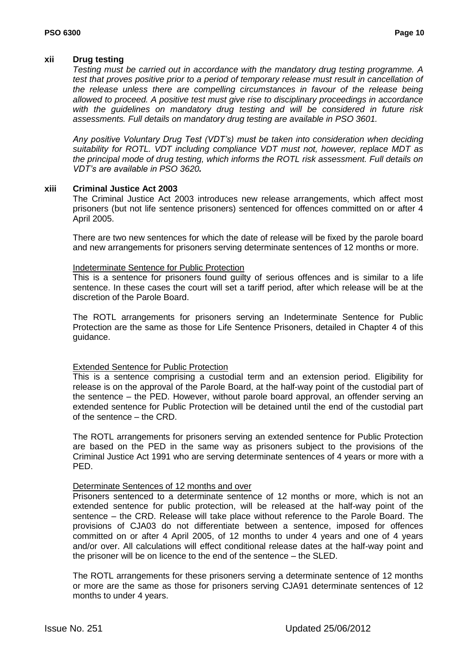# **xii Drug testing**

*Testing must be carried out in accordance with the mandatory drug testing programme. A test that proves positive prior to a period of temporary release must result in cancellation of the release unless there are compelling circumstances in favour of the release being allowed to proceed. A positive test must give rise to disciplinary proceedings in accordance with the guidelines on mandatory drug testing and will be considered in future risk assessments. Full details on mandatory drug testing are available in [PSO 3601.](file://psw00030/National/Information_Store/PSI_AND_PSO/PSO/PSO%203601_-_Mandatory_Drug_Testing_Contents_-_Issue_250.doc)*

*Any positive Voluntary Drug Test (VDT"s) must be taken into consideration when deciding suitability for ROTL. VDT including compliance VDT must not, however, replace MDT as the principal mode of drug testing, which informs the ROTL risk assessment. Full details on VDT"s are available in PSO 3620.*

# **xiii Criminal Justice Act 2003**

The Criminal Justice Act 2003 introduces new release arrangements, which affect most prisoners (but not life sentence prisoners) sentenced for offences committed on or after 4 April 2005.

There are two new sentences for which the date of release will be fixed by the parole board and new arrangements for prisoners serving determinate sentences of 12 months or more.

# Indeterminate Sentence for Public Protection

This is a sentence for prisoners found guilty of serious offences and is similar to a life sentence. In these cases the court will set a tariff period, after which release will be at the discretion of the Parole Board.

The ROTL arrangements for prisoners serving an Indeterminate Sentence for Public Protection are the same as those for Life Sentence Prisoners, detailed in Chapter 4 of this guidance.

# Extended Sentence for Public Protection

This is a sentence comprising a custodial term and an extension period. Eligibility for release is on the approval of the Parole Board, at the half-way point of the custodial part of the sentence – the PED. However, without parole board approval, an offender serving an extended sentence for Public Protection will be detained until the end of the custodial part of the sentence – the CRD.

The ROTL arrangements for prisoners serving an extended sentence for Public Protection are based on the PED in the same way as prisoners subject to the provisions of the Criminal Justice Act 1991 who are serving determinate sentences of 4 years or more with a PED.

# Determinate Sentences of 12 months and over

Prisoners sentenced to a determinate sentence of 12 months or more, which is not an extended sentence for public protection, will be released at the half-way point of the sentence – the CRD. Release will take place without reference to the Parole Board. The provisions of CJA03 do not differentiate between a sentence, imposed for offences committed on or after 4 April 2005, of 12 months to under 4 years and one of 4 years and/or over. All calculations will effect conditional release dates at the half-way point and the prisoner will be on licence to the end of the sentence – the SLED.

The ROTL arrangements for these prisoners serving a determinate sentence of 12 months or more are the same as those for prisoners serving CJA91 determinate sentences of 12 months to under 4 years.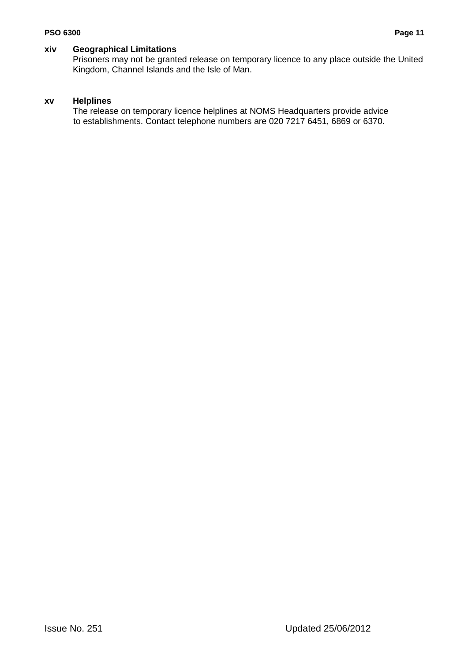# **xiv Geographical Limitations**

Prisoners may not be granted release on temporary licence to any place outside the United Kingdom, Channel Islands and the Isle of Man.

# **xv Helplines**

The release on temporary licence helplines at NOMS Headquarters provide advice to establishments. Contact telephone numbers are 020 7217 6451, 6869 or 6370.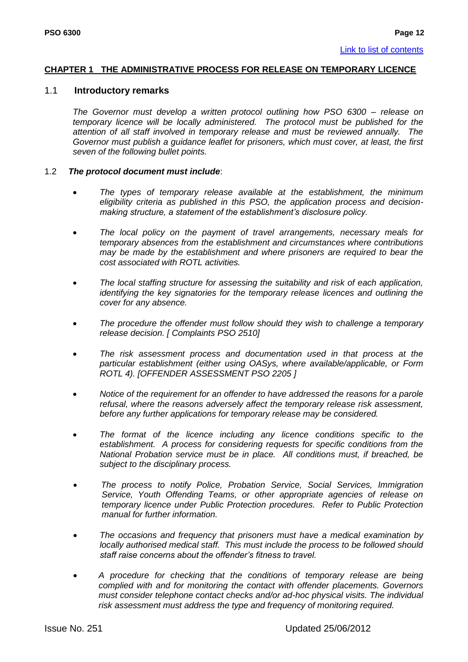#### <span id="page-13-0"></span>**CHAPTER 1 THE ADMINISTRATIVE PROCESS FOR RELEASE ON TEMPORARY LICENCE**

#### 1.1 **Introductory remarks**

*The Governor must develop a written protocol outlining how PSO 6300 – release on temporary licence will be locally administered. The protocol must be published for the attention of all staff involved in temporary release and must be reviewed annually. The Governor must publish a guidance leaflet for prisoners, which must cover, at least, the first seven of the following bullet points.*

#### 1.2 *The protocol document must include*:

- *The types of temporary release available at the establishment, the minimum eligibility criteria as published in this PSO, the application process and decisionmaking structure, a statement of the establishment"s disclosure policy.*
- *The local policy on the payment of travel arrangements, necessary meals for temporary absences from the establishment and circumstances where contributions may be made by the establishment and where prisoners are required to bear the cost associated with ROTL activities.*
- *The local staffing structure for assessing the suitability and risk of each application, identifying the key signatories for the temporary release licences and outlining the cover for any absence.*
- *The procedure the offender must follow should they wish to challenge a temporary release decision. [ Complaints PSO 2510]*
- *The risk assessment process and documentation used in that process at the particular establishment (either using OASys, where available/applicable, or Form ROTL 4). [OFFENDER ASSESSMENT PSO 2205 ]*
- *Notice of the requirement for an offender to have addressed the reasons for a parole refusal, where the reasons adversely affect the temporary release risk assessment, before any further applications for temporary release may be considered.*
- *The format of the licence including any licence conditions specific to the establishment. A process for considering requests for specific conditions from the National Probation service must be in place. All conditions must, if breached, be subject to the disciplinary process.*
- *The process to notify Police, Probation Service, Social Services, Immigration Service, Youth Offending Teams, or other appropriate agencies of release on temporary licence under Public Protection procedures. Refer to Public Protection manual for further information.*
- *The occasions and frequency that prisoners must have a medical examination by locally authorised medical staff. This must include the process to be followed should staff raise concerns about the offender"s fitness to travel.*
- *A procedure for checking that the conditions of temporary release are being complied with and for monitoring the contact with offender placements. Governors must consider telephone contact checks and/or ad-hoc physical visits. The individual risk assessment must address the type and frequency of monitoring required.*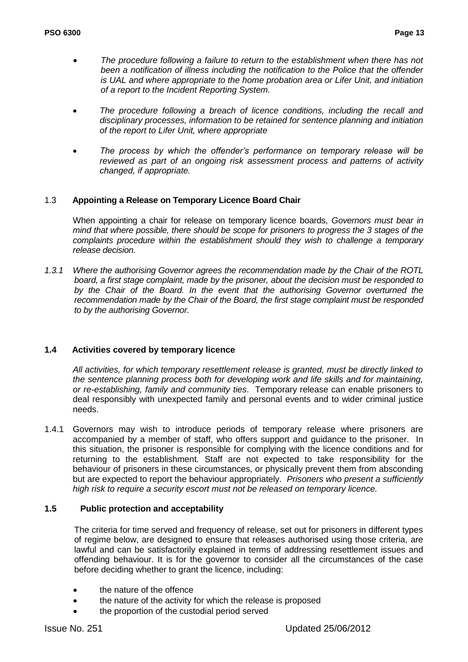- *The procedure following a failure to return to the establishment when there has not been a notification of illness including the notification to the Police that the offender is UAL and where appropriate to the home probation area or Lifer Unit, and initiation of a report to the Incident Reporting System.*
- *The procedure following a breach of licence conditions, including the recall and disciplinary processes, information to be retained for sentence planning and initiation of the report to Lifer Unit, where appropriate*
- *The process by which the offender"s performance on temporary release will be reviewed as part of an ongoing risk assessment process and patterns of activity changed, if appropriate.*

# 1.3 **Appointing a Release on Temporary Licence Board Chair**

When appointing a chair for release on temporary licence boards, *Governors must bear in mind that where possible, there should be scope for prisoners to progress the 3 stages of the complaints procedure within the establishment should they wish to challenge a temporary release decision.*

*1.3.1 Where the authorising Governor agrees the recommendation made by the Chair of the ROTL board, a first stage complaint, made by the prisoner, about the decision must be responded to by the Chair of the Board. In the event that the authorising Governor overturned the recommendation made by the Chair of the Board, the first stage complaint must be responded to by the authorising Governor.*

# **1.4 Activities covered by temporary licence**

*All activities, for which temporary resettlement release is granted, must be directly linked to the sentence planning process both for developing work and life skills and for maintaining, or re-establishing, family and community ties*. Temporary release can enable prisoners to deal responsibly with unexpected family and personal events and to wider criminal justice needs.

1.4.1 Governors may wish to introduce periods of temporary release where prisoners are accompanied by a member of staff, who offers support and guidance to the prisoner. In this situation, the prisoner is responsible for complying with the licence conditions and for returning to the establishment. Staff are not expected to take responsibility for the behaviour of prisoners in these circumstances, or physically prevent them from absconding but are expected to report the behaviour appropriately. *Prisoners who present a sufficiently high risk to require a security escort must not be released on temporary licence.*

# **1.5 Public protection and acceptability**

The criteria for time served and frequency of release, set out for prisoners in different types of regime below, are designed to ensure that releases authorised using those criteria, are lawful and can be satisfactorily explained in terms of addressing resettlement issues and offending behaviour. It is for the governor to consider all the circumstances of the case before deciding whether to grant the licence, including:

- the nature of the offence
- the nature of the activity for which the release is proposed
- the proportion of the custodial period served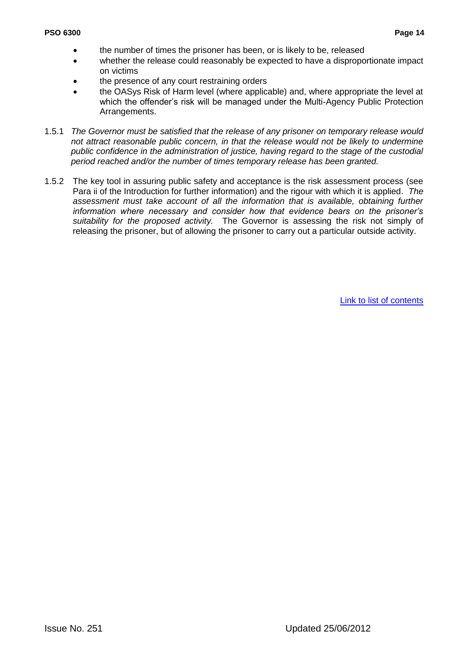- the number of times the prisoner has been, or is likely to be, released
- whether the release could reasonably be expected to have a disproportionate impact on victims
- the presence of any court restraining orders
- the OASys Risk of Harm level (where applicable) and, where appropriate the level at which the offender"s risk will be managed under the Multi-Agency Public Protection Arrangements.
- 1.5.1 *The Governor must be satisfied that the release of any prisoner on temporary release would not attract reasonable public concern, in that the release would not be likely to undermine public confidence in the administration of justice, having regard to the stage of the custodial period reached and/or the number of times temporary release has been granted.*
- 1.5.2 The key tool in assuring public safety and acceptance is the risk assessment process (see Para ii of the Introduction for further information) and the rigour with which it is applied. *The*  assessment must take account of all the information that is available, obtaining further *information where necessary and consider how that evidence bears on the prisoner"s suitability for the proposed activity.* The Governor is assessing the risk not simply of releasing the prisoner, but of allowing the prisoner to carry out a particular outside activity.

[Link to list of contents](#page-5-0)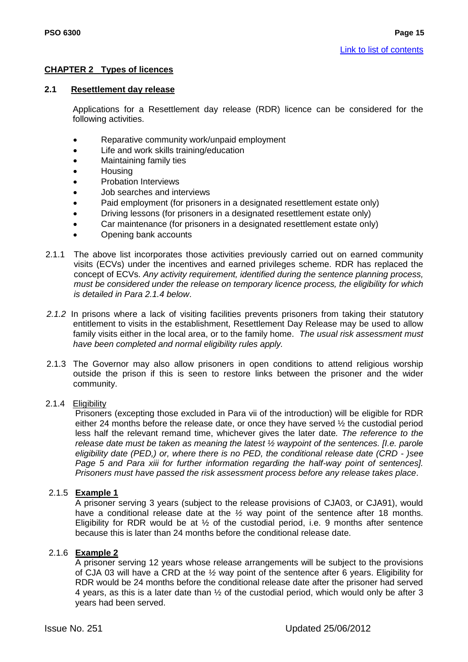# <span id="page-16-0"></span>**CHAPTER 2 Types of licences**

#### **2.1 Resettlement day release**

Applications for a Resettlement day release (RDR) licence can be considered for the following activities.

- Reparative community work/unpaid employment
- Life and work skills training/education
- Maintaining family ties
- Housing
- Probation Interviews
- Job searches and interviews
- Paid employment (for prisoners in a designated resettlement estate only)
- Driving lessons (for prisoners in a designated resettlement estate only)
- Car maintenance (for prisoners in a designated resettlement estate only)
- Opening bank accounts
- 2.1.1 The above list incorporates those activities previously carried out on earned community visits (ECVs) under the incentives and earned privileges scheme. RDR has replaced the concept of ECVs. *Any activity requirement, identified during the sentence planning process, must be considered under the release on temporary licence process, the eligibility for which is detailed in Para 2.1.4 below*.
- *2.1.2* In prisons where a lack of visiting facilities prevents prisoners from taking their statutory entitlement to visits in the establishment, Resettlement Day Release may be used to allow family visits either in the local area, or to the family home. *The usual risk assessment must have been completed and normal eligibility rules apply.*
- 2.1.3 The Governor may also allow prisoners in open conditions to attend religious worship outside the prison if this is seen to restore links between the prisoner and the wider community.

#### 2.1.4 Eligibility

Prisoners (excepting those excluded in Para vii of the introduction) will be eligible for RDR either 24 months before the release date, or once they have served ½ the custodial period less half the relevant remand time, whichever gives the later date*. The reference to the release date must be taken as meaning the latest ½ waypoint of the sentences. [I.e. parole eligibility date (PED,) or, where there is no PED, the conditional release date (CRD - )see Page 5 and Para xiii for further information regarding the half-way point of sentences]. Prisoners must have passed the risk assessment process before any release takes place*.

#### 2.1.5 **Example 1**

A prisoner serving 3 years (subject to the release provisions of CJA03, or CJA91), would have a conditional release date at the *½* way point of the sentence after 18 months. Eligibility for RDR would be at  $\frac{1}{2}$  of the custodial period, i.e. 9 months after sentence because this is later than 24 months before the conditional release date.

#### 2.1.6 **Example 2**

A prisoner serving 12 years whose release arrangements will be subject to the provisions of CJA 03 will have a CRD at the *½* way point of the sentence after 6 years. Eligibility for RDR would be 24 months before the conditional release date after the prisoner had served 4 years, as this is a later date than ½ of the custodial period, which would only be after 3 years had been served.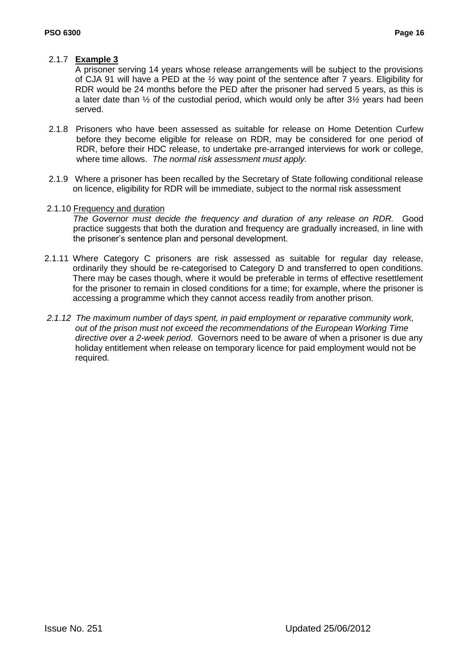# 2.1.7 **Example 3**

A prisoner serving 14 years whose release arrangements will be subject to the provisions of CJA 91 will have a PED at the *½* way point of the sentence after 7 years. Eligibility for RDR would be 24 months before the PED after the prisoner had served 5 years, as this is a later date than ½ of the custodial period, which would only be after 3*½* years had been served.

- 2.1.8 Prisoners who have been assessed as suitable for release on Home Detention Curfew before they become eligible for release on RDR, may be considered for one period of RDR, before their HDC release, to undertake pre-arranged interviews for work or college, where time allows. *The normal risk assessment must apply.*
- 2.1.9 Where a prisoner has been recalled by the Secretary of State following conditional release on licence, eligibility for RDR will be immediate, subject to the normal risk assessment

#### 2.1.10 Frequency and duration

*The Governor must decide the frequency and duration of any release on RDR.* Good practice suggests that both the duration and frequency are gradually increased, in line with the prisoner"s sentence plan and personal development.

- 2.1.11 Where Category C prisoners are risk assessed as suitable for regular day release, ordinarily they should be re-categorised to Category D and transferred to open conditions. There may be cases though, where it would be preferable in terms of effective resettlement for the prisoner to remain in closed conditions for a time; for example, where the prisoner is accessing a programme which they cannot access readily from another prison.
- *2.1.12 The maximum number of days spent, in paid employment or reparative community work, out of the prison must not exceed the recommendations of the European Working Time directive over a 2-week period*. Governors need to be aware of when a prisoner is due any holiday entitlement when release on temporary licence for paid employment would not be required.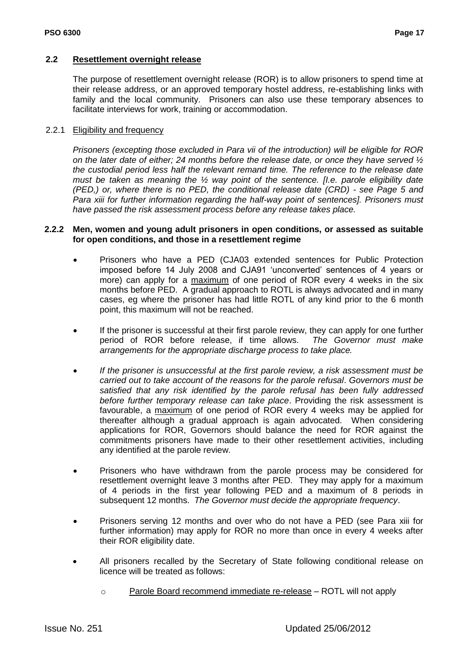#### **2.2 Resettlement overnight release**

The purpose of resettlement overnight release (ROR) is to allow prisoners to spend time at their release address, or an approved temporary hostel address, re-establishing links with family and the local community. Prisoners can also use these temporary absences to facilitate interviews for work, training or accommodation.

#### 2.2.1 Eligibility and frequency

*Prisoners (excepting those excluded in Para vii of the introduction) will be eligible for ROR on the later date of either; 24 months before the release date, or once they have served ½ the custodial period less half the relevant remand time. The reference to the release date must be taken as meaning the ½ way point of the sentence. [I.e. parole eligibility date (PED,) or, where there is no PED, the conditional release date (CRD) - see Page 5 and Para xiii for further information regarding the half-way point of sentences]. Prisoners must have passed the risk assessment process before any release takes place.*

#### **2.2.2 Men, women and young adult prisoners in open conditions, or assessed as suitable for open conditions, and those in a resettlement regime**

- Prisoners who have a PED (CJA03 extended sentences for Public Protection imposed before 14 July 2008 and CJA91 "unconverted" sentences of 4 years or more) can apply for a maximum of one period of ROR every 4 weeks in the six months before PED. A gradual approach to ROTL is always advocated and in many cases, eg where the prisoner has had little ROTL of any kind prior to the 6 month point, this maximum will not be reached.
- If the prisoner is successful at their first parole review, they can apply for one further period of ROR before release, if time allows. *The Governor must make arrangements for the appropriate discharge process to take place.*
- *If the prisoner is unsuccessful at the first parole review, a risk assessment must be carried out to take account of the reasons for the parole refusal*. *Governors must be satisfied that any risk identified by the parole refusal has been fully addressed before further temporary release can take place*. Providing the risk assessment is favourable, a maximum of one period of ROR every 4 weeks may be applied for thereafter although a gradual approach is again advocated. When considering applications for ROR, Governors should balance the need for ROR against the commitments prisoners have made to their other resettlement activities, including any identified at the parole review.
- Prisoners who have withdrawn from the parole process may be considered for resettlement overnight leave 3 months after PED. They may apply for a maximum of 4 periods in the first year following PED and a maximum of 8 periods in subsequent 12 months. *The Governor must decide the appropriate frequency*.
- Prisoners serving 12 months and over who do not have a PED (see Para xiii for further information) may apply for ROR no more than once in every 4 weeks after their ROR eligibility date.
- All prisoners recalled by the Secretary of State following conditional release on licence will be treated as follows:
	- o Parole Board recommend immediate re-release ROTL will not apply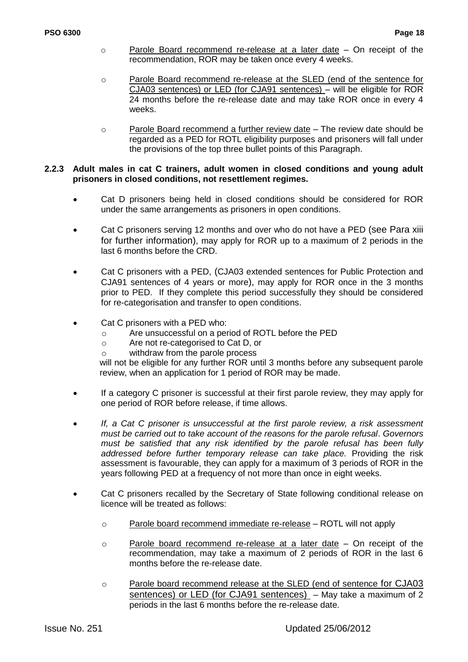- o Parole Board recommend re-release at a later date On receipt of the recommendation, ROR may be taken once every 4 weeks.
- o Parole Board recommend re-release at the SLED (end of the sentence for CJA03 sentences) or LED (for CJA91 sentences) – will be eligible for ROR 24 months before the re-release date and may take ROR once in every 4 weeks.
- o Parole Board recommend a further review date The review date should be regarded as a PED for ROTL eligibility purposes and prisoners will fall under the provisions of the top three bullet points of this Paragraph.

#### **2.2.3 Adult males in cat C trainers, adult women in closed conditions and young adult prisoners in closed conditions, not resettlement regimes.**

- Cat D prisoners being held in closed conditions should be considered for ROR under the same arrangements as prisoners in open conditions.
- Cat C prisoners serving 12 months and over who do not have a PED (see Para xiii for further information), may apply for ROR up to a maximum of 2 periods in the last 6 months before the CRD.
- Cat C prisoners with a PED, (CJA03 extended sentences for Public Protection and CJA91 sentences of 4 years or more), may apply for ROR once in the 3 months prior to PED. If they complete this period successfully they should be considered for re-categorisation and transfer to open conditions.
- Cat C prisoners with a PED who:
	- o Are unsuccessful on a period of ROTL before the PED
	- o Are not re-categorised to Cat D, or
	- o withdraw from the parole process

will not be eligible for any further ROR until 3 months before any subsequent parole review, when an application for 1 period of ROR may be made.

- If a category C prisoner is successful at their first parole review, they may apply for one period of ROR before release, if time allows.
- *If, a Cat C prisoner is unsuccessful at the first parole review, a risk assessment must be carried out to take account of the reasons for the parole refusal*. *Governors must be satisfied that any risk identified by the parole refusal has been fully addressed before further temporary release can take place.* Providing the risk assessment is favourable, they can apply for a maximum of 3 periods of ROR in the years following PED at a frequency of not more than once in eight weeks.
- Cat C prisoners recalled by the Secretary of State following conditional release on licence will be treated as follows:
	- o Parole board recommend immediate re-release ROTL will not apply
	- o Parole board recommend re-release at a later date On receipt of the recommendation, may take a maximum of 2 periods of ROR in the last 6 months before the re-release date.
	- o Parole board recommend release at the SLED (end of sentence for CJA03 sentences) or LED (for CJA91 sentences) - May take a maximum of 2 periods in the last 6 months before the re-release date.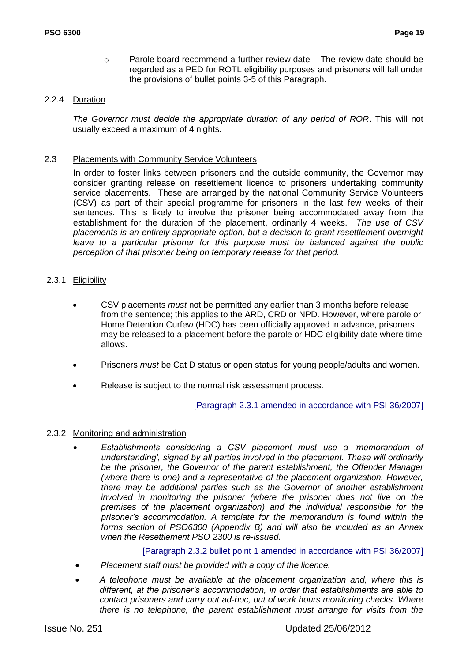$\circ$  Parole board recommend a further review date – The review date should be regarded as a PED for ROTL eligibility purposes and prisoners will fall under the provisions of bullet points 3-5 of this Paragraph.

## 2.2.4 Duration

*The Governor must decide the appropriate duration of any period of ROR*. This will not usually exceed a maximum of 4 nights.

#### 2.3 Placements with Community Service Volunteers

In order to foster links between prisoners and the outside community, the Governor may consider granting release on resettlement licence to prisoners undertaking community service placements. These are arranged by the national Community Service Volunteers (CSV) as part of their special programme for prisoners in the last few weeks of their sentences. This is likely to involve the prisoner being accommodated away from the establishment for the duration of the placement, ordinarily 4 weeks. *The use of CSV placements is an entirely appropriate option, but a decision to grant resettlement overnight*  leave to a particular prisoner for this purpose must be balanced against the public *perception of that prisoner being on temporary release for that period.*

# 2.3.1 Eligibility

- CSV placements *must* not be permitted any earlier than 3 months before release from the sentence; this applies to the ARD, CRD or NPD. However, where parole or Home Detention Curfew (HDC) has been officially approved in advance, prisoners may be released to a placement before the parole or HDC eligibility date where time allows.
- Prisoners *must* be Cat D status or open status for young people/adults and women.
- Release is subject to the normal risk assessment process.

# [Paragraph 2.3.1 amended in accordance with PSI 36/2007]

# 2.3.2 Monitoring and administration

 *Establishments considering a CSV placement must use a "memorandum of understanding", signed by all parties involved in the placement. These will ordinarily be the prisoner, the Governor of the parent establishment, the Offender Manager (where there is one) and a representative of the placement organization. However, there may be additional parties such as the Governor of another establishment involved in monitoring the prisoner (where the prisoner does not live on the premises of the placement organization) and the individual responsible for the prisoner"s accommodation. A template for the memorandum is found within the forms section of PSO6300 (Appendix B) and will also be included as an Annex when the Resettlement PSO 2300 is re-issued.* 

[Paragraph 2.3.2 bullet point 1 amended in accordance with PSI 36/2007]

- *Placement staff must be provided with a copy of the licence.*
- *A telephone must be available at the placement organization and, where this is different, at the prisoner"s accommodation, in order that establishments are able to contact prisoners and carry out ad-hoc, out of work hours monitoring checks*. *Where there is no telephone, the parent establishment must arrange for visits from the*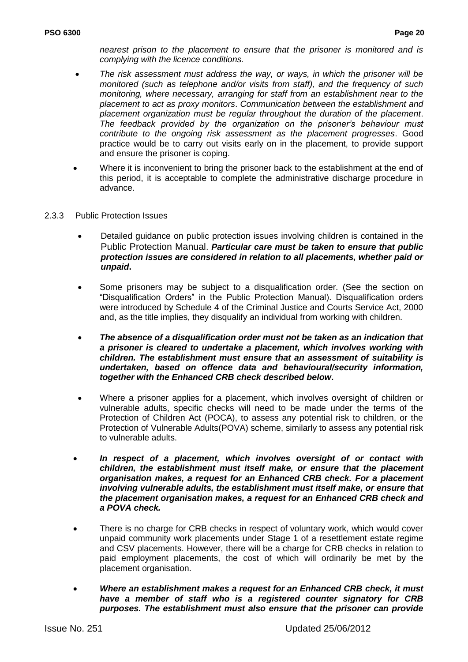*nearest prison to the placement to ensure that the prisoner is monitored and is complying with the licence conditions.* 

- *The risk assessment must address the way, or ways, in which the prisoner will be monitored (such as telephone and/or visits from staff), and the frequency of such monitoring, where necessary, arranging for staff from an establishment near to the placement to act as proxy monitors*. *Communication between the establishment and placement organization must be regular throughout the duration of the placement*. *The feedback provided by the organization on the prisoner"s behaviour must contribute to the ongoing risk assessment as the placement progresses*. Good practice would be to carry out visits early on in the placement, to provide support and ensure the prisoner is coping.
- Where it is inconvenient to bring the prisoner back to the establishment at the end of this period, it is acceptable to complete the administrative discharge procedure in advance.

#### 2.3.3 Public Protection Issues

- Detailed guidance on public protection issues involving children is contained in the Public Protection Manual. *Particular care must be taken to ensure that public protection issues are considered in relation to all placements, whether paid or unpaid***.**
- Some prisoners may be subject to a disqualification order. (See the section on "Disqualification Orders" in the Public Protection Manual). Disqualification orders were introduced by Schedule 4 of the Criminal Justice and Courts Service Act, 2000 and, as the title implies, they disqualify an individual from working with children.
- *The absence of a disqualification order must not be taken as an indication that a prisoner is cleared to undertake a placement, which involves working with children. The establishment must ensure that an assessment of suitability is undertaken, based on offence data and behavioural/security information, together with the Enhanced CRB check described below***.**
- Where a prisoner applies for a placement, which involves oversight of children or vulnerable adults, specific checks will need to be made under the terms of the Protection of Children Act (POCA), to assess any potential risk to children, or the Protection of Vulnerable Adults(POVA) scheme, similarly to assess any potential risk to vulnerable adults.
- *In respect of a placement, which involves oversight of or contact with children, the establishment must itself make, or ensure that the placement organisation makes, a request for an Enhanced CRB check. For a placement involving vulnerable adults, the establishment must itself make, or ensure that the placement organisation makes, a request for an Enhanced CRB check and a POVA check.*
- There is no charge for CRB checks in respect of voluntary work, which would cover unpaid community work placements under Stage 1 of a resettlement estate regime and CSV placements. However, there will be a charge for CRB checks in relation to paid employment placements, the cost of which will ordinarily be met by the placement organisation.
- *Where an establishment makes a request for an Enhanced CRB check, it must have a member of staff who is a registered counter signatory for CRB purposes. The establishment must also ensure that the prisoner can provide*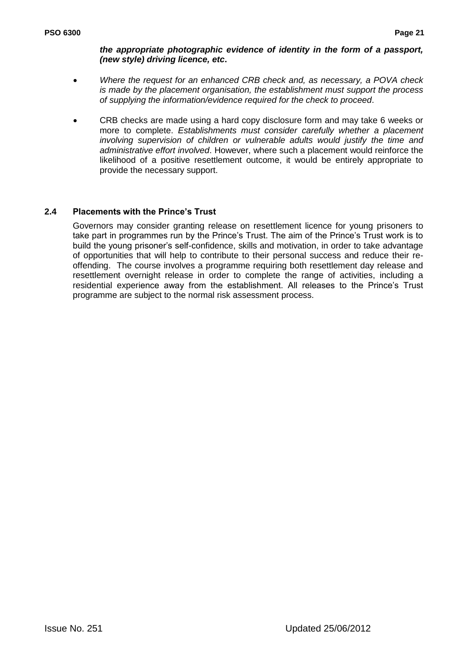## *the appropriate photographic evidence of identity in the form of a passport, (new style) driving licence, etc***.**

- *Where the request for an enhanced CRB check and, as necessary, a POVA check is made by the placement organisation, the establishment must support the process of supplying the information/evidence required for the check to proceed*.
- CRB checks are made using a hard copy disclosure form and may take 6 weeks or more to complete. *Establishments must consider carefully whether a placement involving supervision of children or vulnerable adults would justify the time and administrative effort involved*. However, where such a placement would reinforce the likelihood of a positive resettlement outcome, it would be entirely appropriate to provide the necessary support.

# **2.4 Placements with the Prince's Trust**

Governors may consider granting release on resettlement licence for young prisoners to take part in programmes run by the Prince"s Trust. The aim of the Prince"s Trust work is to build the young prisoner"s self-confidence, skills and motivation, in order to take advantage of opportunities that will help to contribute to their personal success and reduce their reoffending. The course involves a programme requiring both resettlement day release and resettlement overnight release in order to complete the range of activities, including a residential experience away from the establishment. All releases to the Prince"s Trust programme are subject to the normal risk assessment process.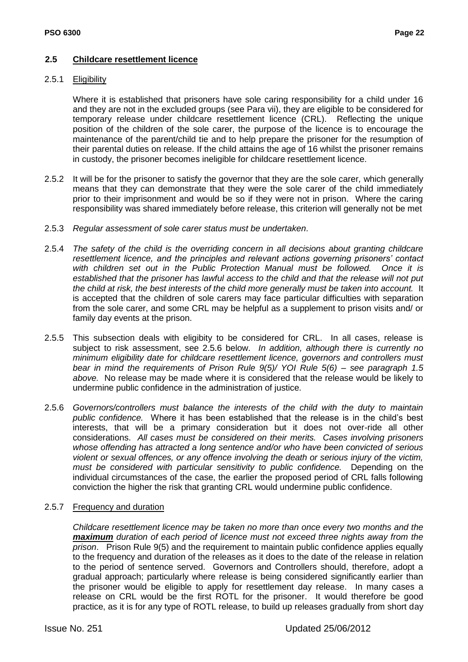## **2.5 Childcare resettlement licence**

#### 2.5.1 Eligibility

Where it is established that prisoners have sole caring responsibility for a child under 16 and they are not in the excluded groups (see Para vii), they are eligible to be considered for temporary release under childcare resettlement licence (CRL). Reflecting the unique position of the children of the sole carer, the purpose of the licence is to encourage the maintenance of the parent/child tie and to help prepare the prisoner for the resumption of their parental duties on release. If the child attains the age of 16 whilst the prisoner remains in custody, the prisoner becomes ineligible for childcare resettlement licence.

- 2.5.2 It will be for the prisoner to satisfy the governor that they are the sole carer*,* which generally means that they can demonstrate that they were the sole carer of the child immediately prior to their imprisonment and would be so if they were not in prison. Where the caring responsibility was shared immediately before release, this criterion will generally not be met
- 2.5.3 *Regular assessment of sole carer status must be undertaken*.
- 2.5.4 *The safety of the child is the overriding concern in all decisions about granting childcare resettlement licence, and the principles and relevant actions governing prisoners" contact with children set out in the Public Protection Manual must be followed. Once it is established that the prisoner has lawful access to the child and that the release will not put the child at risk, the best interests of the child more generally must be taken into account.* It is accepted that the children of sole carers may face particular difficulties with separation from the sole carer, and some CRL may be helpful as a supplement to prison visits and/ or family day events at the prison.
- 2.5.5 This subsection deals with eligibity to be considered for CRL. In all cases, release is subject to risk assessment, see 2.5.6 below. *In addition, although there is currently no minimum eligibility date for childcare resettlement licence, governors and controllers must bear in mind the requirements of Prison Rule 9(5)/ YOI Rule 5(6) – see paragraph 1.5 above.* No release may be made where it is considered that the release would be likely to undermine public confidence in the administration of justice.
- 2.5.6 *Governors/controllers must balance the interests of the child with the duty to maintain public confidence.* Where it has been established that the release is in the child"s best interests, that will be a primary consideration but it does not over-ride all other considerations. *All cases must be considered on their merits. Cases involving prisoners whose offending has attracted a long sentence and/or who have been convicted of serious violent or sexual offences, or any offence involving the death or serious injury of the victim, must be considered with particular sensitivity to public confidence.* Depending on the individual circumstances of the case, the earlier the proposed period of CRL falls following conviction the higher the risk that granting CRL would undermine public confidence.

#### 2.5.7 Frequency and duration

*Childcare resettlement licence may be taken no more than once every two months and the maximum duration of each period of licence must not exceed three nights away from the prison*. Prison Rule 9(5) and the requirement to maintain public confidence applies equally to the frequency and duration of the releases as it does to the date of the release in relation to the period of sentence served. Governors and Controllers should, therefore, adopt a gradual approach; particularly where release is being considered significantly earlier than the prisoner would be eligible to apply for resettlement day release. In many cases a release on CRL would be the first ROTL for the prisoner. It would therefore be good practice, as it is for any type of ROTL release, to build up releases gradually from short day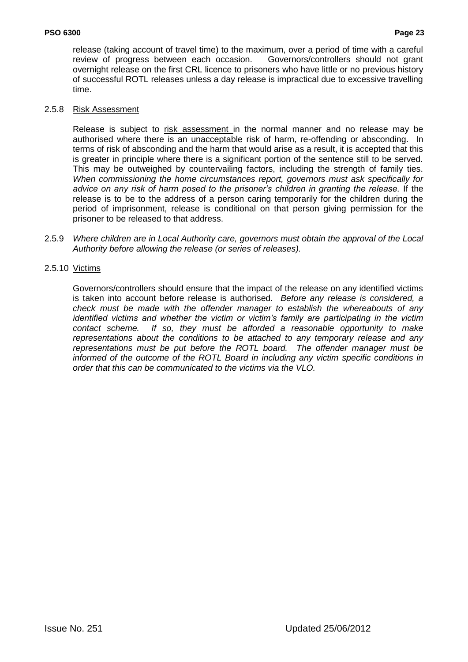release (taking account of travel time) to the maximum, over a period of time with a careful review of progress between each occasion. Governors/controllers should not grant overnight release on the first CRL licence to prisoners who have little or no previous history of successful ROTL releases unless a day release is impractical due to excessive travelling time.

#### 2.5.8 Risk Assessment

Release is subject to risk assessment in the normal manner and no release may be authorised where there is an unacceptable risk of harm, re-offending or absconding. In terms of risk of absconding and the harm that would arise as a result, it is accepted that this is greater in principle where there is a significant portion of the sentence still to be served. This may be outweighed by countervailing factors, including the strength of family ties. *When commissioning the home circumstances report, governors must ask specifically for advice on any risk of harm posed to the prisoner"s children in granting the release.* If the release is to be to the address of a person caring temporarily for the children during the period of imprisonment, release is conditional on that person giving permission for the prisoner to be released to that address.

2.5.9 *Where children are in Local Authority care, governors must obtain the approval of the Local Authority before allowing the release (or series of releases).*

# 2.5.10 Victims

Governors/controllers should ensure that the impact of the release on any identified victims is taken into account before release is authorised. *Before any release is considered, a check must be made with the offender manager to establish the whereabouts of any identified victims and whether the victim or victim"s family are participating in the victim contact scheme. If so, they must be afforded a reasonable opportunity to make representations about the conditions to be attached to any temporary release and any representations must be put before the ROTL board. The offender manager must be informed of the outcome of the ROTL Board in including any victim specific conditions in order that this can be communicated to the victims via the VLO.*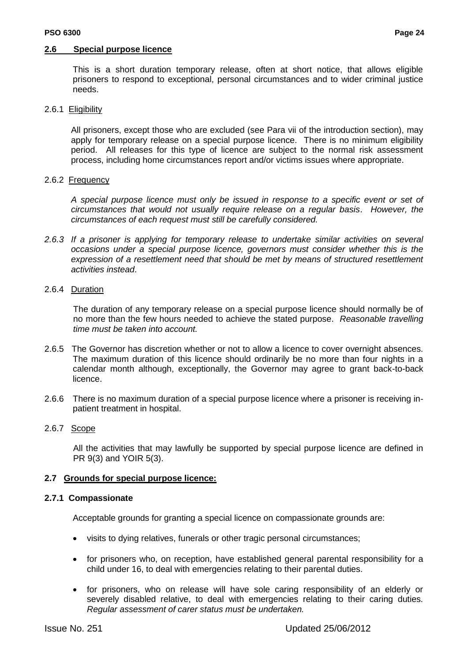#### **2.6 Special purpose licence**

This is a short duration temporary release, often at short notice, that allows eligible prisoners to respond to exceptional, personal circumstances and to wider criminal justice needs.

#### 2.6.1 Eligibility

All prisoners, except those who are excluded (see Para vii of the introduction section), may apply for temporary release on a special purpose licence. There is no minimum eligibility period. All releases for this type of licence are subject to the normal risk assessment process, including home circumstances report and/or victims issues where appropriate.

#### 2.6.2 Frequency

*A special purpose licence must only be issued in response to a specific event or set of circumstances that would not usually require release on a regular basis*. *However, the circumstances of each request must still be carefully considered.*

*2.6.3 If a prisoner is applying for temporary release to undertake similar activities on several occasions under a special purpose licence, governors must consider whether this is the expression of a resettlement need that should be met by means of structured resettlement activities instead*.

#### 2.6.4 Duration

The duration of any temporary release on a special purpose licence should normally be of no more than the few hours needed to achieve the stated purpose. *Reasonable travelling time must be taken into account.*

- 2.6.5 The Governor has discretion whether or not to allow a licence to cover overnight absences. The maximum duration of this licence should ordinarily be no more than four nights in a calendar month although, exceptionally, the Governor may agree to grant back-to-back licence.
- 2.6.6 There is no maximum duration of a special purpose licence where a prisoner is receiving inpatient treatment in hospital.

# 2.6.7 Scope

All the activities that may lawfully be supported by special purpose licence are defined in PR 9(3) and YOIR 5(3).

# **2.7 Grounds for special purpose licence:**

#### **2.7.1 Compassionate**

Acceptable grounds for granting a special licence on compassionate grounds are:

- visits to dying relatives, funerals or other tragic personal circumstances;
- for prisoners who, on reception, have established general parental responsibility for a child under 16, to deal with emergencies relating to their parental duties.
- for prisoners, who on release will have sole caring responsibility of an elderly or severely disabled relative, to deal with emergencies relating to their caring duties*. Regular assessment of carer status must be undertaken.*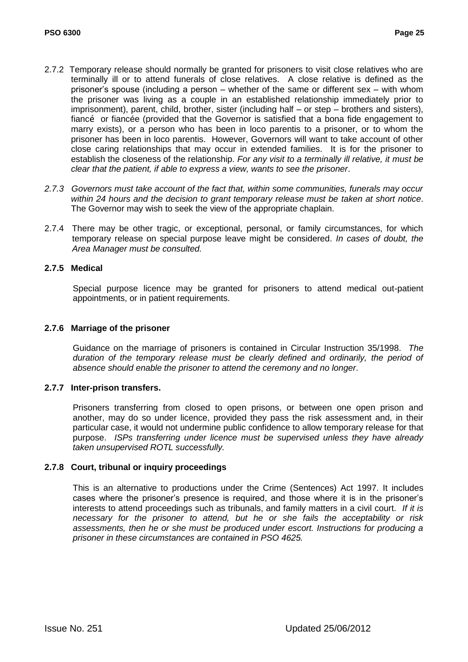- 2.7.2 Temporary release should normally be granted for prisoners to visit close relatives who are terminally ill or to attend funerals of close relatives. A close relative is defined as the prisoner"s spouse (including a person – whether of the same or different sex – with whom the prisoner was living as a couple in an established relationship immediately prior to imprisonment), parent, child, brother, sister (including half – or step – brothers and sisters), fiancé or fiancée (provided that the Governor is satisfied that a bona fide engagement to marry exists), or a person who has been in loco parentis to a prisoner, or to whom the prisoner has been in loco parentis. However, Governors will want to take account of other close caring relationships that may occur in extended families. It is for the prisoner to establish the closeness of the relationship. *For any visit to a terminally ill relative, it must be clear that the patient, if able to express a view, wants to see the prisoner*.
- *2.7.3 Governors must take account of the fact that, within some communities, funerals may occur within 24 hours and the decision to grant temporary release must be taken at short notice*. The Governor may wish to seek the view of the appropriate chaplain.
- 2.7.4 There may be other tragic, or exceptional, personal, or family circumstances, for which temporary release on special purpose leave might be considered. *In cases of doubt, the Area Manager must be consulted.*

# **2.7.5 Medical**

Special purpose licence may be granted for prisoners to attend medical out-patient appointments, or in patient requirements.

#### **2.7.6 Marriage of the prisoner**

Guidance on the marriage of prisoners is contained in Circular Instruction 35/1998. *The duration of the temporary release must be clearly defined and ordinarily, the period of absence should enable the prisoner to attend the ceremony and no longer*.

# **2.7.7 Inter-prison transfers.**

Prisoners transferring from closed to open prisons, or between one open prison and another, may do so under licence, provided they pass the risk assessment and, in their particular case, it would not undermine public confidence to allow temporary release for that purpose. *ISPs transferring under licence must be supervised unless they have already taken unsupervised ROTL successfully.*

#### **2.7.8 Court, tribunal or inquiry proceedings**

This is an alternative to productions under the Crime (Sentences) Act 1997. It includes cases where the prisoner"s presence is required, and those where it is in the prisoner"s interests to attend proceedings such as tribunals, and family matters in a civil court. *If it is necessary for the prisoner to attend, but he or she fails the acceptability or risk assessments, then he or she must be produced under escort. Instructions for producing a prisoner in these circumstances are contained in PSO 4625.*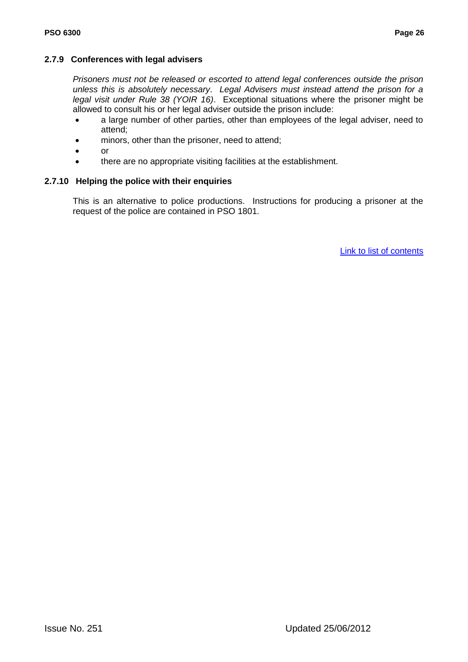#### **2.7.9 Conferences with legal advisers**

*Prisoners must not be released or escorted to attend legal conferences outside the prison unless this is absolutely necessary*. *Legal Advisers must instead attend the prison for a legal visit under Rule 38 (YOIR 16)*. Exceptional situations where the prisoner might be allowed to consult his or her legal adviser outside the prison include:

- a large number of other parties, other than employees of the legal adviser, need to attend;
- minors, other than the prisoner, need to attend;
- or
- there are no appropriate visiting facilities at the establishment.

#### **2.7.10 Helping the police with their enquiries**

This is an alternative to police productions. Instructions for producing a prisoner at the request of the police are contained in PSO 1801.

[Link to list of contents](#page-5-0)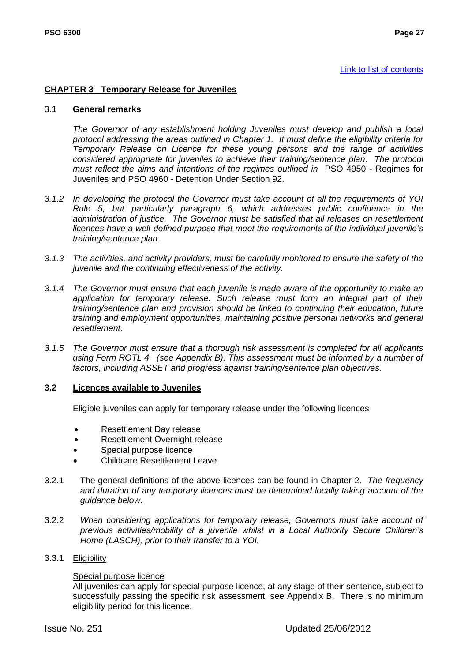#### [Link to list of contents](#page-5-0)

# <span id="page-28-0"></span>**CHAPTER 3 Temporary Release for Juveniles**

#### 3.1 **General remarks**

*The Governor of any establishment holding Juveniles must develop and publish a local protocol addressing the areas outlined in Chapter 1. It must define the eligibility criteria for Temporary Release on Licence for these young persons and the range of activities considered appropriate for juveniles to achieve their training/sentence plan*. *The protocol must reflect the aims and intentions of the regimes outlined in* PSO 4950 - Regimes for Juveniles and PSO 4960 - Detention Under Section 92.

- *3.1.2 In developing the protocol the Governor must take account of all the requirements of YOI Rule 5, but particularly paragraph 6, which addresses public confidence in the administration of justice. The Governor must be satisfied that all releases on resettlement licences have a well-defined purpose that meet the requirements of the individual juvenile"s training/sentence plan*.
- *3.1.3 The activities, and activity providers, must be carefully monitored to ensure the safety of the juvenile and the continuing effectiveness of the activity.*
- *3.1.4 The Governor must ensure that each juvenile is made aware of the opportunity to make an application for temporary release. Such release must form an integral part of their training/sentence plan and provision should be linked to continuing their education, future training and employment opportunities, maintaining positive personal networks and general resettlement.*
- *3.1.5 The Governor must ensure that a thorough risk assessment is completed for all applicants using Form ROTL 4 (see Appendix B). This assessment must be informed by a number of factors, including ASSET and progress against training/sentence plan objectives.*

#### **3.2 Licences available to Juveniles**

Eligible juveniles can apply for temporary release under the following licences

- Resettlement Day release
- Resettlement Overnight release
- Special purpose licence
- Childcare Resettlement Leave
- 3.2.1 The general definitions of the above licences can be found in Chapter 2. *The frequency and duration of any temporary licences must be determined locally taking account of the guidance below*.
- 3.2.2 *When considering applications for temporary release, Governors must take account of previous activities/mobility of a juvenile whilst in a Local Authority Secure Children"s Home (LASCH), prior to their transfer to a YOI.*

# 3.3.1 Eligibility

#### Special purpose licence

All juveniles can apply for special purpose licence, at any stage of their sentence, subject to successfully passing the specific risk assessment, see Appendix B. There is no minimum eligibility period for this licence.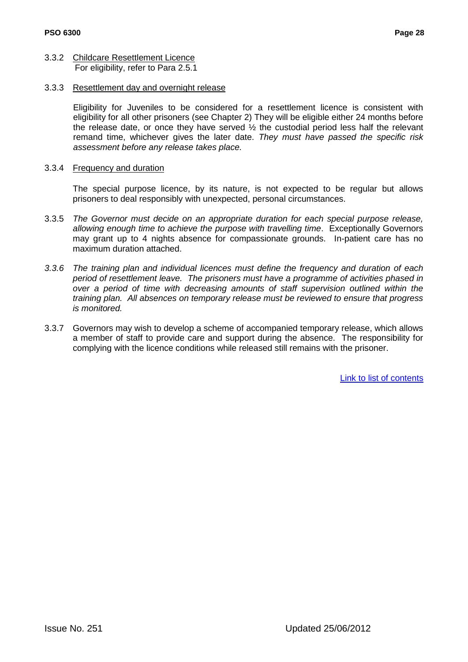- 3.3.2 Childcare Resettlement Licence For eligibility, refer to Para 2.5.1
- 3.3.3 Resettlement day and overnight release

Eligibility for Juveniles to be considered for a resettlement licence is consistent with eligibility for all other prisoners (see Chapter 2) They will be eligible either 24 months before the release date, or once they have served  $\frac{1}{2}$  the custodial period less half the relevant remand time, whichever gives the later date. *They must have passed the specific risk assessment before any release takes place.*

3.3.4 Frequency and duration

The special purpose licence, by its nature, is not expected to be regular but allows prisoners to deal responsibly with unexpected, personal circumstances.

- 3.3.5 *The Governor must decide on an appropriate duration for each special purpose release, allowing enough time to achieve the purpose with travelling time*. Exceptionally Governors may grant up to 4 nights absence for compassionate grounds. In-patient care has no maximum duration attached.
- *3.3.6 The training plan and individual licences must define the frequency and duration of each period of resettlement leave. The prisoners must have a programme of activities phased in over a period of time with decreasing amounts of staff supervision outlined within the training plan. All absences on temporary release must be reviewed to ensure that progress is monitored.*
- 3.3.7 Governors may wish to develop a scheme of accompanied temporary release, which allows a member of staff to provide care and support during the absence. The responsibility for complying with the licence conditions while released still remains with the prisoner.

[Link to list of contents](#page-5-0)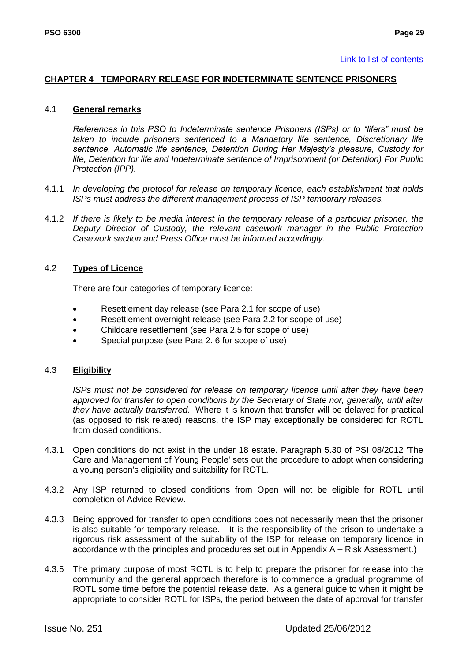# <span id="page-30-0"></span>**CHAPTER 4 TEMPORARY RELEASE FOR INDETERMINATE SENTENCE PRISONERS**

#### 4.1 **General remarks**

*References in this PSO to Indeterminate sentence Prisoners (ISPs) or to "lifers" must be taken to include prisoners sentenced to a Mandatory life sentence, Discretionary life sentence, Automatic life sentence, Detention During Her Majesty"s pleasure, Custody for life, Detention for life and Indeterminate sentence of Imprisonment (or Detention) For Public Protection (IPP).*

- 4.1.1 *In developing the protocol for release on temporary licence, each establishment that holds ISPs must address the different management process of ISP temporary releases.*
- 4.1.2 *If there is likely to be media interest in the temporary release of a particular prisoner, the Deputy Director of Custody, the relevant casework manager in the Public Protection Casework section and Press Office must be informed accordingly.*

# 4.2 **Types of Licence**

There are four categories of temporary licence:

- Resettlement day release (see Para 2.1 for scope of use)
- Resettlement overnight release (see Para 2.2 for scope of use)
- Childcare resettlement (see Para 2.5 for scope of use)
- Special purpose (see Para 2. 6 for scope of use)

# 4.3 **Eligibility**

*ISPs must not be considered for release on temporary licence until after they have been approved for transfer to open conditions by the Secretary of State nor, generally, until after they have actually transferred*. Where it is known that transfer will be delayed for practical (as opposed to risk related) reasons, the ISP may exceptionally be considered for ROTL from closed conditions.

- 4.3.1 Open conditions do not exist in the under 18 estate. Paragraph 5.30 of PSI 08/2012 'The Care and Management of Young People' sets out the procedure to adopt when considering a young person's eligibility and suitability for ROTL.
- 4.3.2 Any ISP returned to closed conditions from Open will not be eligible for ROTL until completion of Advice Review.
- 4.3.3 Being approved for transfer to open conditions does not necessarily mean that the prisoner is also suitable for temporary release. It is the responsibility of the prison to undertake a rigorous risk assessment of the suitability of the ISP for release on temporary licence in accordance with the principles and procedures set out in Appendix A – Risk Assessment.)
- 4.3.5 The primary purpose of most ROTL is to help to prepare the prisoner for release into the community and the general approach therefore is to commence a gradual programme of ROTL some time before the potential release date. As a general guide to when it might be appropriate to consider ROTL for ISPs, the period between the date of approval for transfer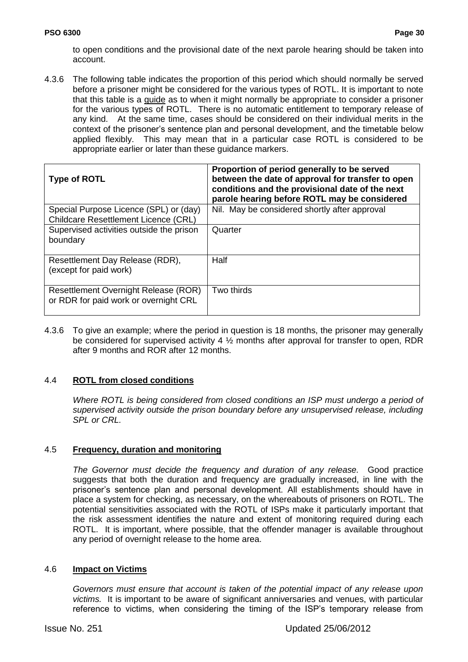to open conditions and the provisional date of the next parole hearing should be taken into account.

4.3.6 The following table indicates the proportion of this period which should normally be served before a prisoner might be considered for the various types of ROTL. It is important to note that this table is a guide as to when it might normally be appropriate to consider a prisoner for the various types of ROTL. There is no automatic entitlement to temporary release of any kind. At the same time, cases should be considered on their individual merits in the context of the prisoner"s sentence plan and personal development, and the timetable below applied flexibly. This may mean that in a particular case ROTL is considered to be appropriate earlier or later than these guidance markers.

| <b>Type of ROTL</b>                                                                   | Proportion of period generally to be served<br>between the date of approval for transfer to open<br>conditions and the provisional date of the next<br>parole hearing before ROTL may be considered |
|---------------------------------------------------------------------------------------|-----------------------------------------------------------------------------------------------------------------------------------------------------------------------------------------------------|
| Special Purpose Licence (SPL) or (day)<br><b>Childcare Resettlement Licence (CRL)</b> | Nil. May be considered shortly after approval                                                                                                                                                       |
| Supervised activities outside the prison<br>boundary                                  | Quarter                                                                                                                                                                                             |
| Resettlement Day Release (RDR),<br>(except for paid work)                             | Half                                                                                                                                                                                                |
| Resettlement Overnight Release (ROR)<br>or RDR for paid work or overnight CRL         | Two thirds                                                                                                                                                                                          |

4.3.6 To give an example; where the period in question is 18 months, the prisoner may generally be considered for supervised activity 4 ½ months after approval for transfer to open, RDR after 9 months and ROR after 12 months.

# 4.4 **ROTL from closed conditions**

*Where ROTL is being considered from closed conditions an ISP must undergo a period of supervised activity outside the prison boundary before any unsupervised release, including SPL or CRL.*

# 4.5 **Frequency, duration and monitoring**

*The Governor must decide the frequency and duration of any release.* Good practice suggests that both the duration and frequency are gradually increased, in line with the prisoner"s sentence plan and personal development. All establishments should have in place a system for checking, as necessary, on the whereabouts of prisoners on ROTL. The potential sensitivities associated with the ROTL of ISPs make it particularly important that the risk assessment identifies the nature and extent of monitoring required during each ROTL. It is important, where possible, that the offender manager is available throughout any period of overnight release to the home area.

#### 4.6 **Impact on Victims**

*Governors must ensure that account is taken of the potential impact of any release upon victims.* It is important to be aware of significant anniversaries and venues, with particular reference to victims, when considering the timing of the ISP"s temporary release from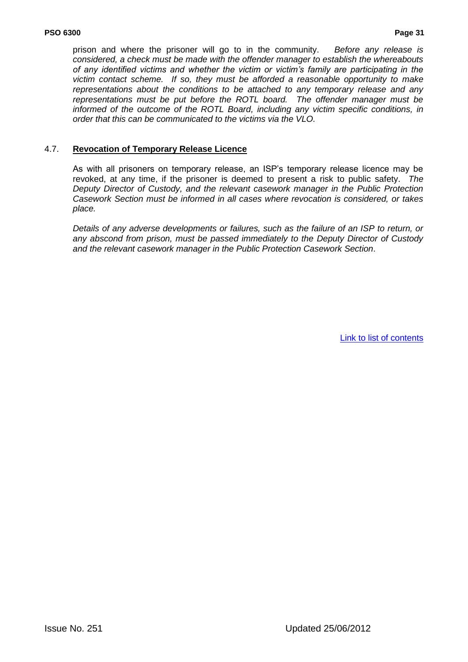prison and where the prisoner will go to in the community. *Before any release is considered, a check must be made with the offender manager to establish the whereabouts of any identified victims and whether the victim or victim"s family are participating in the victim contact scheme. If so, they must be afforded a reasonable opportunity to make representations about the conditions to be attached to any temporary release and any representations must be put before the ROTL board. The offender manager must be informed of the outcome of the ROTL Board, including any victim specific conditions, in order that this can be communicated to the victims via the VLO.* 

#### 4.7. **Revocation of Temporary Release Licence**

As with all prisoners on temporary release, an ISP"s temporary release licence may be revoked, at any time, if the prisoner is deemed to present a risk to public safety. *The Deputy Director of Custody, and the relevant casework manager in the Public Protection Casework Section must be informed in all cases where revocation is considered, or takes place.*

*Details of any adverse developments or failures, such as the failure of an ISP to return, or any abscond from prison, must be passed immediately to the Deputy Director of Custody and the relevant casework manager in the Public Protection Casework Section*.

[Link to list of contents](#page-5-0)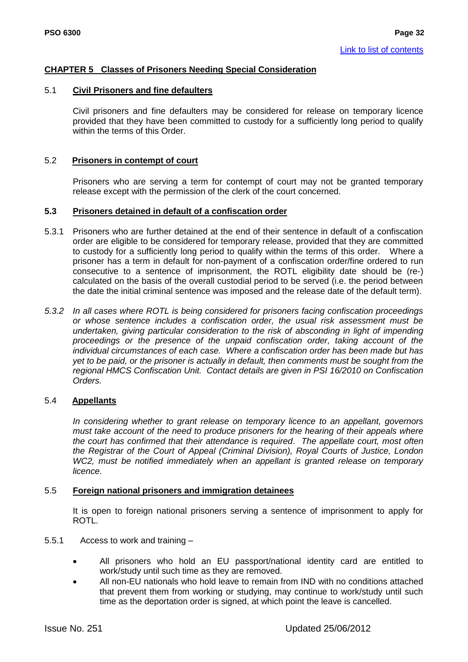# <span id="page-33-0"></span>**CHAPTER 5 Classes of Prisoners Needing Special Consideration**

#### 5.1 **Civil Prisoners and fine defaulters**

Civil prisoners and fine defaulters may be considered for release on temporary licence provided that they have been committed to custody for a sufficiently long period to qualify within the terms of this Order.

#### 5.2 **Prisoners in contempt of court**

Prisoners who are serving a term for contempt of court may not be granted temporary release except with the permission of the clerk of the court concerned.

#### **5.3 Prisoners detained in default of a confiscation order**

- 5.3.1 Prisoners who are further detained at the end of their sentence in default of a confiscation order are eligible to be considered for temporary release, provided that they are committed to custody for a sufficiently long period to qualify within the terms of this order. Where a prisoner has a term in default for non-payment of a confiscation order/fine ordered to run consecutive to a sentence of imprisonment, the ROTL eligibility date should be (re-) calculated on the basis of the overall custodial period to be served (i.e. the period between the date the initial criminal sentence was imposed and the release date of the default term).
- *5.3.2 In all cases where ROTL is being considered for prisoners facing confiscation proceedings or whose sentence includes a confiscation order, the usual risk assessment must be undertaken, giving particular consideration to the risk of absconding in light of impending proceedings or the presence of the unpaid confiscation order, taking account of the individual circumstances of each case. Where a confiscation order has been made but has yet to be paid, or the prisoner is actually in default, then comments must be sought from the regional HMCS Confiscation Unit. Contact details are given in PSI 16/2010 on Confiscation Orders.*

#### 5.4 **Appellants**

*In considering whether to grant release on temporary licence to an appellant, governors must take account of the need to produce prisoners for the hearing of their appeals where the court has confirmed that their attendance is required*. *The appellate court, most often the Registrar of the Court of Appeal (Criminal Division), Royal Courts of Justice, London WC2, must be notified immediately when an appellant is granted release on temporary licence.*

#### 5.5 **Foreign national prisoners and immigration detainees**

It is open to foreign national prisoners serving a sentence of imprisonment to apply for ROTL.

- 5.5.1 Access to work and training
	- All prisoners who hold an EU passport/national identity card are entitled to work/study until such time as they are removed.
	- All non-EU nationals who hold leave to remain from IND with no conditions attached that prevent them from working or studying, may continue to work/study until such time as the deportation order is signed, at which point the leave is cancelled.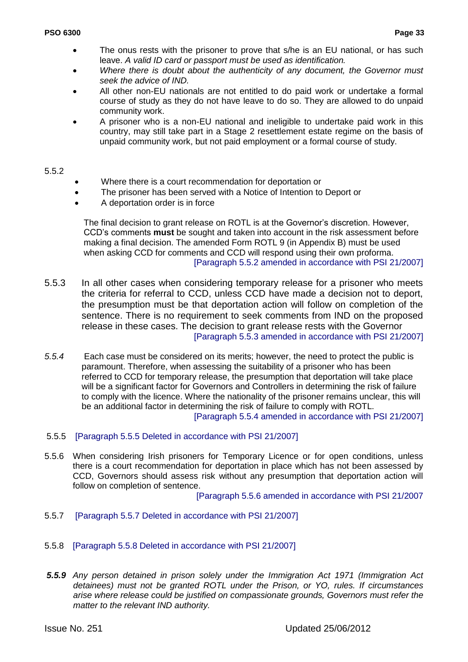- The onus rests with the prisoner to prove that s/he is an EU national, or has such leave. *A valid ID card or passport must be used as identification.*
- *Where there is doubt about the authenticity of any document, the Governor must seek the advice of IND.*
- All other non-EU nationals are not entitled to do paid work or undertake a formal course of study as they do not have leave to do so. They are allowed to do unpaid community work.
- A prisoner who is a non-EU national and ineligible to undertake paid work in this country, may still take part in a Stage 2 resettlement estate regime on the basis of unpaid community work, but not paid employment or a formal course of study.

#### 5.5.2

- Where there is a court recommendation for deportation or
- The prisoner has been served with a Notice of Intention to Deport or
- A deportation order is in force

The final decision to grant release on ROTL is at the Governor"s discretion. However, CCD"s comments **must** be sought and taken into account in the risk assessment before making a final decision. The amended Form ROTL 9 (in Appendix B) must be used when asking CCD for comments and CCD will respond using their own proforma. [Paragraph 5.5.2 amended in accordance with PSI 21/2007]

- 5.5.3 In all other cases when considering temporary release for a prisoner who meets the criteria for referral to CCD, unless CCD have made a decision not to deport, the presumption must be that deportation action will follow on completion of the sentence. There is no requirement to seek comments from IND on the proposed release in these cases. The decision to grant release rests with the Governor [Paragraph 5.5.3 amended in accordance with PSI 21/2007]
- *5.5.4* Each case must be considered on its merits; however, the need to protect the public is paramount. Therefore, when assessing the suitability of a prisoner who has been referred to CCD for temporary release, the presumption that deportation will take place will be a significant factor for Governors and Controllers in determining the risk of failure to comply with the licence. Where the nationality of the prisoner remains unclear, this will be an additional factor in determining the risk of failure to comply with ROTL. [Paragraph 5.5.4 amended in accordance with PSI 21/2007]
- 5.5.5 [Paragraph 5.5.5 Deleted in accordance with PSI 21/2007]
- 5.5.6 When considering Irish prisoners for Temporary Licence or for open conditions, unless there is a court recommendation for deportation in place which has not been assessed by CCD, Governors should assess risk without any presumption that deportation action will follow on completion of sentence.

[Paragraph 5.5.6 amended in accordance with PSI 21/2007

- 5.5.7 [Paragraph 5.5.7 Deleted in accordance with PSI 21/2007]
- 5.5.8 [Paragraph 5.5.8 Deleted in accordance with PSI 21/2007]
- *5.5.9 Any person detained in prison solely under the Immigration Act 1971 (Immigration Act detainees) must not be granted ROTL under the Prison, or YO, rules. If circumstances arise where release could be justified on compassionate grounds, Governors must refer the matter to the relevant IND authority.*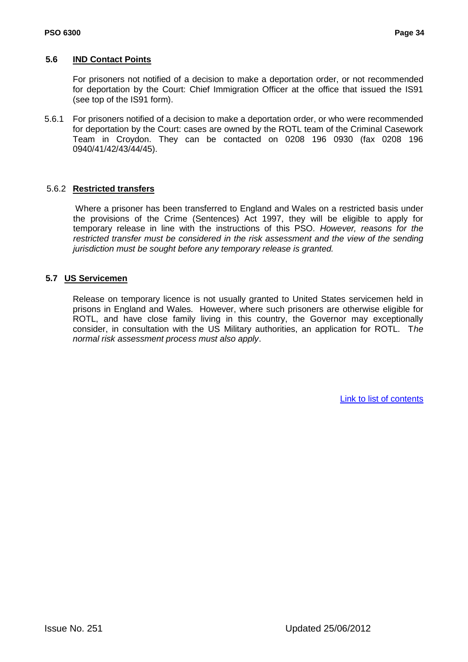## **5.6 IND Contact Points**

For prisoners not notified of a decision to make a deportation order, or not recommended for deportation by the Court: Chief Immigration Officer at the office that issued the IS91 (see top of the IS91 form).

5.6.1 For prisoners notified of a decision to make a deportation order, or who were recommended for deportation by the Court: cases are owned by the ROTL team of the Criminal Casework Team in Croydon. They can be contacted on 0208 196 0930 (fax 0208 196 0940/41/42/43/44/45).

# 5.6.2 **Restricted transfers**

Where a prisoner has been transferred to England and Wales on a restricted basis under the provisions of the Crime (Sentences) Act 1997, they will be eligible to apply for temporary release in line with the instructions of this PSO. *However, reasons for the restricted transfer must be considered in the risk assessment and the view of the sending jurisdiction must be sought before any temporary release is granted.*

# **5.7 US Servicemen**

Release on temporary licence is not usually granted to United States servicemen held in prisons in England and Wales. However, where such prisoners are otherwise eligible for ROTL, and have close family living in this country, the Governor may exceptionally consider, in consultation with the US Military authorities, an application for ROTL. T*he normal risk assessment process must also apply*.

[Link to list of contents](#page-5-0)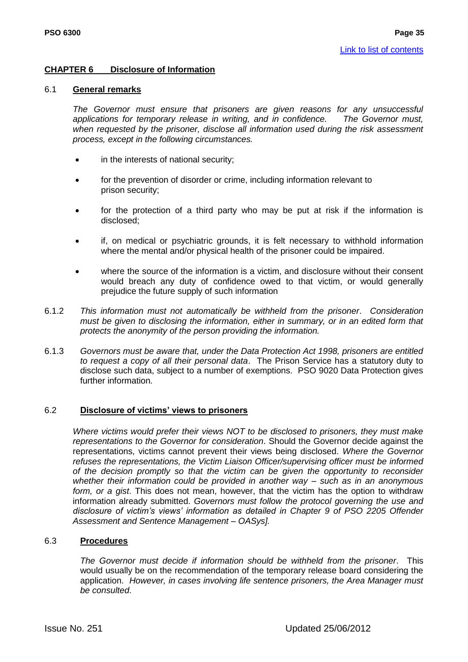#### **CHAPTER 6 Disclosure of Information**

#### 6.1 **General remarks**

*The Governor must ensure that prisoners are given reasons for any unsuccessful applications for temporary release in writing, and in confidence. The Governor must, when requested by the prisoner, disclose all information used during the risk assessment process, except in the following circumstances.*

- in the interests of national security;
- for the prevention of disorder or crime, including information relevant to prison security;
- for the protection of a third party who may be put at risk if the information is disclosed;
- if, on medical or psychiatric grounds, it is felt necessary to withhold information where the mental and/or physical health of the prisoner could be impaired.
- where the source of the information is a victim, and disclosure without their consent would breach any duty of confidence owed to that victim, or would generally prejudice the future supply of such information
- 6.1.2 *This information must not automatically be withheld from the prisoner*. *Consideration must be given to disclosing the information, either in summary, or in an edited form that protects the anonymity of the person providing the information.*
- 6.1.3 *Governors must be aware that, under the Data Protection Act 1998, prisoners are entitled to request a copy of all their personal data*. The Prison Service has a statutory duty to disclose such data, subject to a number of exemptions. PSO 9020 Data Protection gives further information.

#### 6.2 **Disclosure of victims' views to prisoners**

*Where victims would prefer their views NOT to be disclosed to prisoners, they must make representations to the Governor for consideration*. Should the Governor decide against the representations, victims cannot prevent their views being disclosed. *Where the Governor refuses the representations, the Victim Liaison Officer/supervising officer must be informed of the decision promptly so that the victim can be given the opportunity to reconsider whether their information could be provided in another way – such as in an anonymous form, or a gist*. This does not mean, however, that the victim has the option to withdraw information already submitted. *Governors must follow the protocol governing the use and disclosure of victim"s views" information as detailed in Chapter 9 of PSO 2205 Offender Assessment and Sentence Management – OASys].*

#### 6.3 **Procedures**

*The Governor must decide if information should be withheld from the prisoner*. This would usually be on the recommendation of the temporary release board considering the application. *However, in cases involving life sentence prisoners, the Area Manager must be consulted*.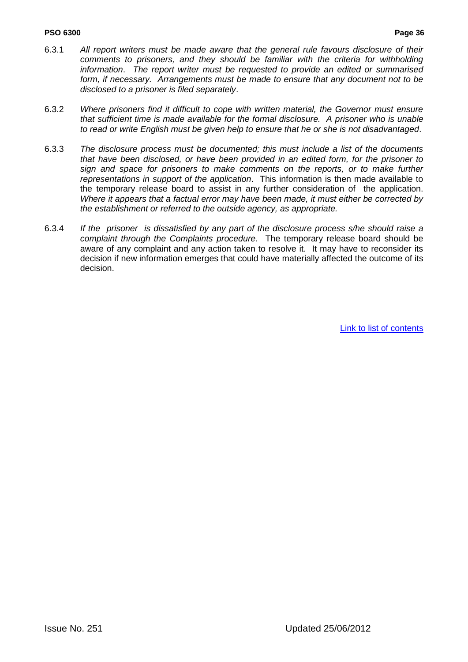#### **PSO 6300 Page 36**

- 6.3.1 *All report writers must be made aware that the general rule favours disclosure of their comments to prisoners, and they should be familiar with the criteria for withholding information*. *The report writer must be requested to provide an edited or summarised form, if necessary. Arrangements must be made to ensure that any document not to be disclosed to a prisoner is filed separately*.
- 6.3.2 *Where prisoners find it difficult to cope with written material, the Governor must ensure that sufficient time is made available for the formal disclosure. A prisoner who is unable to read or write English must be given help to ensure that he or she is not disadvantaged*.
- 6.3.3 *The disclosure process must be documented; this must include a list of the documents that have been disclosed, or have been provided in an edited form, for the prisoner to sign and space for prisoners to make comments on the reports, or to make further representations in support of the application*. This information is then made available to the temporary release board to assist in any further consideration of the application. *Where it appears that a factual error may have been made, it must either be corrected by the establishment or referred to the outside agency, as appropriate.*
- 6.3.4 *If the prisoner is dissatisfied by any part of the disclosure process s/he should raise a complaint through the Complaints procedure*. The temporary release board should be aware of any complaint and any action taken to resolve it. It may have to reconsider its decision if new information emerges that could have materially affected the outcome of its decision.

[Link to list of contents](#page-5-0)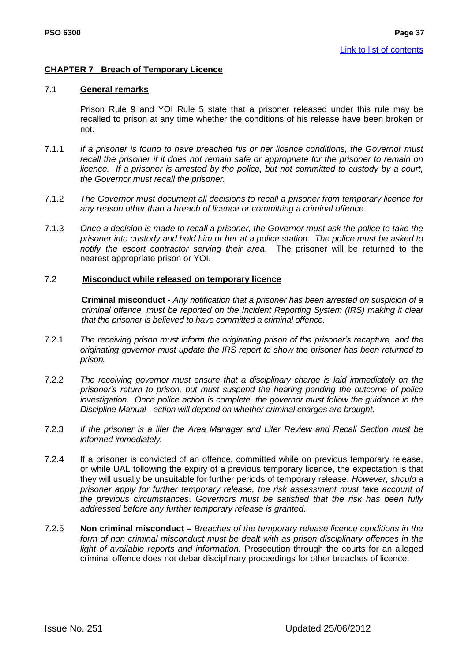#### **CHAPTER 7 Breach of Temporary Licence**

#### 7.1 **General remarks**

Prison Rule 9 and YOI Rule 5 state that a prisoner released under this rule may be recalled to prison at any time whether the conditions of his release have been broken or not.

- 7.1.1 *If a prisoner is found to have breached his or her licence conditions, the Governor must recall the prisoner if it does not remain safe or appropriate for the prisoner to remain on licence. If a prisoner is arrested by the police, but not committed to custody by a court, the Governor must recall the prisoner.*
- 7.1.2 *The Governor must document all decisions to recall a prisoner from temporary licence for any reason other than a breach of licence or committing a criminal offence*.
- 7.1.3 *Once a decision is made to recall a prisoner, the Governor must ask the police to take the prisoner into custody and hold him or her at a police station*. *The police must be asked to notify the escort contractor serving their area*. The prisoner will be returned to the nearest appropriate prison or YOI.

#### 7.2 **Misconduct while released on temporary licence**

**Criminal misconduct -** *Any notification that a prisoner has been arrested on suspicion of a criminal offence, must be reported on the Incident Reporting System (IRS) making it clear that the prisoner is believed to have committed a criminal offence.*

- 7.2.1 *The receiving prison must inform the originating prison of the prisoner"s recapture, and the originating governor must update the IRS report to show the prisoner has been returned to prison.*
- 7.2.2 *The receiving governor must ensure that a disciplinary charge is laid immediately on the prisoner"s return to prison, but must suspend the hearing pending the outcome of police investigation. Once police action is complete, the governor must follow the guidance in the Discipline Manual - action will depend on whether criminal charges are brought*.
- 7.2.3 *If the prisoner is a lifer the Area Manager and Lifer Review and Recall Section must be informed immediately.*
- 7.2.4 If a prisoner is convicted of an offence, committed while on previous temporary release, or while UAL following the expiry of a previous temporary licence, the expectation is that they will usually be unsuitable for further periods of temporary release. *However, should a prisoner apply for further temporary release, the risk assessment must take account of the previous circumstances*. *Governors must be satisfied that the risk has been fully addressed before any further temporary release is granted.*
- 7.2.5 **Non criminal misconduct –** *Breaches of the temporary release licence conditions in the form of non criminal misconduct must be dealt with as prison disciplinary offences in the light of available reports and information.* Prosecution through the courts for an alleged criminal offence does not debar disciplinary proceedings for other breaches of licence.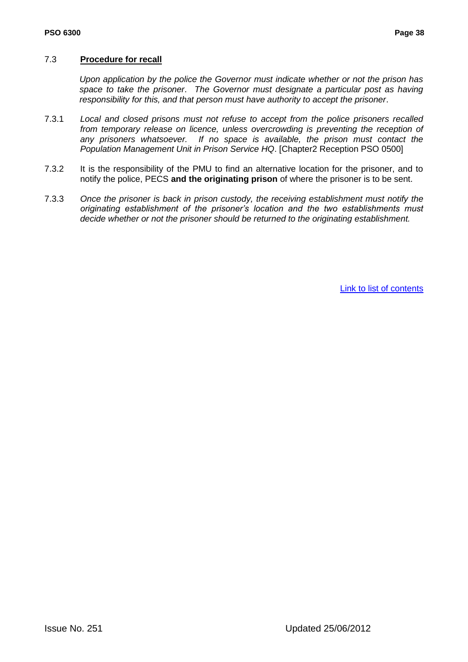#### 7.3 **Procedure for recall**

*Upon application by the police the Governor must indicate whether or not the prison has space to take the prisoner*. *The Governor must designate a particular post as having responsibility for this, and that person must have authority to accept the prisoner*.

- 7.3.1 *Local and closed prisons must not refuse to accept from the police prisoners recalled from temporary release on licence, unless overcrowding is preventing the reception of any prisoners whatsoever. If no space is available, the prison must contact the Population Management Unit in Prison Service HQ*. [Chapter2 Reception PSO 0500]
- 7.3.2 It is the responsibility of the PMU to find an alternative location for the prisoner, and to notify the police, PECS **and the originating prison** of where the prisoner is to be sent.
- 7.3.3 *Once the prisoner is back in prison custody, the receiving establishment must notify the originating establishment of the prisoner"s location and the two establishments must decide whether or not the prisoner should be returned to the originating establishment.*

[Link to list of contents](#page-5-0)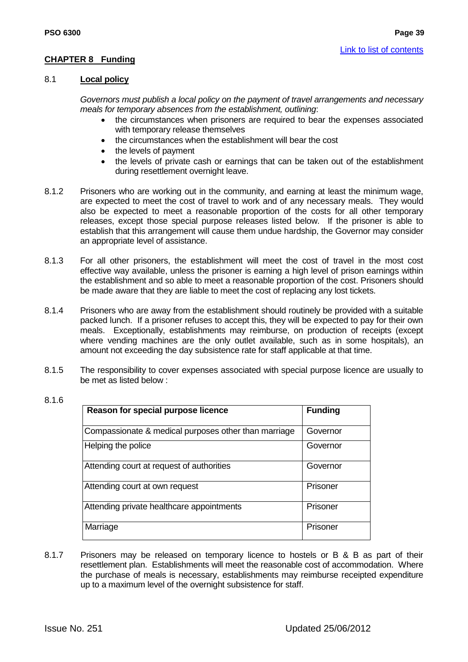#### **CHAPTER 8 Funding**

#### 8.1 **Local policy**

*Governors must publish a local policy on the payment of travel arrangements and necessary meals for temporary absences from the establishment, outlining*:

- the circumstances when prisoners are required to bear the expenses associated with temporary release themselves
- the circumstances when the establishment will bear the cost
- the levels of payment
- the levels of private cash or earnings that can be taken out of the establishment during resettlement overnight leave.
- 8.1.2 Prisoners who are working out in the community, and earning at least the minimum wage, are expected to meet the cost of travel to work and of any necessary meals. They would also be expected to meet a reasonable proportion of the costs for all other temporary releases, except those special purpose releases listed below. If the prisoner is able to establish that this arrangement will cause them undue hardship, the Governor may consider an appropriate level of assistance.
- 8.1.3 For all other prisoners, the establishment will meet the cost of travel in the most cost effective way available, unless the prisoner is earning a high level of prison earnings within the establishment and so able to meet a reasonable proportion of the cost. Prisoners should be made aware that they are liable to meet the cost of replacing any lost tickets.
- 8.1.4 Prisoners who are away from the establishment should routinely be provided with a suitable packed lunch. If a prisoner refuses to accept this, they will be expected to pay for their own meals. Exceptionally, establishments may reimburse, on production of receipts (except where vending machines are the only outlet available, such as in some hospitals), an amount not exceeding the day subsistence rate for staff applicable at that time.
- 8.1.5 The responsibility to cover expenses associated with special purpose licence are usually to be met as listed below :

| Reason for special purpose licence                   | <b>Funding</b> |  |
|------------------------------------------------------|----------------|--|
| Compassionate & medical purposes other than marriage | Governor       |  |
| Helping the police                                   | Governor       |  |
| Attending court at request of authorities            | Governor       |  |
| Attending court at own request                       | Prisoner       |  |
| Attending private healthcare appointments            | Prisoner       |  |
| Marriage                                             | Prisoner       |  |

8.1.7 Prisoners may be released on temporary licence to hostels or B & B as part of their resettlement plan. Establishments will meet the reasonable cost of accommodation. Where the purchase of meals is necessary, establishments may reimburse receipted expenditure up to a maximum level of the overnight subsistence for staff.

8.1.6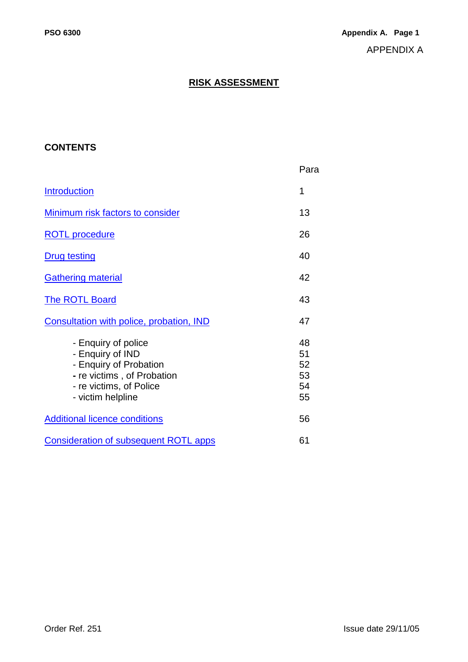# **RISK ASSESSMENT**

# <span id="page-41-0"></span>**CONTENTS**

|                                                                                                                                                 | Para                             |
|-------------------------------------------------------------------------------------------------------------------------------------------------|----------------------------------|
| <b>Introduction</b>                                                                                                                             | 1                                |
| <b>Minimum risk factors to consider</b>                                                                                                         | 13                               |
| <b>ROTL</b> procedure                                                                                                                           | 26                               |
| <b>Drug testing</b>                                                                                                                             | 40                               |
| <b>Gathering material</b>                                                                                                                       | 42                               |
| The ROTL Board                                                                                                                                  | 43                               |
| Consultation with police, probation, IND                                                                                                        | 47                               |
| - Enquiry of police<br>- Enquiry of IND<br>- Enquiry of Probation<br>- re victims, of Probation<br>- re victims, of Police<br>- victim helpline | 48<br>51<br>52<br>53<br>54<br>55 |
| <b>Additional licence conditions</b>                                                                                                            | 56                               |
| <b>Consideration of subsequent ROTL apps</b>                                                                                                    | 61                               |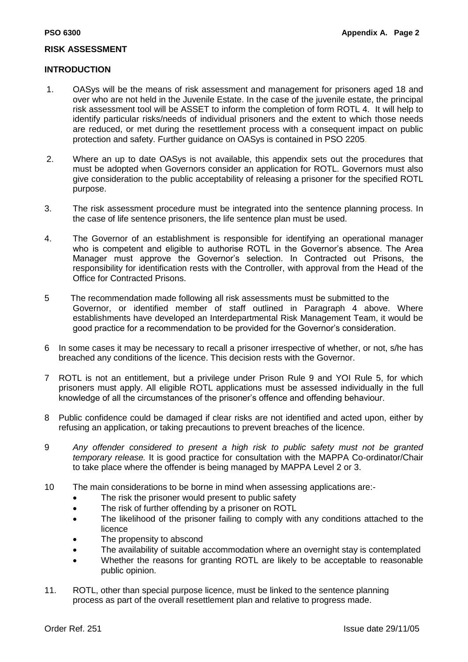#### **RISK ASSESSMENT**

#### <span id="page-42-0"></span>**INTRODUCTION**

- 1. OASys will be the means of risk assessment and management for prisoners aged 18 and over who are not held in the Juvenile Estate. In the case of the juvenile estate, the principal risk assessment tool will be ASSET to inform the completion of form ROTL 4. It will help to identify particular risks/needs of individual prisoners and the extent to which those needs are reduced, or met during the resettlement process with a consequent impact on public protection and safety. Further guidance on OASys is contained in PSO 2205.
- 2. Where an up to date OASys is not available, this appendix sets out the procedures that must be adopted when Governors consider an application for ROTL. Governors must also give consideration to the public acceptability of releasing a prisoner for the specified ROTL purpose.
- 3. The risk assessment procedure must be integrated into the sentence planning process. In the case of life sentence prisoners, the life sentence plan must be used.
- 4. The Governor of an establishment is responsible for identifying an operational manager who is competent and eligible to authorise ROTL in the Governor's absence. The Area Manager must approve the Governor"s selection. In Contracted out Prisons, the responsibility for identification rests with the Controller, with approval from the Head of the Office for Contracted Prisons.
- 5 The recommendation made following all risk assessments must be submitted to the Governor, or identified member of staff outlined in Paragraph 4 above. Where establishments have developed an Interdepartmental Risk Management Team, it would be good practice for a recommendation to be provided for the Governor"s consideration.
- 6 In some cases it may be necessary to recall a prisoner irrespective of whether, or not, s/he has breached any conditions of the licence. This decision rests with the Governor.
- 7 ROTL is not an entitlement, but a privilege under Prison Rule 9 and YOI Rule 5, for which prisoners must apply. All eligible ROTL applications must be assessed individually in the full knowledge of all the circumstances of the prisoner"s offence and offending behaviour.
- 8 Public confidence could be damaged if clear risks are not identified and acted upon, either by refusing an application, or taking precautions to prevent breaches of the licence.
- 9 *Any offender considered to present a high risk to public safety must not be granted temporary release.* It is good practice for consultation with the MAPPA Co-ordinator/Chair to take place where the offender is being managed by MAPPA Level 2 or 3.
- 10 The main considerations to be borne in mind when assessing applications are:-
	- The risk the prisoner would present to public safety
	- The risk of further offending by a prisoner on ROTL
	- The likelihood of the prisoner failing to comply with any conditions attached to the licence
	- The propensity to abscond
	- The availability of suitable accommodation where an overnight stay is contemplated
	- Whether the reasons for granting ROTL are likely to be acceptable to reasonable public opinion.
- 11. ROTL, other than special purpose licence, must be linked to the sentence planning process as part of the overall resettlement plan and relative to progress made.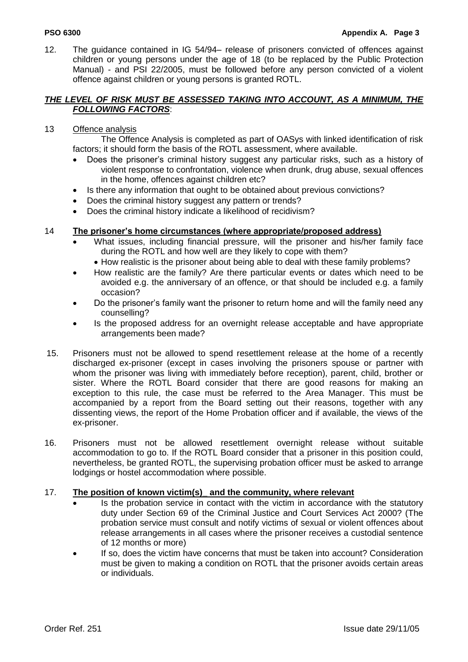12. The guidance contained in IG 54/94– release of prisoners convicted of offences against children or young persons under the age of 18 (to be replaced by the Public Protection Manual) - and PSI 22/2005, must be followed before any person convicted of a violent offence against children or young persons is granted ROTL.

#### <span id="page-43-0"></span>*THE LEVEL OF RISK MUST BE ASSESSED TAKING INTO ACCOUNT, AS A MINIMUM, THE FOLLOWING FACTORS*:

#### 13 Offence analysis

The Offence Analysis is completed as part of OASys with linked identification of risk factors; it should form the basis of the ROTL assessment, where available.

- Does the prisoner's criminal history suggest any particular risks, such as a history of violent response to confrontation, violence when drunk, drug abuse, sexual offences in the home, offences against children etc?
- Is there any information that ought to be obtained about previous convictions?
- Does the criminal history suggest any pattern or trends?
- Does the criminal history indicate a likelihood of recidivism?

### 14 **The prisoner's home circumstances (where appropriate/proposed address)**

- What issues, including financial pressure, will the prisoner and his/her family face during the ROTL and how well are they likely to cope with them?
	- How realistic is the prisoner about being able to deal with these family problems?
- How realistic are the family? Are there particular events or dates which need to be avoided e.g. the anniversary of an offence, or that should be included e.g. a family occasion?
- Do the prisoner"s family want the prisoner to return home and will the family need any counselling?
- Is the proposed address for an overnight release acceptable and have appropriate arrangements been made?
- 15. Prisoners must not be allowed to spend resettlement release at the home of a recently discharged ex-prisoner (except in cases involving the prisoners spouse or partner with whom the prisoner was living with immediately before reception), parent, child, brother or sister. Where the ROTL Board consider that there are good reasons for making an exception to this rule, the case must be referred to the Area Manager. This must be accompanied by a report from the Board setting out their reasons, together with any dissenting views, the report of the Home Probation officer and if available, the views of the ex-prisoner.
- 16. Prisoners must not be allowed resettlement overnight release without suitable accommodation to go to. If the ROTL Board consider that a prisoner in this position could, nevertheless, be granted ROTL, the supervising probation officer must be asked to arrange lodgings or hostel accommodation where possible.

#### 17. **The position of known victim(s)\_ and the community, where relevant**

- Is the probation service in contact with the victim in accordance with the statutory duty under Section 69 of the Criminal Justice and Court Services Act 2000? (The probation service must consult and notify victims of sexual or violent offences about release arrangements in all cases where the prisoner receives a custodial sentence of 12 months or more)
- If so, does the victim have concerns that must be taken into account? Consideration must be given to making a condition on ROTL that the prisoner avoids certain areas or individuals.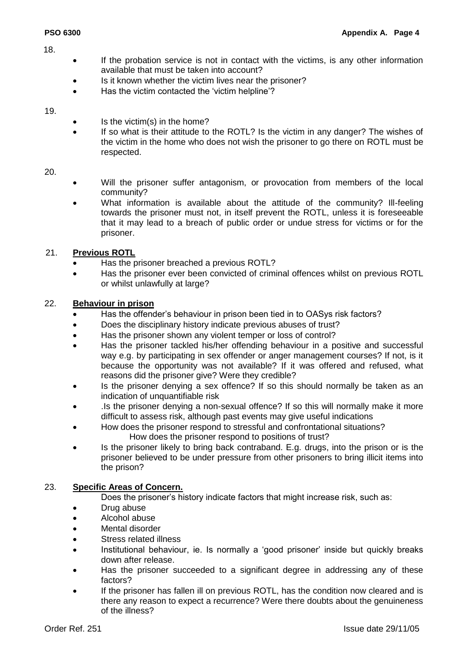- 18.
- If the probation service is not in contact with the victims, is any other information available that must be taken into account?
- Is it known whether the victim lives near the prisoner?
- Has the victim contacted the 'victim helpline'?

#### 19.

- Is the victim(s) in the home?
- If so what is their attitude to the ROTL? Is the victim in any danger? The wishes of the victim in the home who does not wish the prisoner to go there on ROTL must be respected.

#### 20.

- Will the prisoner suffer antagonism, or provocation from members of the local community?
- What information is available about the attitude of the community? Ill-feeling towards the prisoner must not, in itself prevent the ROTL, unless it is foreseeable that it may lead to a breach of public order or undue stress for victims or for the prisoner.

### 21. **Previous ROTL**

- Has the prisoner breached a previous ROTL?
- Has the prisoner ever been convicted of criminal offences whilst on previous ROTL or whilst unlawfully at large?

#### 22. **Behaviour in prison**

- Has the offender"s behaviour in prison been tied in to OASys risk factors?
- Does the disciplinary history indicate previous abuses of trust?
- Has the prisoner shown any violent temper or loss of control?
- Has the prisoner tackled his/her offending behaviour in a positive and successful way e.g. by participating in sex offender or anger management courses? If not, is it because the opportunity was not available? If it was offered and refused, what reasons did the prisoner give? Were they credible?
- Is the prisoner denying a sex offence? If so this should normally be taken as an indication of unquantifiable risk
- .Is the prisoner denying a non-sexual offence? If so this will normally make it more difficult to assess risk, although past events may give useful indications
- How does the prisoner respond to stressful and confrontational situations? How does the prisoner respond to positions of trust?
- Is the prisoner likely to bring back contraband. E.g. drugs, into the prison or is the prisoner believed to be under pressure from other prisoners to bring illicit items into the prison?

#### 23. **Specific Areas of Concern.**

Does the prisoner's history indicate factors that might increase risk, such as:

- Drug abuse
- Alcohol abuse
- Mental disorder
- Stress related illness
- Institutional behaviour, ie. Is normally a "good prisoner" inside but quickly breaks down after release.
- Has the prisoner succeeded to a significant degree in addressing any of these factors?
- If the prisoner has fallen ill on previous ROTL, has the condition now cleared and is there any reason to expect a recurrence? Were there doubts about the genuineness of the illness?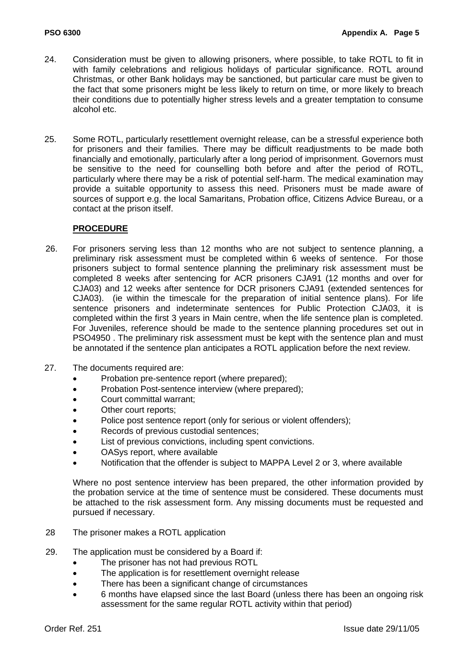- 24. Consideration must be given to allowing prisoners, where possible, to take ROTL to fit in with family celebrations and religious holidays of particular significance. ROTL around Christmas, or other Bank holidays may be sanctioned, but particular care must be given to the fact that some prisoners might be less likely to return on time, or more likely to breach their conditions due to potentially higher stress levels and a greater temptation to consume alcohol etc.
- 25. Some ROTL, particularly resettlement overnight release, can be a stressful experience both for prisoners and their families. There may be difficult readjustments to be made both financially and emotionally, particularly after a long period of imprisonment. Governors must be sensitive to the need for counselling both before and after the period of ROTL, particularly where there may be a risk of potential self-harm. The medical examination may provide a suitable opportunity to assess this need. Prisoners must be made aware of sources of support e.g. the local Samaritans, Probation office, Citizens Advice Bureau, or a contact at the prison itself.

### <span id="page-45-0"></span>**PROCEDURE**

- 26. For prisoners serving less than 12 months who are not subject to sentence planning, a preliminary risk assessment must be completed within 6 weeks of sentence. For those prisoners subject to formal sentence planning the preliminary risk assessment must be completed 8 weeks after sentencing for ACR prisoners CJA91 (12 months and over for CJA03) and 12 weeks after sentence for DCR prisoners CJA91 (extended sentences for CJA03). (ie within the timescale for the preparation of initial sentence plans). For life sentence prisoners and indeterminate sentences for Public Protection CJA03, it is completed within the first 3 years in Main centre, when the life sentence plan is completed. For Juveniles, reference should be made to the sentence planning procedures set out in PSO4950 . The preliminary risk assessment must be kept with the sentence plan and must be annotated if the sentence plan anticipates a ROTL application before the next review.
- 27. The documents required are:
	- Probation pre-sentence report (where prepared);
	- Probation Post-sentence interview (where prepared);
	- Court committal warrant;
	- Other court reports;
	- Police post sentence report (only for serious or violent offenders):
	- Records of previous custodial sentences;
	- List of previous convictions, including spent convictions.
	- OASys report, where available
	- Notification that the offender is subject to MAPPA Level 2 or 3, where available

Where no post sentence interview has been prepared, the other information provided by the probation service at the time of sentence must be considered. These documents must be attached to the risk assessment form. Any missing documents must be requested and pursued if necessary.

- 28 The prisoner makes a ROTL application
- 29. The application must be considered by a Board if:
	- The prisoner has not had previous ROTL
	- The application is for resettlement overnight release
	- There has been a significant change of circumstances
	- 6 months have elapsed since the last Board (unless there has been an ongoing risk assessment for the same regular ROTL activity within that period)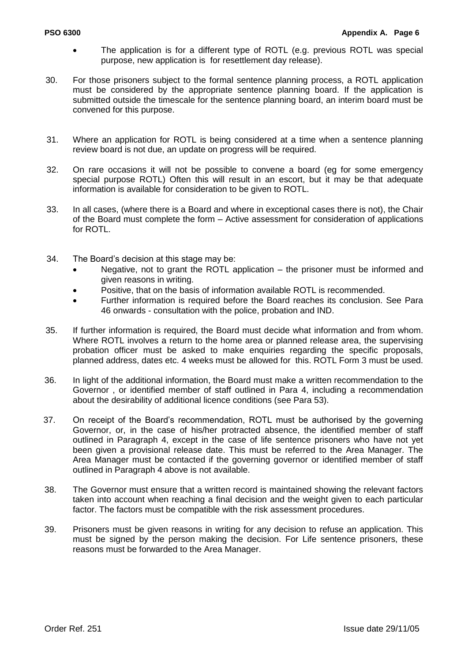- The application is for a different type of ROTL (e.g. previous ROTL was special purpose, new application is for resettlement day release).
- 30. For those prisoners subject to the formal sentence planning process, a ROTL application must be considered by the appropriate sentence planning board. If the application is submitted outside the timescale for the sentence planning board, an interim board must be convened for this purpose.
- 31. Where an application for ROTL is being considered at a time when a sentence planning review board is not due, an update on progress will be required.
- 32. On rare occasions it will not be possible to convene a board (eg for some emergency special purpose ROTL) Often this will result in an escort, but it may be that adequate information is available for consideration to be given to ROTL.
- 33. In all cases, (where there is a Board and where in exceptional cases there is not), the Chair of the Board must complete the form – Active assessment for consideration of applications for ROTL.
- 34. The Board"s decision at this stage may be:
	- Negative, not to grant the ROTL application the prisoner must be informed and given reasons in writing.
	- Positive, that on the basis of information available ROTL is recommended.
	- Further information is required before the Board reaches its conclusion. See Para 46 onwards - consultation with the police, probation and IND.
- 35. If further information is required, the Board must decide what information and from whom. Where ROTL involves a return to the home area or planned release area, the supervising probation officer must be asked to make enquiries regarding the specific proposals, planned address, dates etc. 4 weeks must be allowed for this. ROTL Form 3 must be used.
- 36. In light of the additional information, the Board must make a written recommendation to the Governor , or identified member of staff outlined in Para 4, including a recommendation about the desirability of additional licence conditions (see Para 53).
- 37. On receipt of the Board"s recommendation, ROTL must be authorised by the governing Governor, or, in the case of his/her protracted absence, the identified member of staff outlined in Paragraph 4, except in the case of life sentence prisoners who have not yet been given a provisional release date. This must be referred to the Area Manager. The Area Manager must be contacted if the governing governor or identified member of staff outlined in Paragraph 4 above is not available.
- 38. The Governor must ensure that a written record is maintained showing the relevant factors taken into account when reaching a final decision and the weight given to each particular factor. The factors must be compatible with the risk assessment procedures.
- 39. Prisoners must be given reasons in writing for any decision to refuse an application. This must be signed by the person making the decision. For Life sentence prisoners, these reasons must be forwarded to the Area Manager.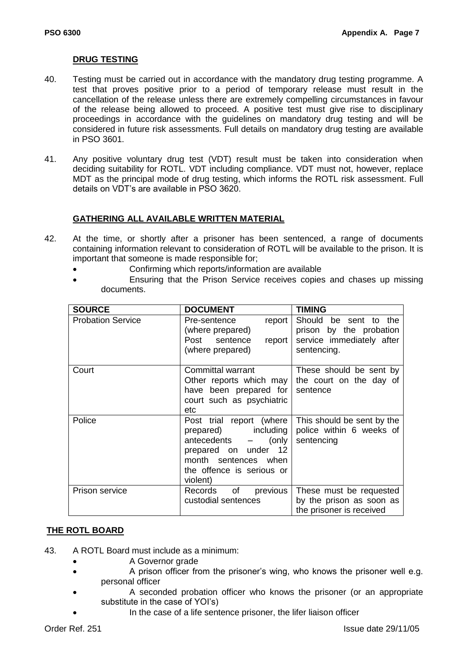#### <span id="page-47-0"></span>**DRUG TESTING**

- 40. Testing must be carried out in accordance with the mandatory drug testing programme. A test that proves positive prior to a period of temporary release must result in the cancellation of the release unless there are extremely compelling circumstances in favour of the release being allowed to proceed. A positive test must give rise to disciplinary proceedings in accordance with the guidelines on mandatory drug testing and will be considered in future risk assessments. Full details on mandatory drug testing are available in PSO 3601.
- 41. Any positive voluntary drug test (VDT) result must be taken into consideration when deciding suitability for ROTL. VDT including compliance. VDT must not, however, replace MDT as the principal mode of drug testing, which informs the ROTL risk assessment. Full details on VDT"s are available in PSO 3620.

#### <span id="page-47-1"></span>**GATHERING ALL AVAILABLE WRITTEN MATERIAL**

- 42. At the time, or shortly after a prisoner has been sentenced, a range of documents containing information relevant to consideration of ROTL will be available to the prison. It is important that someone is made responsible for;
	- Confirming which reports/information are available
	- Ensuring that the Prison Service receives copies and chases up missing documents.

| <b>SOURCE</b>            | <b>DOCUMENT</b>                                                                                                                                                                   | <b>TIMING</b>                                                                                |
|--------------------------|-----------------------------------------------------------------------------------------------------------------------------------------------------------------------------------|----------------------------------------------------------------------------------------------|
| <b>Probation Service</b> | Pre-sentence<br>$report \mid$<br>(where prepared)<br>Post sentence<br>$report \mid$<br>(where prepared)                                                                           | Should be sent to the<br>prison by the probation<br>service immediately after<br>sentencing. |
| Court                    | Committal warrant<br>Other reports which may<br>have been prepared for sentence<br>court such as psychiatric<br>etc                                                               | These should be sent by<br>the court on the day of                                           |
| Police                   | Post trial report (where<br>prepared) including<br>antecedents<br>(only<br>$\frac{1}{2}$<br>prepared on under 12<br>month sentences when<br>the offence is serious or<br>violent) | This should be sent by the<br>police within 6 weeks of<br>sentencing                         |
| Prison service           | of<br>previous<br>Records<br>custodial sentences                                                                                                                                  | These must be requested<br>by the prison as soon as<br>the prisoner is received              |

#### <span id="page-47-2"></span>**THE ROTL BOARD**

- 43. A ROTL Board must include as a minimum:
	- **A Governor grade**
	- A prison officer from the prisoner"s wing, who knows the prisoner well e.g. personal officer
	- A seconded probation officer who knows the prisoner (or an appropriate substitute in the case of YOI's)
		- In the case of a life sentence prisoner, the lifer liaison officer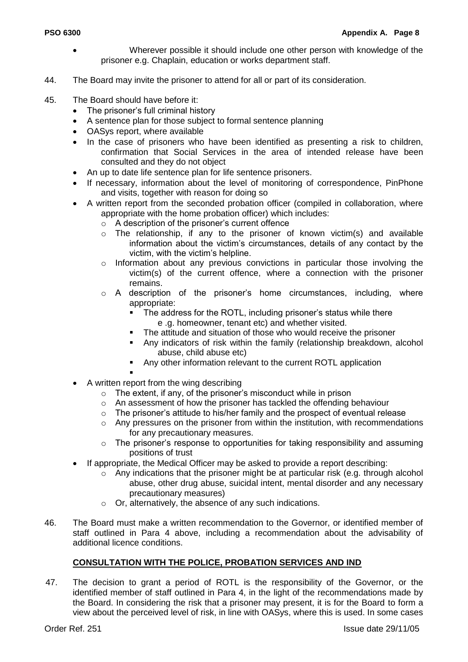- Wherever possible it should include one other person with knowledge of the prisoner e.g. Chaplain, education or works department staff.
- 44. The Board may invite the prisoner to attend for all or part of its consideration.
- 45. The Board should have before it:
	- The prisoner"s full criminal history
	- A sentence plan for those subject to formal sentence planning
	- OASys report, where available
	- In the case of prisoners who have been identified as presenting a risk to children, confirmation that Social Services in the area of intended release have been consulted and they do not object
	- An up to date life sentence plan for life sentence prisoners.
	- If necessary, information about the level of monitoring of correspondence, PinPhone and visits, together with reason for doing so
	- A written report from the seconded probation officer (compiled in collaboration, where appropriate with the home probation officer) which includes:
		- $\circ$  A description of the prisoner's current offence
		- o The relationship, if any to the prisoner of known victim(s) and available information about the victim"s circumstances, details of any contact by the victim, with the victim"s helpline.
		- $\circ$  Information about any previous convictions in particular those involving the victim(s) of the current offence, where a connection with the prisoner remains.
		- $\circ$  A description of the prisoner's home circumstances, including, where appropriate:
			- The address for the ROTL, including prisoner"s status while there e .g. homeowner, tenant etc) and whether visited.
			- The attitude and situation of those who would receive the prisoner
			- Any indicators of risk within the family (relationship breakdown, alcohol abuse, child abuse etc)
			- Any other information relevant to the current ROTL application
			- .
	- A written report from the wing describing
		- o The extent, if any, of the prisoner"s misconduct while in prison
		- o An assessment of how the prisoner has tackled the offending behaviour
		- $\circ$  The prisoner's attitude to his/her family and the prospect of eventual release
		- o Any pressures on the prisoner from within the institution, with recommendations for any precautionary measures.
		- o The prisoner"s response to opportunities for taking responsibility and assuming positions of trust
	- If appropriate, the Medical Officer may be asked to provide a report describing:
		- o Any indications that the prisoner might be at particular risk (e.g. through alcohol abuse, other drug abuse, suicidal intent, mental disorder and any necessary precautionary measures)
		- o Or, alternatively, the absence of any such indications.
- 46. The Board must make a written recommendation to the Governor, or identified member of staff outlined in Para 4 above, including a recommendation about the advisability of additional licence conditions.

# <span id="page-48-0"></span>**CONSULTATION WITH THE POLICE, PROBATION SERVICES AND IND**

47. The decision to grant a period of ROTL is the responsibility of the Governor, or the identified member of staff outlined in Para 4, in the light of the recommendations made by the Board. In considering the risk that a prisoner may present, it is for the Board to form a view about the perceived level of risk, in line with OASys, where this is used. In some cases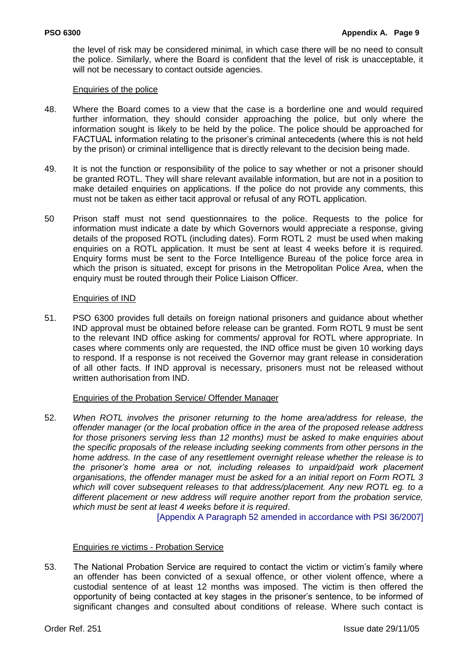the level of risk may be considered minimal, in which case there will be no need to consult the police. Similarly, where the Board is confident that the level of risk is unacceptable, it will not be necessary to contact outside agencies.

#### Enquiries of the police

- 48. Where the Board comes to a view that the case is a borderline one and would required further information, they should consider approaching the police, but only where the information sought is likely to be held by the police. The police should be approached for FACTUAL information relating to the prisoner"s criminal antecedents (where this is not held by the prison) or criminal intelligence that is directly relevant to the decision being made.
- 49. It is not the function or responsibility of the police to say whether or not a prisoner should be granted ROTL. They will share relevant available information, but are not in a position to make detailed enquiries on applications. If the police do not provide any comments, this must not be taken as either tacit approval or refusal of any ROTL application.
- 50 Prison staff must not send questionnaires to the police. Requests to the police for information must indicate a date by which Governors would appreciate a response, giving details of the proposed ROTL (including dates). Form ROTL 2 must be used when making enquiries on a ROTL application. It must be sent at least 4 weeks before it is required. Enquiry forms must be sent to the Force Intelligence Bureau of the police force area in which the prison is situated, except for prisons in the Metropolitan Police Area, when the enquiry must be routed through their Police Liaison Officer.

#### Enquiries of IND

51. PSO 6300 provides full details on foreign national prisoners and guidance about whether IND approval must be obtained before release can be granted. Form ROTL 9 must be sent to the relevant IND office asking for comments/ approval for ROTL where appropriate. In cases where comments only are requested, the IND office must be given 10 working days to respond. If a response is not received the Governor may grant release in consideration of all other facts. If IND approval is necessary, prisoners must not be released without written authorisation from IND.

#### Enquiries of the Probation Service/ Offender Manager

52. *When ROTL involves the prisoner returning to the home area/address for release, the offender manager (or the local probation office in the area of the proposed release address for those prisoners serving less than 12 months) must be asked to make enquiries about the specific proposals of the release including seeking comments from other persons in the home address. In the case of any resettlement overnight release whether the release is to the prisoner"s home area or not, including releases to unpaid/paid work placement organisations, the offender manager must be asked for a an initial report on Form ROTL 3 which will cover subsequent releases to that address/placement. Any new ROTL eg. to a different placement or new address will require another report from the probation service, which must be sent at least 4 weeks before it is required*.

[Appendix A Paragraph 52 amended in accordance with PSI 36/2007]

#### Enquiries re victims - Probation Service

53. The National Probation Service are required to contact the victim or victim"s family where an offender has been convicted of a sexual offence, or other violent offence, where a custodial sentence of at least 12 months was imposed. The victim is then offered the opportunity of being contacted at key stages in the prisoner"s sentence, to be informed of significant changes and consulted about conditions of release. Where such contact is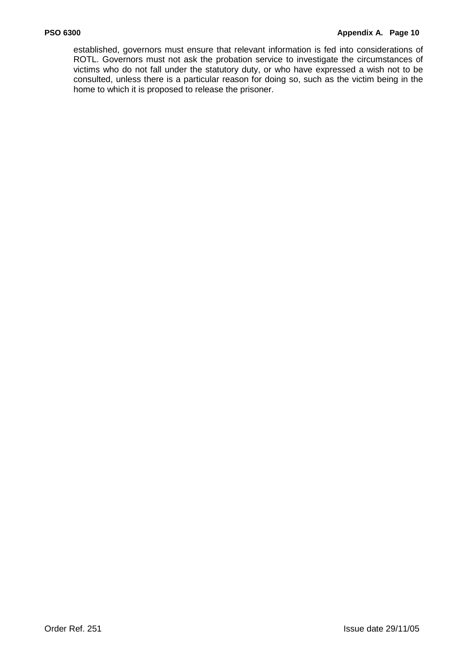#### **PSO 6300 Appendix A. Page 10**

established, governors must ensure that relevant information is fed into considerations of ROTL. Governors must not ask the probation service to investigate the circumstances of victims who do not fall under the statutory duty, or who have expressed a wish not to be consulted, unless there is a particular reason for doing so, such as the victim being in the home to which it is proposed to release the prisoner.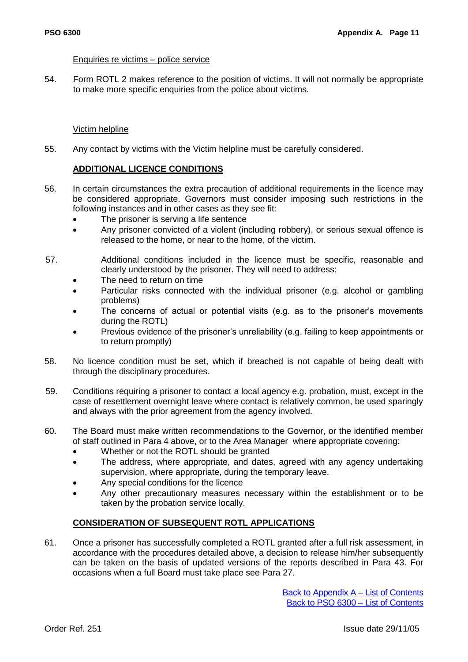#### Enquiries re victims – police service

54. Form ROTL 2 makes reference to the position of victims. It will not normally be appropriate to make more specific enquiries from the police about victims.

#### Victim helpline

55. Any contact by victims with the Victim helpline must be carefully considered.

## <span id="page-51-0"></span>**ADDITIONAL LICENCE CONDITIONS**

- 56. In certain circumstances the extra precaution of additional requirements in the licence may be considered appropriate. Governors must consider imposing such restrictions in the following instances and in other cases as they see fit:
	- The prisoner is serving a life sentence
	- Any prisoner convicted of a violent (including robbery), or serious sexual offence is released to the home, or near to the home, of the victim.
- 57. Additional conditions included in the licence must be specific, reasonable and clearly understood by the prisoner. They will need to address:
	- The need to return on time
	- Particular risks connected with the individual prisoner (e.g. alcohol or gambling problems)
	- The concerns of actual or potential visits (e.g. as to the prisoner"s movements during the ROTL)
	- Previous evidence of the prisoner"s unreliability (e.g. failing to keep appointments or to return promptly)
- 58. No licence condition must be set, which if breached is not capable of being dealt with through the disciplinary procedures.
- 59. Conditions requiring a prisoner to contact a local agency e.g. probation, must, except in the case of resettlement overnight leave where contact is relatively common, be used sparingly and always with the prior agreement from the agency involved.
- 60. The Board must make written recommendations to the Governor, or the identified member of staff outlined in Para 4 above, or to the Area Manager where appropriate covering:
	- Whether or not the ROTL should be granted
	- The address, where appropriate, and dates, agreed with any agency undertaking supervision, where appropriate, during the temporary leave.
	- Any special conditions for the licence
	- Any other precautionary measures necessary within the establishment or to be taken by the probation service locally.

#### <span id="page-51-1"></span>**CONSIDERATION OF SUBSEQUENT ROTL APPLICATIONS**

61. Once a prisoner has successfully completed a ROTL granted after a full risk assessment, in accordance with the procedures detailed above, a decision to release him/her subsequently can be taken on the basis of updated versions of the reports described in Para 43. For occasions when a full Board must take place see Para 27.

> [Back to Appendix A –](#page-41-0) List of Contents [Back to PSO 6300 –](#page-5-0) List of Contents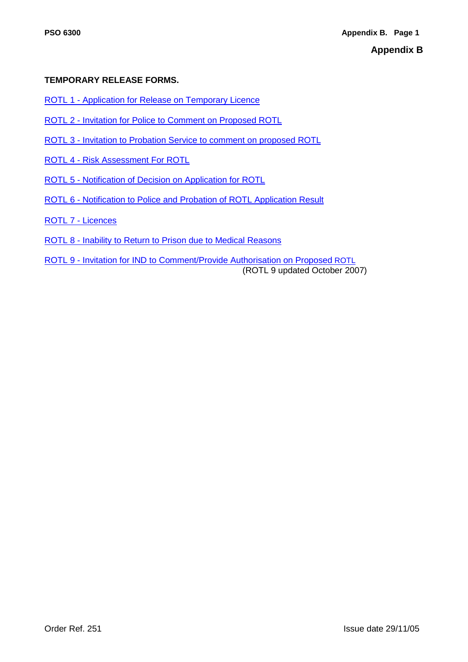## **TEMPORARY RELEASE FORMS.**

- ROTL 1 [Application for Release on Temporary Licence](#page-53-0)
- ROTL 2 [Invitation for Police to Comment on Proposed ROTL](#page-54-0)
- ROTL 3 [Invitation to Probation Service to comment on proposed ROTL](#page-56-0)
- ROTL 4 [Risk Assessment For ROTL](#page-58-0)
- ROTL 5 [Notification of Decision on Application for ROTL](#page-65-0)
- ROTL 6 [Notification to Police and Probation of ROTL Application Result](#page-66-0)
- [ROTL 7 -](#page-69-0) Licences
- ROTL 8 [Inability to Return to Prison due to Medical Reasons](#page-71-0)
- ROTL 9 [Invitation for IND to Comment/Provide Authorisation on Proposed](#page-73-0) ROTL (ROTL 9 updated October 2007)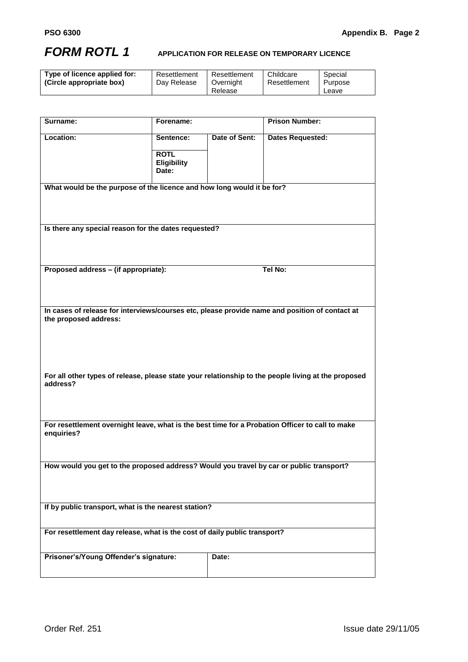# <span id="page-53-0"></span>*FORM ROTL 1* **APPLICATION FOR RELEASE ON TEMPORARY LICENCE**

| Type of licence applied for:<br>Childcare<br>Resettlement<br>Resettlement<br>Special<br>Dav Release<br>(Circle appropriate box)<br>Resettlement<br>Purpose<br>Overnight<br>Release<br>Leave |
|---------------------------------------------------------------------------------------------------------------------------------------------------------------------------------------------|
|---------------------------------------------------------------------------------------------------------------------------------------------------------------------------------------------|

| Surname:                                                                                                                | Forename:                                               |               | <b>Prison Number:</b>   |  |
|-------------------------------------------------------------------------------------------------------------------------|---------------------------------------------------------|---------------|-------------------------|--|
| Location:                                                                                                               | Sentence:<br><b>ROTL</b><br><b>Eligibility</b><br>Date: | Date of Sent: | <b>Dates Requested:</b> |  |
| What would be the purpose of the licence and how long would it be for?                                                  |                                                         |               |                         |  |
| Is there any special reason for the dates requested?                                                                    |                                                         |               |                         |  |
| Proposed address - (if appropriate):                                                                                    |                                                         |               | Tel No:                 |  |
| In cases of release for interviews/courses etc, please provide name and position of contact at<br>the proposed address: |                                                         |               |                         |  |
| For all other types of release, please state your relationship to the people living at the proposed<br>address?         |                                                         |               |                         |  |
| For resettlement overnight leave, what is the best time for a Probation Officer to call to make<br>enquiries?           |                                                         |               |                         |  |
| How would you get to the proposed address? Would you travel by car or public transport?                                 |                                                         |               |                         |  |
| If by public transport, what is the nearest station?                                                                    |                                                         |               |                         |  |
| For resettlement day release, what is the cost of daily public transport?                                               |                                                         |               |                         |  |
| Prisoner's/Young Offender's signature:                                                                                  |                                                         | Date:         |                         |  |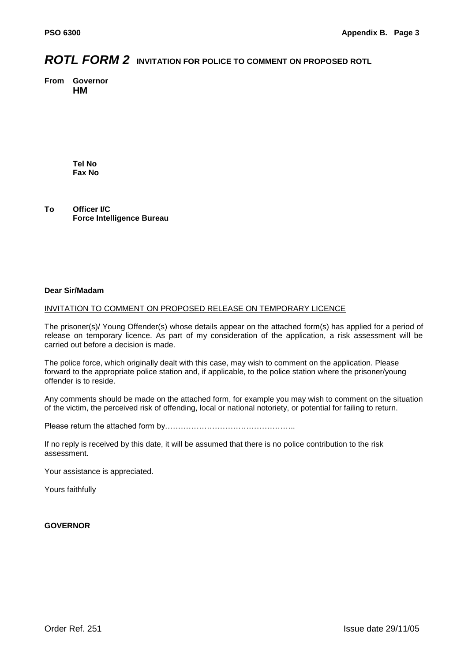# <span id="page-54-0"></span>*ROTL FORM 2* **INVITATION FOR POLICE TO COMMENT ON PROPOSED ROTL**

**From Governor HM** 

> **Tel No Fax No**

**To Officer I/C Force Intelligence Bureau**

#### **Dear Sir/Madam**

#### INVITATION TO COMMENT ON PROPOSED RELEASE ON TEMPORARY LICENCE

The prisoner(s)/ Young Offender(s) whose details appear on the attached form(s) has applied for a period of release on temporary licence. As part of my consideration of the application, a risk assessment will be carried out before a decision is made.

The police force, which originally dealt with this case, may wish to comment on the application. Please forward to the appropriate police station and, if applicable, to the police station where the prisoner/young offender is to reside.

Any comments should be made on the attached form, for example you may wish to comment on the situation of the victim, the perceived risk of offending, local or national notoriety, or potential for failing to return.

Please return the attached form by…………………………………………..

If no reply is received by this date, it will be assumed that there is no police contribution to the risk assessment.

Your assistance is appreciated.

Yours faithfully

#### **GOVERNOR**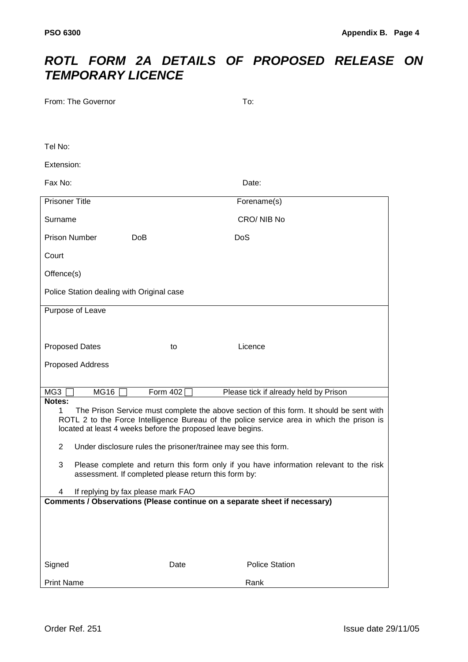# *ROTL FORM 2A DETAILS OF PROPOSED RELEASE ON TEMPORARY LICENCE*

| From: The Governor                                                                                                                                  |            | To:                                                                                                                                                                                  |  |  |  |  |  |
|-----------------------------------------------------------------------------------------------------------------------------------------------------|------------|--------------------------------------------------------------------------------------------------------------------------------------------------------------------------------------|--|--|--|--|--|
|                                                                                                                                                     |            |                                                                                                                                                                                      |  |  |  |  |  |
| Tel No:                                                                                                                                             |            |                                                                                                                                                                                      |  |  |  |  |  |
| Extension:                                                                                                                                          |            |                                                                                                                                                                                      |  |  |  |  |  |
| Fax No:                                                                                                                                             |            | Date:                                                                                                                                                                                |  |  |  |  |  |
| <b>Prisoner Title</b>                                                                                                                               |            | Forename(s)                                                                                                                                                                          |  |  |  |  |  |
| Surname                                                                                                                                             |            | CRO/NIB No                                                                                                                                                                           |  |  |  |  |  |
| <b>Prison Number</b><br><b>DoB</b>                                                                                                                  | <b>DoS</b> |                                                                                                                                                                                      |  |  |  |  |  |
| Court                                                                                                                                               |            |                                                                                                                                                                                      |  |  |  |  |  |
| Offence(s)                                                                                                                                          |            |                                                                                                                                                                                      |  |  |  |  |  |
| Police Station dealing with Original case                                                                                                           |            |                                                                                                                                                                                      |  |  |  |  |  |
| Purpose of Leave                                                                                                                                    |            |                                                                                                                                                                                      |  |  |  |  |  |
|                                                                                                                                                     |            |                                                                                                                                                                                      |  |  |  |  |  |
| <b>Proposed Dates</b>                                                                                                                               | to         | Licence                                                                                                                                                                              |  |  |  |  |  |
| <b>Proposed Address</b>                                                                                                                             |            |                                                                                                                                                                                      |  |  |  |  |  |
|                                                                                                                                                     |            |                                                                                                                                                                                      |  |  |  |  |  |
| MG3<br><b>MG16</b><br>Notes:                                                                                                                        | Form 402   | Please tick if already held by Prison                                                                                                                                                |  |  |  |  |  |
| 1<br>located at least 4 weeks before the proposed leave begins.                                                                                     |            | The Prison Service must complete the above section of this form. It should be sent with<br>ROTL 2 to the Force Intelligence Bureau of the police service area in which the prison is |  |  |  |  |  |
| 2<br>Under disclosure rules the prisoner/trainee may see this form.                                                                                 |            |                                                                                                                                                                                      |  |  |  |  |  |
| 3<br>Please complete and return this form only if you have information relevant to the risk<br>assessment. If completed please return this form by: |            |                                                                                                                                                                                      |  |  |  |  |  |
| If replying by fax please mark FAO<br>4                                                                                                             |            |                                                                                                                                                                                      |  |  |  |  |  |
| Comments / Observations (Please continue on a separate sheet if necessary)                                                                          |            |                                                                                                                                                                                      |  |  |  |  |  |
|                                                                                                                                                     |            |                                                                                                                                                                                      |  |  |  |  |  |
|                                                                                                                                                     |            |                                                                                                                                                                                      |  |  |  |  |  |
| Signed                                                                                                                                              | Date       | <b>Police Station</b>                                                                                                                                                                |  |  |  |  |  |
| <b>Print Name</b>                                                                                                                                   |            | Rank                                                                                                                                                                                 |  |  |  |  |  |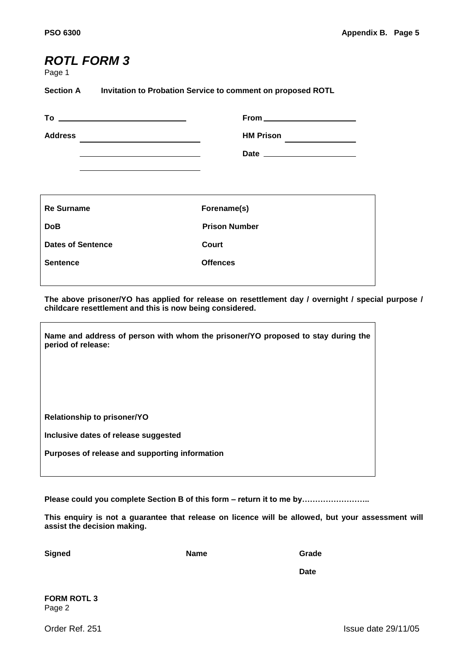# <span id="page-56-0"></span>*ROTL FORM 3*

Page 1

**Section A Invitation to Probation Service to comment on proposed ROTL**

| <b>Address</b><br>the control of the control of the control of the control of the control of the control of | <b>HM Prison</b>     |
|-------------------------------------------------------------------------------------------------------------|----------------------|
| <b>Re Surname</b>                                                                                           | Forename(s)          |
| <b>DoB</b>                                                                                                  | <b>Prison Number</b> |
| <b>Dates of Sentence</b>                                                                                    | Court                |
| <b>Sentence</b>                                                                                             | <b>Offences</b>      |

**The above prisoner/YO has applied for release on resettlement day / overnight / special purpose / childcare resettlement and this is now being considered.**

| Name and address of person with whom the prisoner/YO proposed to stay during the<br>period of release: |
|--------------------------------------------------------------------------------------------------------|
| <b>Relationship to prisoner/YO</b>                                                                     |
| Inclusive dates of release suggested                                                                   |
| Purposes of release and supporting information                                                         |

**Please could you complete Section B of this form – return it to me by……………………..**

**This enquiry is not a guarantee that release on licence will be allowed, but your assessment will assist the decision making.**

**Signed Name Grade**

**Date**

**FORM ROTL 3**  Page 2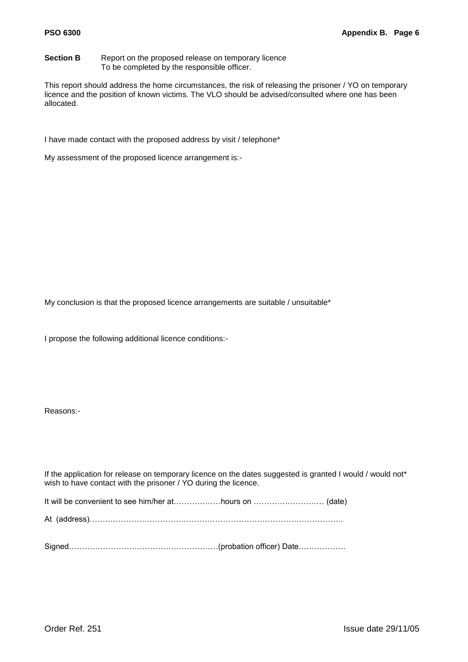**Section B** Report on the proposed release on temporary licence To be completed by the responsible officer.

This report should address the home circumstances, the risk of releasing the prisoner / YO on temporary licence and the position of known victims. The VLO should be advised/consulted where one has been allocated.

I have made contact with the proposed address by visit / telephone\*

My assessment of the proposed licence arrangement is:-

My conclusion is that the proposed licence arrangements are suitable / unsuitable\*

I propose the following additional licence conditions:-

Reasons:-

If the application for release on temporary licence on the dates suggested is granted I would / would not\* wish to have contact with the prisoner / YO during the licence.

It will be convenient to see him/her at………………hours on ……………………… (date)

At (address)…………………………………………………………………………………….

Signed…………………………………………………(probation officer) Date………………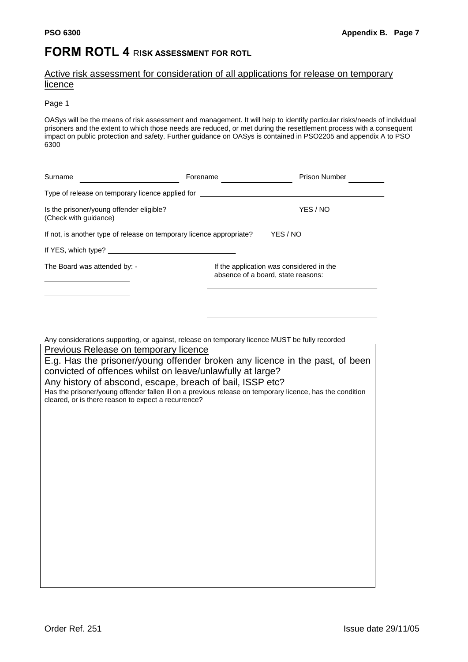# <span id="page-58-0"></span>**FORM ROTL 4 RISK ASSESSMENT FOR ROTL**

### Active risk assessment for consideration of all applications for release on temporary licence

#### Page 1

OASys will be the means of risk assessment and management. It will help to identify particular risks/needs of individual prisoners and the extent to which those needs are reduced, or met during the resettlement process with a consequent impact on public protection and safety. Further guidance on OASys is contained in PSO2205 and appendix A to PSO 6300

| Surname                                                                                                                                 | Forename                                                                       | <b>Prison Number</b> |  |  |  |
|-----------------------------------------------------------------------------------------------------------------------------------------|--------------------------------------------------------------------------------|----------------------|--|--|--|
| Type of release on temporary licence applied for _______________________________                                                        |                                                                                |                      |  |  |  |
| Is the prisoner/young offender eligible?<br>(Check with guidance)                                                                       |                                                                                | YES / NO             |  |  |  |
| YES / NO<br>If not, is another type of release on temporary licence appropriate?                                                        |                                                                                |                      |  |  |  |
|                                                                                                                                         |                                                                                |                      |  |  |  |
| The Board was attended by: -                                                                                                            | If the application was considered in the<br>absence of a board, state reasons: |                      |  |  |  |
|                                                                                                                                         |                                                                                |                      |  |  |  |
| Any considerations supporting, or against, release on temporary licence MUST be fully recorded<br>Previous Release on temporary licence |                                                                                |                      |  |  |  |
| E.g. Has the prisoner/young offender broken any licence in the past, of been                                                            |                                                                                |                      |  |  |  |
| convicted at affection include an Isque unlough the hotel uno                                                                           |                                                                                |                      |  |  |  |

convicted of offences whilst on leave/unlawfully at large?

Any history of abscond, escape, breach of bail, ISSP etc?

Has the prisoner/young offender fallen ill on a previous release on temporary licence, has the condition cleared, or is there reason to expect a recurrence?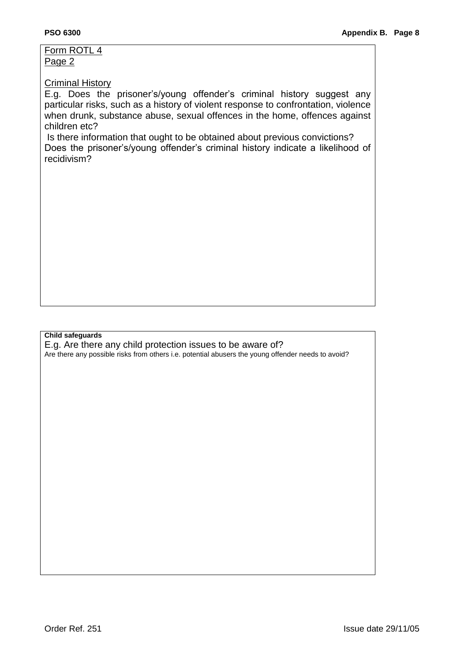Form ROTL 4 Page 2

## Criminal History

E.g. Does the prisoner"s/young offender"s criminal history suggest any particular risks, such as a history of violent response to confrontation, violence when drunk, substance abuse, sexual offences in the home, offences against children etc?

Is there information that ought to be obtained about previous convictions? Does the prisoner"s/young offender"s criminal history indicate a likelihood of recidivism?

#### **Child safeguards**

E.g. Are there any child protection issues to be aware of?

Are there any possible risks from others i.e. potential abusers the young offender needs to avoid?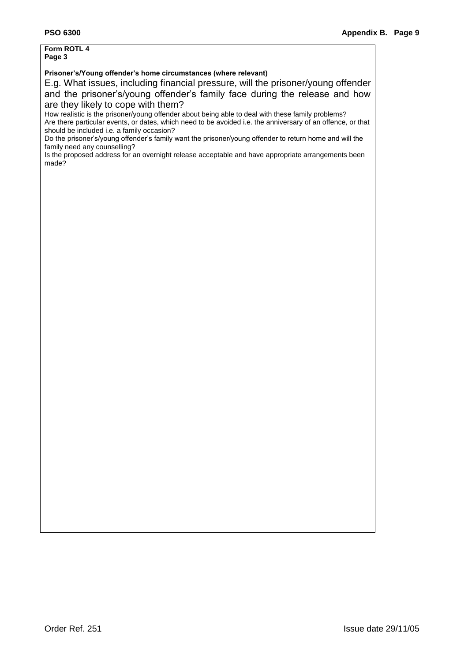# **Form ROTL 4**

#### **Page 3**

#### **Prisoner's/Young offender's home circumstances (where relevant)**

E.g. What issues, including financial pressure, will the prisoner/young offender and the prisoner"s/young offender"s family face during the release and how are they likely to cope with them?

How realistic is the prisoner/young offender about being able to deal with these family problems? Are there particular events, or dates, which need to be avoided i.e. the anniversary of an offence, or that should be included i.e. a family occasion?

Do the prisoner"s/young offender"s family want the prisoner/young offender to return home and will the family need any counselling?

Is the proposed address for an overnight release acceptable and have appropriate arrangements been made?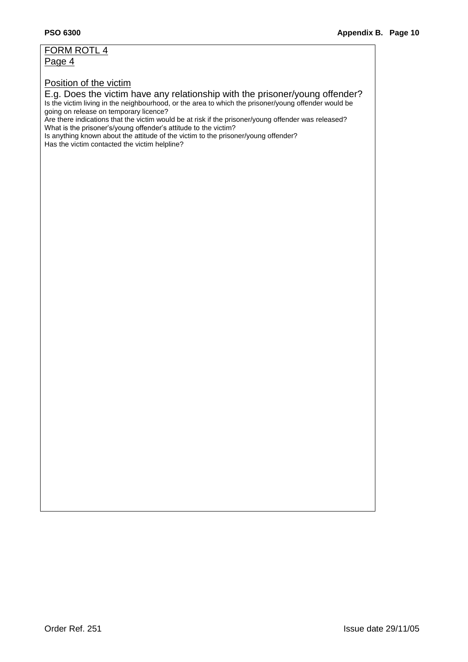# FORM ROTL 4

Page 4

## Position of the victim

## E.g. Does the victim have any relationship with the prisoner/young offender?

Is the victim living in the neighbourhood, or the area to which the prisoner/young offender would be going on release on temporary licence?

Are there indications that the victim would be at risk if the prisoner/young offender was released? What is the prisoner's/young offender's attitude to the victim?

Is anything known about the attitude of the victim to the prisoner/young offender? Has the victim contacted the victim helpline?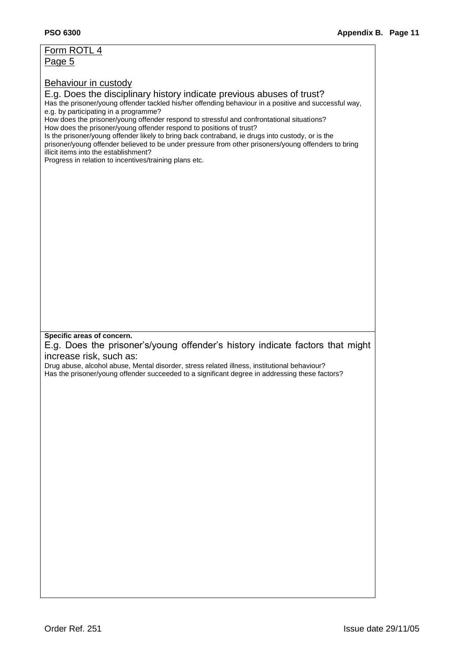| Page 5<br><b>Behaviour in custody</b><br>E.g. Does the disciplinary history indicate previous abuses of trust?<br>Has the prisoner/young offender tackled his/her offending behaviour in a positive and successful way,<br>e.g. by participating in a programme?<br>How does the prisoner/young offender respond to stressful and confrontational situations?                     |  |
|-----------------------------------------------------------------------------------------------------------------------------------------------------------------------------------------------------------------------------------------------------------------------------------------------------------------------------------------------------------------------------------|--|
|                                                                                                                                                                                                                                                                                                                                                                                   |  |
| How does the prisoner/young offender respond to positions of trust?<br>Is the prisoner/young offender likely to bring back contraband, ie drugs into custody, or is the<br>prisoner/young offender believed to be under pressure from other prisoners/young offenders to bring<br>illicit items into the establishment?<br>Progress in relation to incentives/training plans etc. |  |
|                                                                                                                                                                                                                                                                                                                                                                                   |  |
|                                                                                                                                                                                                                                                                                                                                                                                   |  |
|                                                                                                                                                                                                                                                                                                                                                                                   |  |
|                                                                                                                                                                                                                                                                                                                                                                                   |  |
|                                                                                                                                                                                                                                                                                                                                                                                   |  |
|                                                                                                                                                                                                                                                                                                                                                                                   |  |
|                                                                                                                                                                                                                                                                                                                                                                                   |  |
|                                                                                                                                                                                                                                                                                                                                                                                   |  |
|                                                                                                                                                                                                                                                                                                                                                                                   |  |
|                                                                                                                                                                                                                                                                                                                                                                                   |  |
| Specific areas of concern.                                                                                                                                                                                                                                                                                                                                                        |  |
| E.g. Does the prisoner's/young offender's history indicate factors that might                                                                                                                                                                                                                                                                                                     |  |
| increase risk, such as:<br>Drug abuse, alcohol abuse, Mental disorder, stress related illness, institutional behaviour?                                                                                                                                                                                                                                                           |  |
| Has the prisoner/young offender succeeded to a significant degree in addressing these factors?                                                                                                                                                                                                                                                                                    |  |
|                                                                                                                                                                                                                                                                                                                                                                                   |  |
|                                                                                                                                                                                                                                                                                                                                                                                   |  |
|                                                                                                                                                                                                                                                                                                                                                                                   |  |
|                                                                                                                                                                                                                                                                                                                                                                                   |  |
|                                                                                                                                                                                                                                                                                                                                                                                   |  |
|                                                                                                                                                                                                                                                                                                                                                                                   |  |
|                                                                                                                                                                                                                                                                                                                                                                                   |  |
|                                                                                                                                                                                                                                                                                                                                                                                   |  |
|                                                                                                                                                                                                                                                                                                                                                                                   |  |
|                                                                                                                                                                                                                                                                                                                                                                                   |  |
|                                                                                                                                                                                                                                                                                                                                                                                   |  |
|                                                                                                                                                                                                                                                                                                                                                                                   |  |
|                                                                                                                                                                                                                                                                                                                                                                                   |  |
|                                                                                                                                                                                                                                                                                                                                                                                   |  |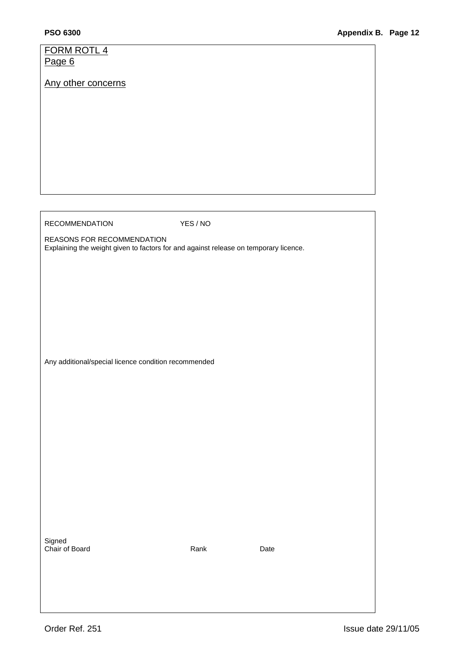| FORM ROTL 4                                                                          |          |      |
|--------------------------------------------------------------------------------------|----------|------|
| Page 6                                                                               |          |      |
|                                                                                      |          |      |
| Any other concerns                                                                   |          |      |
|                                                                                      |          |      |
|                                                                                      |          |      |
|                                                                                      |          |      |
|                                                                                      |          |      |
|                                                                                      |          |      |
|                                                                                      |          |      |
|                                                                                      |          |      |
|                                                                                      |          |      |
|                                                                                      |          |      |
|                                                                                      |          |      |
|                                                                                      |          |      |
|                                                                                      |          |      |
|                                                                                      |          |      |
|                                                                                      |          |      |
| <b>RECOMMENDATION</b>                                                                | YES / NO |      |
| REASONS FOR RECOMMENDATION                                                           |          |      |
| Explaining the weight given to factors for and against release on temporary licence. |          |      |
|                                                                                      |          |      |
|                                                                                      |          |      |
|                                                                                      |          |      |
|                                                                                      |          |      |
|                                                                                      |          |      |
|                                                                                      |          |      |
|                                                                                      |          |      |
|                                                                                      |          |      |
|                                                                                      |          |      |
|                                                                                      |          |      |
|                                                                                      |          |      |
| Any additional/special licence condition recommended                                 |          |      |
|                                                                                      |          |      |
|                                                                                      |          |      |
|                                                                                      |          |      |
|                                                                                      |          |      |
|                                                                                      |          |      |
|                                                                                      |          |      |
|                                                                                      |          |      |
|                                                                                      |          |      |
|                                                                                      |          |      |
|                                                                                      |          |      |
|                                                                                      |          |      |
|                                                                                      |          |      |
|                                                                                      |          |      |
|                                                                                      |          |      |
|                                                                                      |          |      |
|                                                                                      |          |      |
|                                                                                      |          |      |
|                                                                                      |          |      |
| Signed                                                                               |          |      |
| Chair of Board                                                                       | Rank     | Date |
|                                                                                      |          |      |
|                                                                                      |          |      |
|                                                                                      |          |      |
|                                                                                      |          |      |
|                                                                                      |          |      |
|                                                                                      |          |      |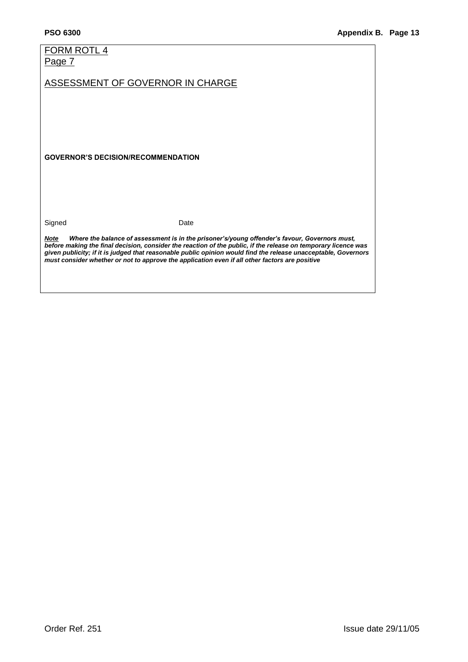# FORM ROTL 4

Page 7

ASSESSMENT OF GOVERNOR IN CHARGE

**GOVERNOR'S DECISION/RECOMMENDATION**

Signed Date

*Note Where the balance of assessment is in the prisoner's/young offender's favour, Governors must, before making the final decision, consider the reaction of the public, if the release on temporary licence was given publicity; if it is judged that reasonable public opinion would find the release unacceptable, Governors must consider whether or not to approve the application even if all other factors are positive*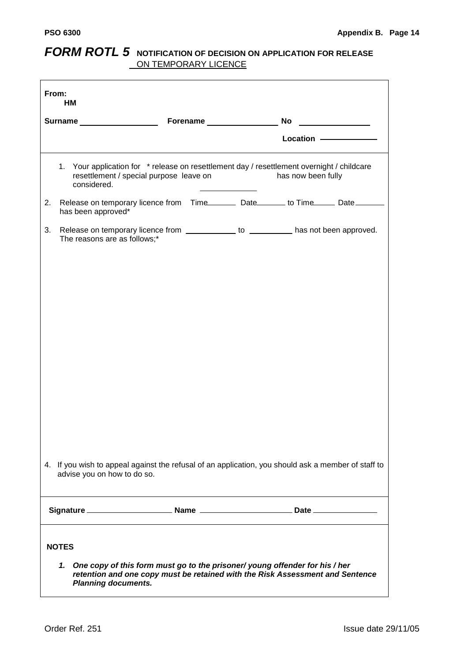# <span id="page-65-0"></span>*FORM ROTL 5* NOTIFICATION OF DECISION ON APPLICATION FOR RELEASE ON TEMPORARY LICENCE

| From:<br>HM |                                                                                                                                                                                                              |  |  |                                         |  |
|-------------|--------------------------------------------------------------------------------------------------------------------------------------------------------------------------------------------------------------|--|--|-----------------------------------------|--|
|             | Surname <b>Surname Surname Surname Surname Surname</b>                                                                                                                                                       |  |  | No<br><u> 1990 - Jan Barnett, franc</u> |  |
|             |                                                                                                                                                                                                              |  |  | Location -                              |  |
|             |                                                                                                                                                                                                              |  |  |                                         |  |
|             | 1. Your application for * release on resettlement day / resettlement overnight / childcare<br>resettlement / special purpose leave on<br>considered.                                                         |  |  | has now been fully                      |  |
| 2.          | Release on temporary licence from Time__________ Date________ to Time_______ Date_______<br>has been approved*                                                                                               |  |  |                                         |  |
| 3.          | Release on temporary licence from _____________ to ___________ has not been approved.<br>The reasons are as follows;*                                                                                        |  |  |                                         |  |
|             |                                                                                                                                                                                                              |  |  |                                         |  |
|             |                                                                                                                                                                                                              |  |  |                                         |  |
|             |                                                                                                                                                                                                              |  |  |                                         |  |
|             |                                                                                                                                                                                                              |  |  |                                         |  |
|             |                                                                                                                                                                                                              |  |  |                                         |  |
|             |                                                                                                                                                                                                              |  |  |                                         |  |
|             |                                                                                                                                                                                                              |  |  |                                         |  |
|             |                                                                                                                                                                                                              |  |  |                                         |  |
|             |                                                                                                                                                                                                              |  |  |                                         |  |
|             |                                                                                                                                                                                                              |  |  |                                         |  |
|             |                                                                                                                                                                                                              |  |  |                                         |  |
|             |                                                                                                                                                                                                              |  |  |                                         |  |
|             | 4. If you wish to appeal against the refusal of an application, you should ask a member of staff to<br>advise you on how to do so.                                                                           |  |  |                                         |  |
|             | <b>Mame</b> 2008 2014 2015<br>Signature_                                                                                                                                                                     |  |  |                                         |  |
|             | <b>NOTES</b><br>1. One copy of this form must go to the prisoner/young offender for his / her<br>retention and one copy must be retained with the Risk Assessment and Sentence<br><b>Planning documents.</b> |  |  |                                         |  |
|             |                                                                                                                                                                                                              |  |  |                                         |  |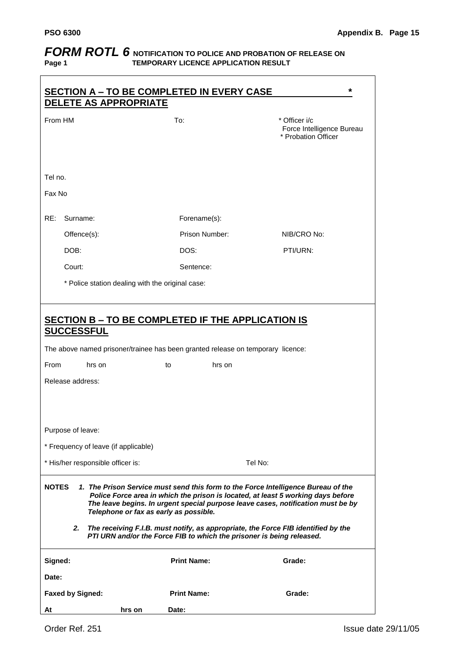# <span id="page-66-0"></span>*FORM ROTL 6* NOTIFICATION TO POLICE AND PROBATION OF RELEASE ON Page 1 TEMPORARY LICENCE APPLICATION RESULT **TEMPORARY LICENCE APPLICATION RESULT**

|                                                                                                                                                                                                                                                                                                                                                                                                                                                                                         | <b>DELETE AS APPROPRIATE</b>                     |        |                    | <b>SECTION A - TO BE COMPLETED IN EVERY CASE</b>                                | $\star$                                                           |  |  |  |
|-----------------------------------------------------------------------------------------------------------------------------------------------------------------------------------------------------------------------------------------------------------------------------------------------------------------------------------------------------------------------------------------------------------------------------------------------------------------------------------------|--------------------------------------------------|--------|--------------------|---------------------------------------------------------------------------------|-------------------------------------------------------------------|--|--|--|
| From HM                                                                                                                                                                                                                                                                                                                                                                                                                                                                                 |                                                  |        | To:                |                                                                                 | * Officer i/c<br>Force Intelligence Bureau<br>* Probation Officer |  |  |  |
| Tel no.                                                                                                                                                                                                                                                                                                                                                                                                                                                                                 |                                                  |        |                    |                                                                                 |                                                                   |  |  |  |
| Fax No                                                                                                                                                                                                                                                                                                                                                                                                                                                                                  |                                                  |        |                    |                                                                                 |                                                                   |  |  |  |
| RE:                                                                                                                                                                                                                                                                                                                                                                                                                                                                                     | Surname:                                         |        | Forename(s):       |                                                                                 |                                                                   |  |  |  |
|                                                                                                                                                                                                                                                                                                                                                                                                                                                                                         | Offence(s):                                      |        | Prison Number:     |                                                                                 | NIB/CRO No:                                                       |  |  |  |
|                                                                                                                                                                                                                                                                                                                                                                                                                                                                                         | DOB:                                             |        | DOS:               |                                                                                 | PTI/URN:                                                          |  |  |  |
|                                                                                                                                                                                                                                                                                                                                                                                                                                                                                         | Court:                                           |        | Sentence:          |                                                                                 |                                                                   |  |  |  |
|                                                                                                                                                                                                                                                                                                                                                                                                                                                                                         | * Police station dealing with the original case: |        |                    |                                                                                 |                                                                   |  |  |  |
|                                                                                                                                                                                                                                                                                                                                                                                                                                                                                         |                                                  |        |                    |                                                                                 |                                                                   |  |  |  |
| SECTION B - TO BE COMPLETED IF THE APPLICATION IS<br><b>SUCCESSFUL</b>                                                                                                                                                                                                                                                                                                                                                                                                                  |                                                  |        |                    |                                                                                 |                                                                   |  |  |  |
|                                                                                                                                                                                                                                                                                                                                                                                                                                                                                         |                                                  |        |                    | The above named prisoner/trainee has been granted release on temporary licence: |                                                                   |  |  |  |
| From                                                                                                                                                                                                                                                                                                                                                                                                                                                                                    | hrs on                                           | to     |                    | hrs on                                                                          |                                                                   |  |  |  |
|                                                                                                                                                                                                                                                                                                                                                                                                                                                                                         | Release address:                                 |        |                    |                                                                                 |                                                                   |  |  |  |
|                                                                                                                                                                                                                                                                                                                                                                                                                                                                                         |                                                  |        |                    |                                                                                 |                                                                   |  |  |  |
|                                                                                                                                                                                                                                                                                                                                                                                                                                                                                         | Purpose of leave:                                |        |                    |                                                                                 |                                                                   |  |  |  |
|                                                                                                                                                                                                                                                                                                                                                                                                                                                                                         | * Frequency of leave (if applicable)             |        |                    |                                                                                 |                                                                   |  |  |  |
| * His/her responsible officer is:<br>Tel No:                                                                                                                                                                                                                                                                                                                                                                                                                                            |                                                  |        |                    |                                                                                 |                                                                   |  |  |  |
| 1. The Prison Service must send this form to the Force Intelligence Bureau of the<br><b>NOTES</b><br>Police Force area in which the prison is located, at least 5 working days before<br>The leave begins. In urgent special purpose leave cases, notification must be by<br>Telephone or fax as early as possible.<br>2.<br>The receiving F.I.B. must notify, as appropriate, the Force FIB identified by the<br>PTI URN and/or the Force FIB to which the prisoner is being released. |                                                  |        |                    |                                                                                 |                                                                   |  |  |  |
| Signed:                                                                                                                                                                                                                                                                                                                                                                                                                                                                                 |                                                  |        | <b>Print Name:</b> |                                                                                 | Grade:                                                            |  |  |  |
| Date:                                                                                                                                                                                                                                                                                                                                                                                                                                                                                   |                                                  |        |                    |                                                                                 |                                                                   |  |  |  |
|                                                                                                                                                                                                                                                                                                                                                                                                                                                                                         | <b>Faxed by Signed:</b>                          |        | <b>Print Name:</b> |                                                                                 | Grade:                                                            |  |  |  |
| At                                                                                                                                                                                                                                                                                                                                                                                                                                                                                      |                                                  | hrs on | Date:              |                                                                                 |                                                                   |  |  |  |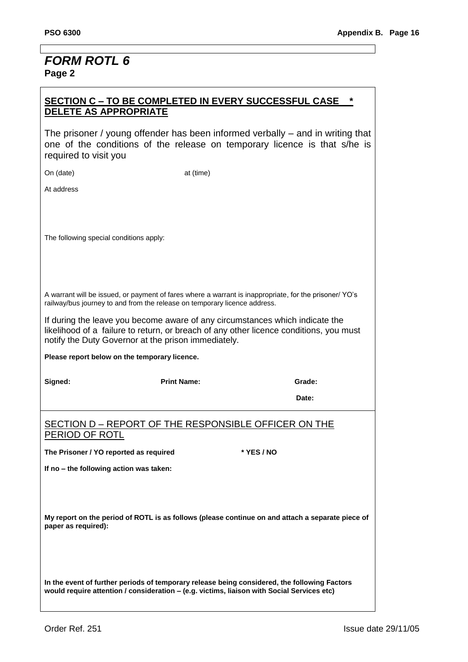# *FORM ROTL 6* **Page 2**

# **SECTION C – TO BE COMPLETED IN EVERY SUCCESSFUL CASE \* DELETE AS APPROPRIATE**

The prisoner / young offender has been informed verbally – and in writing that one of the conditions of the release on temporary licence is that s/he is required to visit you

On (date) at (time)

At address

The following special conditions apply:

A warrant will be issued, or payment of fares where a warrant is inappropriate, for the prisoner/ YO"s railway/bus journey to and from the release on temporary licence address.

If during the leave you become aware of any circumstances which indicate the likelihood of a failure to return, or breach of any other licence conditions, you must notify the Duty Governor at the prison immediately.

**Please report below on the temporary licence.**

Signed: **Cambridge Signed:** Print Name: **Cambridge Signed:** Grade:

**Date:** Determine the contract of the contract of the contract of the Date:

#### SECTION D – REPORT OF THE RESPONSIBLE OFFICER ON THE PERIOD OF ROTL

**The Prisoner / YO reported as required \* YES / NO**

**If no – the following action was taken:**

**My report on the period of ROTL is as follows (please continue on and attach a separate piece of paper as required):**

**In the event of further periods of temporary release being considered, the following Factors would require attention / consideration – (e.g. victims, liaison with Social Services etc)**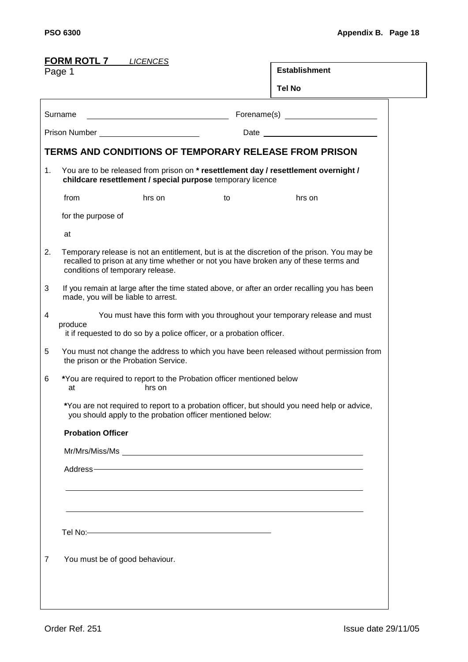<span id="page-69-0"></span>

| <b>FORM ROTL 7</b> LICENCES                                                                                                     |                                                                                                                                                                 |        |                                                                                                                                                                                                                                |                                                                                                                                                                                                                                |  |  |  |
|---------------------------------------------------------------------------------------------------------------------------------|-----------------------------------------------------------------------------------------------------------------------------------------------------------------|--------|--------------------------------------------------------------------------------------------------------------------------------------------------------------------------------------------------------------------------------|--------------------------------------------------------------------------------------------------------------------------------------------------------------------------------------------------------------------------------|--|--|--|
| Page 1                                                                                                                          |                                                                                                                                                                 |        |                                                                                                                                                                                                                                | <b>Establishment</b>                                                                                                                                                                                                           |  |  |  |
|                                                                                                                                 |                                                                                                                                                                 |        |                                                                                                                                                                                                                                | <b>Tel No</b>                                                                                                                                                                                                                  |  |  |  |
| Surname<br><u> Alexandria de la contrada de la contrada de la contrada de la contrada de la contrada de la contrada de la c</u> |                                                                                                                                                                 |        |                                                                                                                                                                                                                                |                                                                                                                                                                                                                                |  |  |  |
| Prison Number ___________________________                                                                                       |                                                                                                                                                                 |        |                                                                                                                                                                                                                                |                                                                                                                                                                                                                                |  |  |  |
|                                                                                                                                 |                                                                                                                                                                 |        |                                                                                                                                                                                                                                | TERMS AND CONDITIONS OF TEMPORARY RELEASE FROM PRISON                                                                                                                                                                          |  |  |  |
| 1.                                                                                                                              | You are to be released from prison on * resettlement day / resettlement overnight /<br>childcare resettlement / special purpose temporary licence               |        |                                                                                                                                                                                                                                |                                                                                                                                                                                                                                |  |  |  |
|                                                                                                                                 | from                                                                                                                                                            | hrs on | to                                                                                                                                                                                                                             | hrs on                                                                                                                                                                                                                         |  |  |  |
|                                                                                                                                 | for the purpose of                                                                                                                                              |        |                                                                                                                                                                                                                                |                                                                                                                                                                                                                                |  |  |  |
|                                                                                                                                 | at                                                                                                                                                              |        |                                                                                                                                                                                                                                |                                                                                                                                                                                                                                |  |  |  |
| 2.                                                                                                                              | conditions of temporary release.                                                                                                                                |        |                                                                                                                                                                                                                                | Temporary release is not an entitlement, but is at the discretion of the prison. You may be<br>recalled to prison at any time whether or not you have broken any of these terms and                                            |  |  |  |
| 3                                                                                                                               | If you remain at large after the time stated above, or after an order recalling you has been<br>made, you will be liable to arrest.                             |        |                                                                                                                                                                                                                                |                                                                                                                                                                                                                                |  |  |  |
| 4                                                                                                                               | You must have this form with you throughout your temporary release and must<br>produce<br>it if requested to do so by a police officer, or a probation officer. |        |                                                                                                                                                                                                                                |                                                                                                                                                                                                                                |  |  |  |
| 5                                                                                                                               | You must not change the address to which you have been released without permission from<br>the prison or the Probation Service.                                 |        |                                                                                                                                                                                                                                |                                                                                                                                                                                                                                |  |  |  |
| 6                                                                                                                               | *You are required to report to the Probation officer mentioned below<br>hrs on<br>at                                                                            |        |                                                                                                                                                                                                                                |                                                                                                                                                                                                                                |  |  |  |
|                                                                                                                                 |                                                                                                                                                                 |        | you should apply to the probation officer mentioned below:                                                                                                                                                                     | *You are not required to report to a probation officer, but should you need help or advice,                                                                                                                                    |  |  |  |
|                                                                                                                                 | <b>Probation Officer</b>                                                                                                                                        |        |                                                                                                                                                                                                                                |                                                                                                                                                                                                                                |  |  |  |
|                                                                                                                                 |                                                                                                                                                                 |        |                                                                                                                                                                                                                                |                                                                                                                                                                                                                                |  |  |  |
|                                                                                                                                 |                                                                                                                                                                 |        |                                                                                                                                                                                                                                | Address- Address- Address and Contract the Contract of the Contract of the Contract of the Contract of the Contract of the Contract of the Contract of the Contract of the Contract of the Contract of the Contract of the Con |  |  |  |
|                                                                                                                                 |                                                                                                                                                                 |        |                                                                                                                                                                                                                                |                                                                                                                                                                                                                                |  |  |  |
|                                                                                                                                 |                                                                                                                                                                 |        |                                                                                                                                                                                                                                |                                                                                                                                                                                                                                |  |  |  |
|                                                                                                                                 |                                                                                                                                                                 |        | Tel No: Note and the Second Contract of the Second Contract of the Second Contract of the Second Contract of the Second Contract of the Second Contract of the Second Contract of the Second Contract of the Second Contract o |                                                                                                                                                                                                                                |  |  |  |
| 7                                                                                                                               | You must be of good behaviour.                                                                                                                                  |        |                                                                                                                                                                                                                                |                                                                                                                                                                                                                                |  |  |  |
|                                                                                                                                 |                                                                                                                                                                 |        |                                                                                                                                                                                                                                |                                                                                                                                                                                                                                |  |  |  |
|                                                                                                                                 |                                                                                                                                                                 |        |                                                                                                                                                                                                                                |                                                                                                                                                                                                                                |  |  |  |
|                                                                                                                                 |                                                                                                                                                                 |        |                                                                                                                                                                                                                                |                                                                                                                                                                                                                                |  |  |  |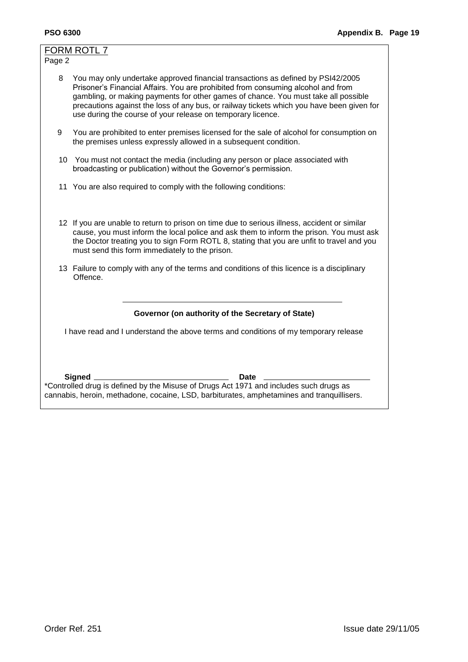|                                                                                           | FORM ROTL 7                                                                                                                                                                                                                                                                                                                                                                                                           |  |  |  |  |  |  |  |
|-------------------------------------------------------------------------------------------|-----------------------------------------------------------------------------------------------------------------------------------------------------------------------------------------------------------------------------------------------------------------------------------------------------------------------------------------------------------------------------------------------------------------------|--|--|--|--|--|--|--|
| Page 2                                                                                    |                                                                                                                                                                                                                                                                                                                                                                                                                       |  |  |  |  |  |  |  |
| 8                                                                                         | You may only undertake approved financial transactions as defined by PSI42/2005<br>Prisoner's Financial Affairs. You are prohibited from consuming alcohol and from<br>gambling, or making payments for other games of chance. You must take all possible<br>precautions against the loss of any bus, or railway tickets which you have been given for<br>use during the course of your release on temporary licence. |  |  |  |  |  |  |  |
| 9                                                                                         | You are prohibited to enter premises licensed for the sale of alcohol for consumption on<br>the premises unless expressly allowed in a subsequent condition.                                                                                                                                                                                                                                                          |  |  |  |  |  |  |  |
|                                                                                           | 10 You must not contact the media (including any person or place associated with<br>broadcasting or publication) without the Governor's permission.                                                                                                                                                                                                                                                                   |  |  |  |  |  |  |  |
|                                                                                           | 11 You are also required to comply with the following conditions:                                                                                                                                                                                                                                                                                                                                                     |  |  |  |  |  |  |  |
|                                                                                           | 12 If you are unable to return to prison on time due to serious illness, accident or similar<br>cause, you must inform the local police and ask them to inform the prison. You must ask<br>the Doctor treating you to sign Form ROTL 8, stating that you are unfit to travel and you<br>must send this form immediately to the prison.                                                                                |  |  |  |  |  |  |  |
|                                                                                           | 13 Failure to comply with any of the terms and conditions of this licence is a disciplinary<br>Offence.                                                                                                                                                                                                                                                                                                               |  |  |  |  |  |  |  |
|                                                                                           |                                                                                                                                                                                                                                                                                                                                                                                                                       |  |  |  |  |  |  |  |
| Governor (on authority of the Secretary of State)                                         |                                                                                                                                                                                                                                                                                                                                                                                                                       |  |  |  |  |  |  |  |
| I have read and I understand the above terms and conditions of my temporary release       |                                                                                                                                                                                                                                                                                                                                                                                                                       |  |  |  |  |  |  |  |
|                                                                                           |                                                                                                                                                                                                                                                                                                                                                                                                                       |  |  |  |  |  |  |  |
|                                                                                           | Signed.<br>Date                                                                                                                                                                                                                                                                                                                                                                                                       |  |  |  |  |  |  |  |
|                                                                                           | *Controlled drug is defined by the Misuse of Drugs Act 1971 and includes such drugs as                                                                                                                                                                                                                                                                                                                                |  |  |  |  |  |  |  |
| cannabis, heroin, methadone, cocaine, LSD, barbiturates, amphetamines and tranquillisers. |                                                                                                                                                                                                                                                                                                                                                                                                                       |  |  |  |  |  |  |  |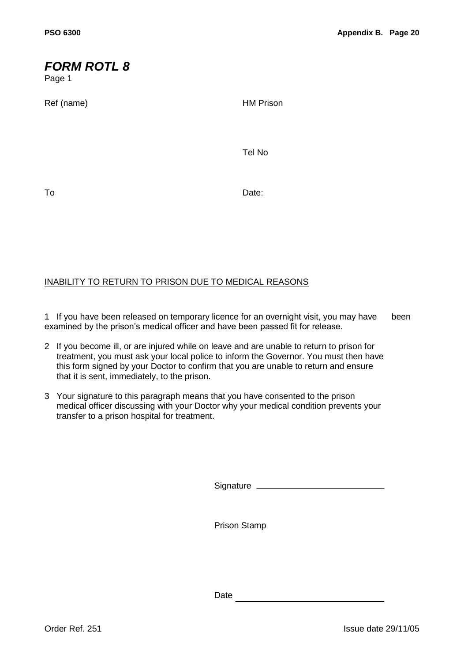# <span id="page-71-0"></span>*FORM ROTL 8*

Page 1

Ref (name) and the contract of the HM Prison

Tel No

To Date:

## INABILITY TO RETURN TO PRISON DUE TO MEDICAL REASONS

1 If you have been released on temporary licence for an overnight visit, you may have been examined by the prison"s medical officer and have been passed fit for release.

- 2 If you become ill, or are injured while on leave and are unable to return to prison for treatment, you must ask your local police to inform the Governor. You must then have this form signed by your Doctor to confirm that you are unable to return and ensure that it is sent, immediately, to the prison.
- 3 Your signature to this paragraph means that you have consented to the prison medical officer discussing with your Doctor why your medical condition prevents your transfer to a prison hospital for treatment.

Signature

Prison Stamp

Date and the state of the state of the state of the state of the state of the state of the state of the state of the state of the state of the state of the state of the state of the state of the state of the state of the s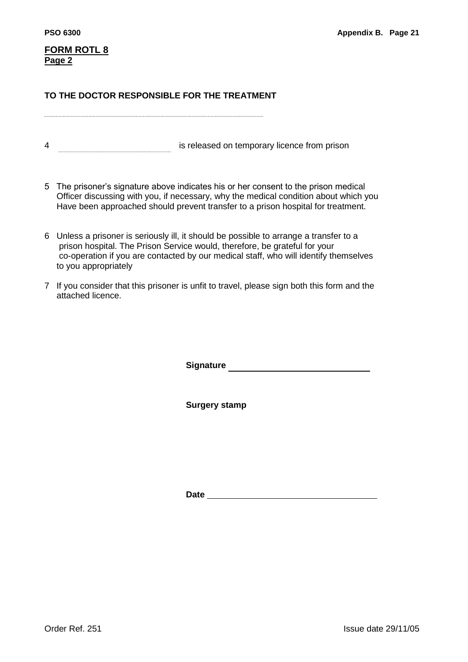# **FORM ROTL 8 Page 2**

### **TO THE DOCTOR RESPONSIBLE FOR THE TREATMENT**

4 is released on temporary licence from prison

- 5 The prisoner"s signature above indicates his or her consent to the prison medical Officer discussing with you, if necessary, why the medical condition about which you Have been approached should prevent transfer to a prison hospital for treatment.
- 6 Unless a prisoner is seriously ill, it should be possible to arrange a transfer to a prison hospital. The Prison Service would, therefore, be grateful for your co-operation if you are contacted by our medical staff, who will identify themselves to you appropriately
- 7 If you consider that this prisoner is unfit to travel, please sign both this form and the attached licence.

**Signature Signature** 

**Surgery stamp**

**Date**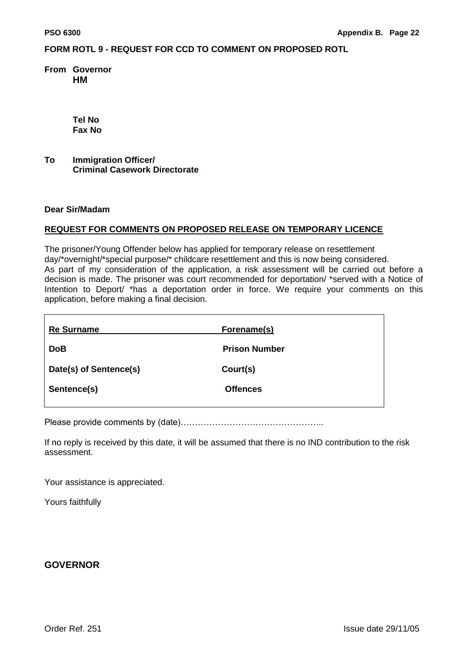### **FORM ROTL 9 - REQUEST FOR CCD TO COMMENT ON PROPOSED ROTL**

**From Governor HM** 

> **Tel No Fax No**

**To Immigration Officer/ Criminal Casework Directorate**

#### **Dear Sir/Madam**

#### **REQUEST FOR COMMENTS ON PROPOSED RELEASE ON TEMPORARY LICENCE**

The prisoner/Young Offender below has applied for temporary release on resettlement day/\*overnight/\*special purpose/\* childcare resettlement and this is now being considered. As part of my consideration of the application, a risk assessment will be carried out before a decision is made. The prisoner was court recommended for deportation/ \*served with a Notice of Intention to Deport/ \*has a deportation order in force. We require your comments on this application, before making a final decision.

| <b>Re Surname</b>      | Forename(s)          |
|------------------------|----------------------|
| <b>DoB</b>             | <b>Prison Number</b> |
| Date(s) of Sentence(s) | Court(s)             |
| Sentence(s)            | <b>Offences</b>      |
|                        |                      |

Please provide comments by (date)…………………………………………..

If no reply is received by this date, it will be assumed that there is no IND contribution to the risk assessment.

Your assistance is appreciated.

Yours faithfully

### **GOVERNOR**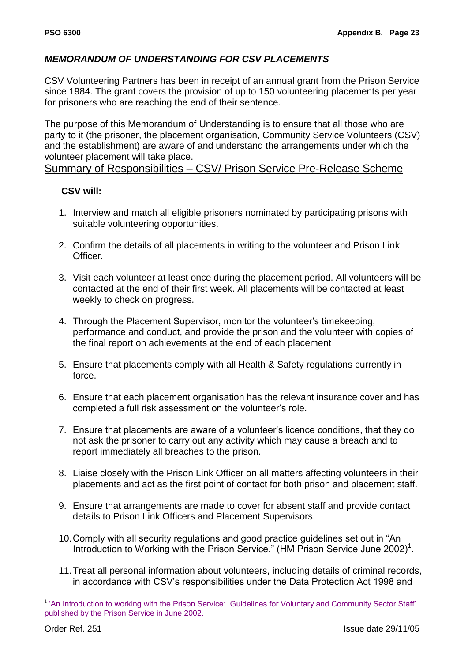# *MEMORANDUM OF UNDERSTANDING FOR CSV PLACEMENTS*

CSV Volunteering Partners has been in receipt of an annual grant from the Prison Service since 1984. The grant covers the provision of up to 150 volunteering placements per year for prisoners who are reaching the end of their sentence.

The purpose of this Memorandum of Understanding is to ensure that all those who are party to it (the prisoner, the placement organisation, Community Service Volunteers (CSV) and the establishment) are aware of and understand the arrangements under which the volunteer placement will take place.

## Summary of Responsibilities – CSV/ Prison Service Pre-Release Scheme

# **CSV will:**

- 1. Interview and match all eligible prisoners nominated by participating prisons with suitable volunteering opportunities.
- 2. Confirm the details of all placements in writing to the volunteer and Prison Link Officer.
- 3. Visit each volunteer at least once during the placement period. All volunteers will be contacted at the end of their first week. All placements will be contacted at least weekly to check on progress.
- 4. Through the Placement Supervisor, monitor the volunteer"s timekeeping, performance and conduct, and provide the prison and the volunteer with copies of the final report on achievements at the end of each placement
- 5. Ensure that placements comply with all Health & Safety regulations currently in force.
- 6. Ensure that each placement organisation has the relevant insurance cover and has completed a full risk assessment on the volunteer"s role.
- 7. Ensure that placements are aware of a volunteer"s licence conditions, that they do not ask the prisoner to carry out any activity which may cause a breach and to report immediately all breaches to the prison.
- 8. Liaise closely with the Prison Link Officer on all matters affecting volunteers in their placements and act as the first point of contact for both prison and placement staff.
- 9. Ensure that arrangements are made to cover for absent staff and provide contact details to Prison Link Officers and Placement Supervisors.
- 10.Comply with all security regulations and good practice guidelines set out in "An Introduction to Working with the Prison Service," (HM Prison Service June 2002)<sup>1</sup>.
- 11.Treat all personal information about volunteers, including details of criminal records, in accordance with CSV"s responsibilities under the Data Protection Act 1998 and

<u>.</u>

<sup>&</sup>lt;sup>1</sup> 'An Introduction to working with the Prison Service: Guidelines for Voluntary and Community Sector Staff' published by the Prison Service in June 2002.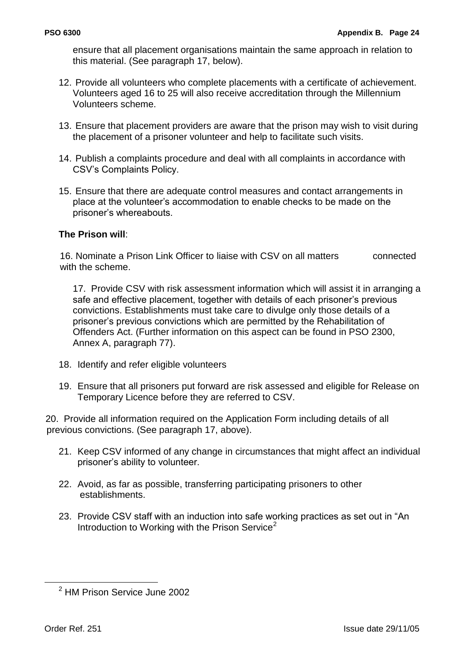ensure that all placement organisations maintain the same approach in relation to this material. (See paragraph 17, below).

- 12. Provide all volunteers who complete placements with a certificate of achievement. Volunteers aged 16 to 25 will also receive accreditation through the Millennium Volunteers scheme.
- 13. Ensure that placement providers are aware that the prison may wish to visit during the placement of a prisoner volunteer and help to facilitate such visits.
- 14. Publish a complaints procedure and deal with all complaints in accordance with CSV"s Complaints Policy.
- 15. Ensure that there are adequate control measures and contact arrangements in place at the volunteer"s accommodation to enable checks to be made on the prisoner"s whereabouts.

## **The Prison will**:

16. Nominate a Prison Link Officer to liaise with CSV on all matters connected with the scheme.

17. Provide CSV with risk assessment information which will assist it in arranging a safe and effective placement, together with details of each prisoner"s previous convictions. Establishments must take care to divulge only those details of a prisoner"s previous convictions which are permitted by the Rehabilitation of Offenders Act. (Further information on this aspect can be found in PSO 2300, Annex A, paragraph 77).

- 18. Identify and refer eligible volunteers
- 19. Ensure that all prisoners put forward are risk assessed and eligible for Release on Temporary Licence before they are referred to CSV.

20. Provide all information required on the Application Form including details of all previous convictions. (See paragraph 17, above).

- 21. Keep CSV informed of any change in circumstances that might affect an individual prisoner"s ability to volunteer.
- 22. Avoid, as far as possible, transferring participating prisoners to other establishments.
- 23. Provide CSV staff with an induction into safe working practices as set out in "An Introduction to Working with the Prison Service<sup>2</sup>

1

<sup>2</sup> HM Prison Service June 2002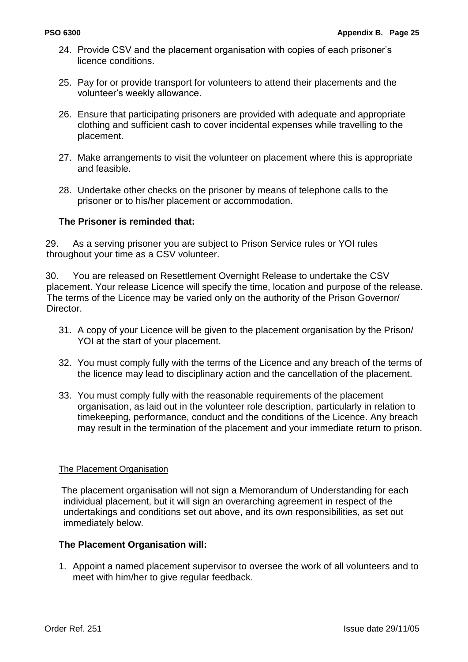- 24. Provide CSV and the placement organisation with copies of each prisoner"s licence conditions.
- 25. Pay for or provide transport for volunteers to attend their placements and the volunteer"s weekly allowance.
- 26. Ensure that participating prisoners are provided with adequate and appropriate clothing and sufficient cash to cover incidental expenses while travelling to the placement.
- 27. Make arrangements to visit the volunteer on placement where this is appropriate and feasible.
- 28. Undertake other checks on the prisoner by means of telephone calls to the prisoner or to his/her placement or accommodation.

## **The Prisoner is reminded that:**

29. As a serving prisoner you are subject to Prison Service rules or YOI rules throughout your time as a CSV volunteer.

30. You are released on Resettlement Overnight Release to undertake the CSV placement. Your release Licence will specify the time, location and purpose of the release. The terms of the Licence may be varied only on the authority of the Prison Governor/ Director.

- 31. A copy of your Licence will be given to the placement organisation by the Prison/ YOI at the start of your placement.
- 32. You must comply fully with the terms of the Licence and any breach of the terms of the licence may lead to disciplinary action and the cancellation of the placement.
- 33. You must comply fully with the reasonable requirements of the placement organisation, as laid out in the volunteer role description, particularly in relation to timekeeping, performance, conduct and the conditions of the Licence. Any breach may result in the termination of the placement and your immediate return to prison.

### The Placement Organisation

The placement organisation will not sign a Memorandum of Understanding for each individual placement, but it will sign an overarching agreement in respect of the undertakings and conditions set out above, and its own responsibilities, as set out immediately below.

### **The Placement Organisation will:**

1. Appoint a named placement supervisor to oversee the work of all volunteers and to meet with him/her to give regular feedback.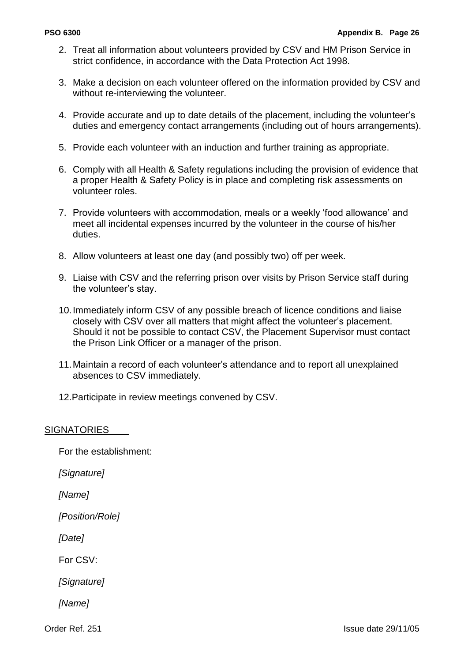- 2. Treat all information about volunteers provided by CSV and HM Prison Service in strict confidence, in accordance with the Data Protection Act 1998.
- 3. Make a decision on each volunteer offered on the information provided by CSV and without re-interviewing the volunteer.
- 4. Provide accurate and up to date details of the placement, including the volunteer"s duties and emergency contact arrangements (including out of hours arrangements).
- 5. Provide each volunteer with an induction and further training as appropriate.
- 6. Comply with all Health & Safety regulations including the provision of evidence that a proper Health & Safety Policy is in place and completing risk assessments on volunteer roles.
- 7. Provide volunteers with accommodation, meals or a weekly "food allowance" and meet all incidental expenses incurred by the volunteer in the course of his/her duties.
- 8. Allow volunteers at least one day (and possibly two) off per week.
- 9. Liaise with CSV and the referring prison over visits by Prison Service staff during the volunteer's stay.
- 10.Immediately inform CSV of any possible breach of licence conditions and liaise closely with CSV over all matters that might affect the volunteer"s placement. Should it not be possible to contact CSV, the Placement Supervisor must contact the Prison Link Officer or a manager of the prison.
- 11.Maintain a record of each volunteer"s attendance and to report all unexplained absences to CSV immediately.
- 12.Participate in review meetings convened by CSV.

### **SIGNATORIES**

For the establishment:

*[Signature]*

*[Name]*

*[Position/Role]*

*[Date]*

For CSV:

*[Signature]*

*[Name]*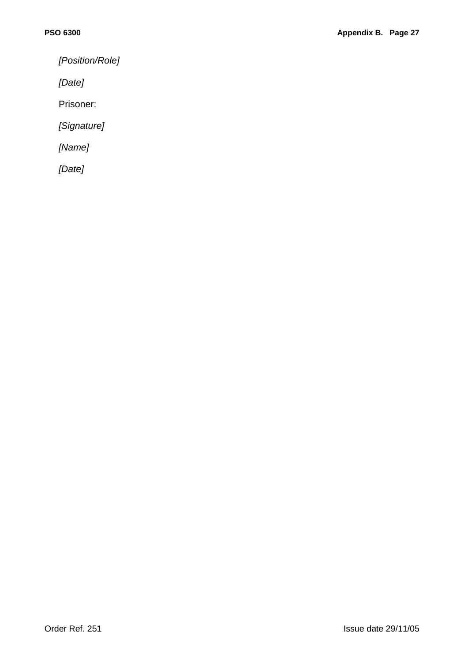*[Position/Role]*

*[Date]*

Prisoner:

*[Signature]*

*[Name]*

*[Date]*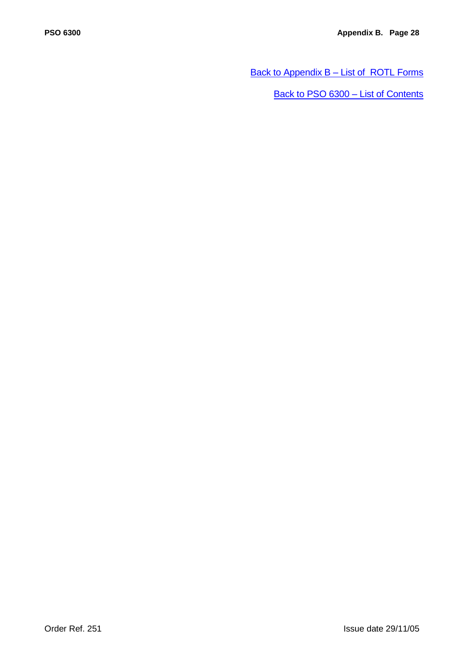[Back to Appendix B –](#page-52-0) List of ROTL Forms

[Back to PSO 6300 –](#page-5-0) List of Contents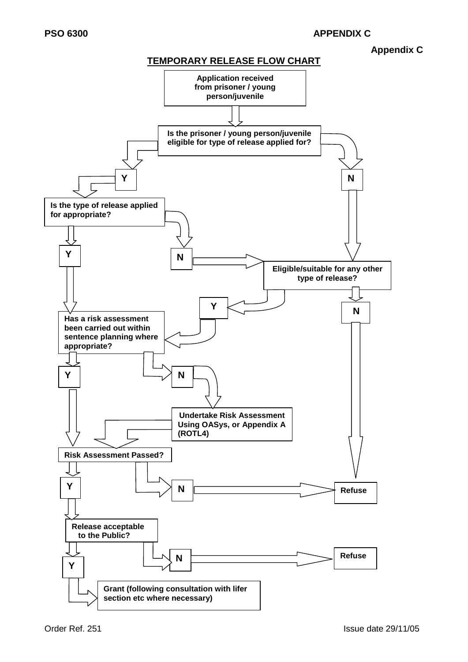### **Appendix C**